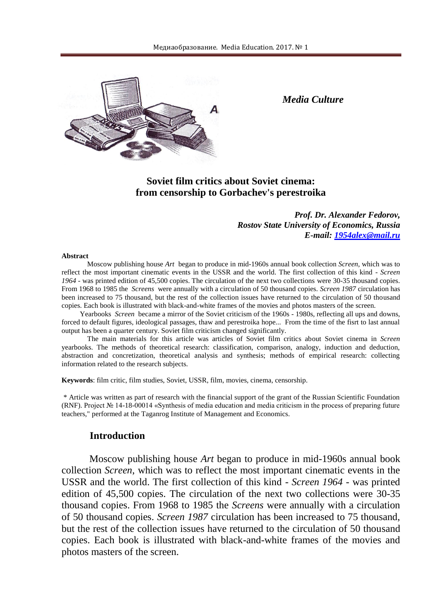

*Media Culture*

## **Soviet film critics about Soviet cinema: from censorship to Gorbachev's perestroika**

*Prof. Dr. Alexander Fedorov, Rostov State University of Economics, Russia E-mail: [1954alex@mail.ru](mailto:1954alex@mail.ru)*

#### **Abstract**

Moscow publishing house *Art* began to produce in mid-1960s annual book collection *Screen*, which was to reflect the most important cinematic events in the USSR and the world. The first collection of this kind - *Screen 1964* - was printed edition of 45,500 copies. The circulation of the next two collections were 30-35 thousand copies. From 1968 to 1985 the *Screens* were annually with a circulation of 50 thousand copies. *Screen 1987* circulation has been increased to 75 thousand, but the rest of the collection issues have returned to the circulation of 50 thousand copies. Each book is illustrated with black-and-white frames of the movies and photos masters of the screen.

Yearbooks *Screen* became a mirror of the Soviet criticism of the 1960s - 1980s, reflecting all ups and downs, forced to default figures, ideological passages, thaw and perestroika hope... From the time of the fisrt to last annual output has been a quarter century. Soviet film criticism changed significantly.

The main materials for this article was articles of Soviet film critics about Soviet cinema in *Screen*  yearbooks. The methods of theoretical research: classification, comparison, analogy, induction and deduction, abstraction and concretization, theoretical analysis and synthesis; methods of empirical research: collecting information related to the research subjects.

**Keywords**: film critic, film studies, Soviet, USSR, film, movies, cinema, censorship.

\* Article was written as part of research with the financial support of the grant of the Russian Scientific Foundation (RNF). Project № 14-18-00014 «Synthesis of media education and media criticism in the process of preparing future teachers," performed at the Taganrog Institute of Management and Economics.

#### **Introduction**

 Moscow publishing house *Art* began to produce in mid-1960s annual book collection *Screen*, which was to reflect the most important cinematic events in the USSR and the world. The first collection of this kind - *Screen 1964* - was printed edition of 45,500 copies. The circulation of the next two collections were 30-35 thousand copies. From 1968 to 1985 the *Screens* were annually with a circulation of 50 thousand copies. *Screen 1987* circulation has been increased to 75 thousand, but the rest of the collection issues have returned to the circulation of 50 thousand copies. Each book is illustrated with black-and-white frames of the movies and photos masters of the screen.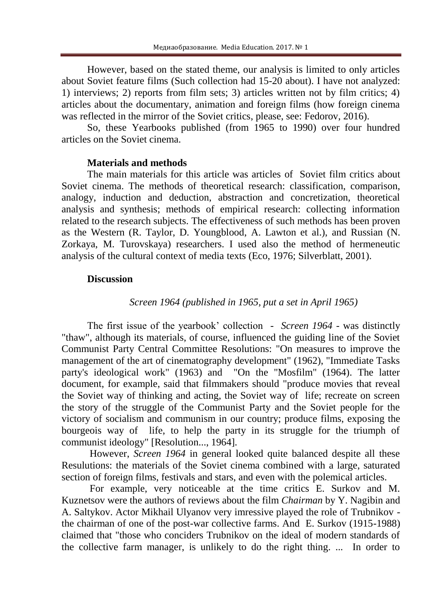However, based on the stated theme, our analysis is limited to only articles about Soviet feature films (Such collection had 15-20 about). I have not analyzed: 1) interviews; 2) reports from film sets; 3) articles written not by film critics; 4) articles about the documentary, animation and foreign films (how foreign cinema was reflected in the mirror of the Soviet critics, please, see: Fedorov, 2016).

So, these Yearbooks published (from 1965 to 1990) over four hundred articles on the Soviet cinema.

#### **Materials and methods**

The main materials for this article was articles of Soviet film critics about Soviet cinema. The methods of theoretical research: classification, comparison, analogy, induction and deduction, abstraction and concretization, theoretical analysis and synthesis; methods of empirical research: collecting information related to the research subjects. The effectiveness of such methods has been proven as the Western (R. Taylor, D. Youngblood, A. Lawton et al.), and Russian (N. Zorkaya, M. Turovskaya) researchers. I used also the method of hermeneutic analysis of the cultural context of media texts (Eco, 1976; Silverblatt, 2001).

#### **Discussion**

#### *Screen 1964 (published in 1965, put a set in April 1965)*

The first issue of the yearbook' collection - *Screen 1964* - was distinctly "thaw", although its materials, of course, influenced the guiding line of the Soviet Communist Party Central Committee Resolutions: "On measures to improve the management of the art of cinematography development" (1962), "Immediate Tasks party's ideological work" (1963) and "On the "Mosfilm" (1964). The latter document, for example, said that filmmakers should "produce movies that reveal the Soviet way of thinking and acting, the Soviet way of life; recreate on screen the story of the struggle of the Communist Party and the Soviet people for the victory of socialism and communism in our country; produce films, exposing the bourgeois way of life, to help the party in its struggle for the triumph of communist ideology" [Resolution..., 1964].

However, *Screen 1964* in general looked quite balanced despite all these Resulutions: the materials of the Soviet cinema combined with a large, saturated section of foreign films, festivals and stars, and even with the polemical articles.

For example, very noticeable at the time critics E. Surkov and M. Kuznetsov were the authors of reviews about the film *Chairman* by Y. Nagibin and A. Saltykov. Actor Mikhail Ulyanov very imressive played the role of Trubnikov the chairman of one of the post-war collective farms. And E. Surkov (1915-1988) claimed that "those who conciders Trubnikov on the ideal of modern standards of the collective farm manager, is unlikely to do the right thing. ... In order to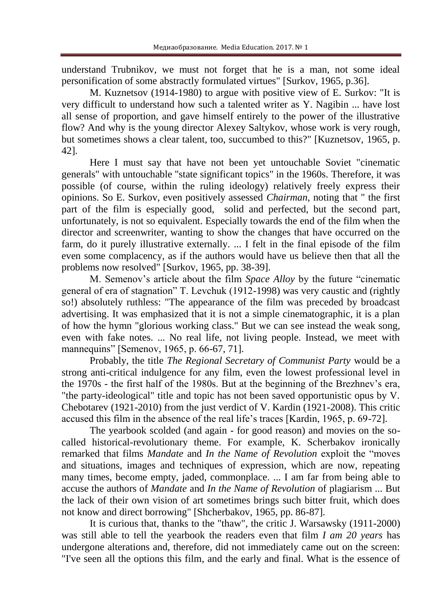understand Trubnikov, we must not forget that he is a man, not some ideal personification of some abstractly formulated virtues" [Surkov, 1965, p.36].

M. Kuznetsov (1914-1980) to argue with positive view of E. Surkov: "It is very difficult to understand how such a talented writer as Y. Nagibin ... have lost all sense of proportion, and gave himself entirely to the power of the illustrative flow? And why is the young director Alexey Saltykov, whose work is very rough, but sometimes shows a clear talent, too, succumbed to this?" [Kuznetsov, 1965, p. 42].

Here I must say that have not been yet untouchable Soviet "cinematic generals" with untouchable "state significant topics" in the 1960s. Therefore, it was possible (of course, within the ruling ideology) relatively freely express their opinions. So E. Surkov, even positively assessed *Chairman*, noting that " the first part of the film is especially good, solid and perfected, but the second part, unfortunately, is not so equivalent. Especially towards the end of the film when the director and screenwriter, wanting to show the changes that have occurred on the farm, do it purely illustrative externally. ... I felt in the final episode of the film even some complacency, as if the authors would have us believe then that all the problems now resolved" [Surkov, 1965, pp. 38-39].

M. Semenov's article about the film *Space Alloy* by the future "cinematic general of era of stagnation" T. Levchuk (1912-1998) was very caustic and (rightly so!) absolutely ruthless: "The appearance of the film was preceded by broadcast advertising. It was emphasized that it is not a simple cinematographic, it is a plan of how the hymn "glorious working class." But we can see instead the weak song, even with fake notes. ... No real life, not living people. Instead, we meet with mannequins" [Semenov, 1965, p. 66-67, 71].

Probably, the title *The Regional Secretary of Communist Party* would be a strong anti-critical indulgence for any film, even the lowest professional level in the 1970s - the first half of the 1980s. But at the beginning of the Brezhnev's era, "the party-ideological" title and topic has not been saved opportunistic opus by V. Chebotarev (1921-2010) from the just verdict of V. Kardin (1921-2008). This critic accused this film in the absence of the real life's traces [Kardin, 1965, p. 69-72].

The yearbook scolded (and again - for good reason) and movies on the socalled historical-revolutionary theme. For example, K. Scherbakov ironically remarked that films *Mandate* and *In the Name of Revolution* exploit the "moves and situations, images and techniques of expression, which are now, repeating many times, become empty, jaded, commonplace. ... I am far from being able to accuse the authors of *Mandate* and *In the Name of Revolution* of plagiarism ... But the lack of their own vision of art sometimes brings such bitter fruit, which does not know and direct borrowing" [Shcherbakov, 1965, pp. 86-87].

It is curious that, thanks to the "thaw", the critic J. Warsawsky (1911-2000) was still able to tell the yearbook the readers even that film *I am 20 years* has undergone alterations and, therefore, did not immediately came out on the screen: "I've seen all the options this film, and the early and final. What is the essence of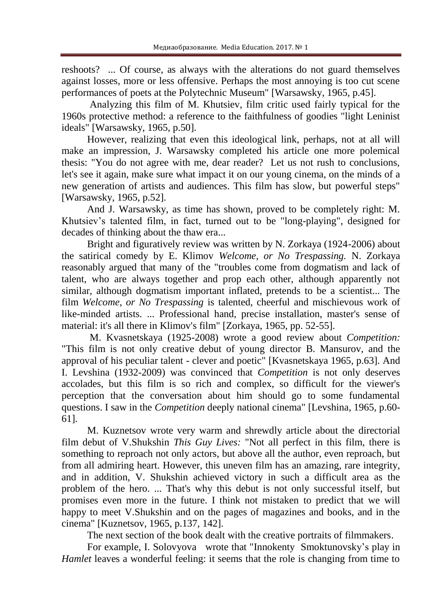reshoots? ... Of course, as always with the alterations do not guard themselves against losses, more or less offensive. Perhaps the most annoying is too cut scene performances of poets at the Polytechnic Museum" [Warsawsky, 1965, p.45].

Analyzing this film of M. Khutsiev, film critic used fairly typical for the 1960s protective method: a reference to the faithfulness of goodies "light Leninist ideals" [Warsawsky, 1965, p.50].

However, realizing that even this ideological link, perhaps, not at all will make an impression, J. Warsawsky completed his article one more polemical thesis: "You do not agree with me, dear reader? Let us not rush to conclusions, let's see it again, make sure what impact it on our young cinema, on the minds of a new generation of artists and audiences. This film has slow, but powerful steps" [Warsawsky, 1965, p.52].

And J. Warsawsky, as time has shown, proved to be completely right: M. Khutsiev's talented film, in fact, turned out to be "long-playing", designed for decades of thinking about the thaw era...

Bright and figuratively review was written by N. Zorkaya (1924-2006) about the satirical comedy by E. Klimov *Welcome, or No Trespassing.* N. Zorkaya reasonably argued that many of the "troubles come from dogmatism and lack of talent, who are always together and prop each other, although apparently not similar, although dogmatism important inflated, pretends to be a scientist... The film *Welcome, or No Trespassing* is talented, cheerful and mischievous work of like-minded artists. ... Professional hand, precise installation, master's sense of material: it's all there in Klimov's film" [Zorkaya, 1965, pp. 52-55].

M. Kvasnetskaya (1925-2008) wrote a good review about *Competition:* "This film is not only creative debut of young director B. Mansurov, and the approval of his peculiar talent - clever and poetic" [Kvasnetskaya 1965, p.63]. And I. Levshina (1932-2009) was convinced that *Competition* is not only deserves accolades, but this film is so rich and complex, so difficult for the viewer's perception that the conversation about him should go to some fundamental questions. I saw in the *Competition* deeply national cinema" [Levshina, 1965, p.60- 61].

M. Kuznetsov wrote very warm and shrewdly article about the directorial film debut of V.Shukshin *This Guy Lives:* "Not all perfect in this film, there is something to reproach not only actors, but above all the author, even reproach, but from all admiring heart. However, this uneven film has an amazing, rare integrity, and in addition, V. Shukshin achieved victory in such a difficult area as the problem of the hero. ... That's why this debut is not only successful itself, but promises even more in the future. I think not mistaken to predict that we will happy to meet V.Shukshin and on the pages of magazines and books, and in the cinema" [Kuznetsov, 1965, p.137, 142].

The next section of the book dealt with the creative portraits of filmmakers.

For example, I. Solovyova wrote that "Innokenty Smoktunovsky's play in *Hamlet* leaves a wonderful feeling: it seems that the role is changing from time to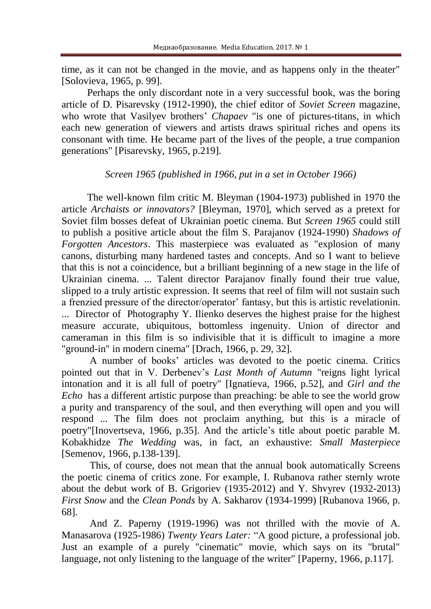time, as it can not be changed in the movie, and as happens only in the theater" [Solovieva, 1965, p. 99].

Perhaps the only discordant note in a very successful book, was the boring article of D. Pisarevsky (1912-1990), the chief editor of *Soviet Screen* magazine, who wrote that Vasilyev brothers' *Chapaev* "is one of pictures-titans, in which each new generation of viewers and artists draws spiritual riches and opens its consonant with time. He became part of the lives of the people, a true companion generations" [Pisarevsky, 1965, p.219].

## *Screen 1965 (published in 1966, put in a set in October 1966)*

The well-known film critic M. Bleyman (1904-1973) published in 1970 the article *Archaists or innovators?* [Bleyman, 1970], which served as a pretext for Soviet film bosses defeat of Ukrainian poetic cinema. But *Screen 1965* could still to publish a positive article about the film S. Parajanov (1924-1990) *Shadows of Forgotten Ancestors*. This masterpiece was evaluated as "explosion of many canons, disturbing many hardened tastes and concepts. And so I want to believe that this is not a coincidence, but a brilliant beginning of a new stage in the life of Ukrainian cinema. ... Talent director Parajanov finally found their true value, slipped to a truly artistic expression. It seems that reel of film will not sustain such a frenzied pressure of the director/operator' fantasy, but this is artistic revelationin. ... Director of Photography Y. Ilienko deserves the highest praise for the highest measure accurate, ubiquitous, bottomless ingenuity. Union of director and cameraman in this film is so indivisible that it is difficult to imagine a more "ground-in" in modern cinema" [Drach, 1966, p. 29, 32].

A number of books' articles was devoted to the poetic cinema. Critics pointed out that in V. Derbenev's *Last Month of Autumn* "reigns light lyrical intonation and it is all full of poetry" [Ignatieva, 1966, p.52], and *Girl and the Echo* has a different artistic purpose than preaching: be able to see the world grow a purity and transparency of the soul, and then everything will open and you will respond ... The film does not proclaim anything, but this is a miracle of poetry"[Inovertseva, 1966, p.35]. And the article's title about poetic parable M. Kobakhidze *The Wedding* was, in fact, an exhaustive: *Small Masterpiece* [Semenov, 1966, p.138-139].

This, of course, does not mean that the annual book automatically Screens the poetic cinema of critics zone. For example, I. Rubanova rather sternly wrote about the debut work of B. Grigoriev (1935-2012) and Y. Shvyrev (1932-2013) *First Snow* and the *Clean Ponds* by A. Sakharov (1934-1999) [Rubanova 1966, p. 68].

And Z. Paperny (1919-1996) was not thrilled with the movie of A. Manasarova (1925-1986) *Twenty Years Later:* "A good picture, a professional job. Just an example of a purely "cinematic" movie, which says on its "brutal" language, not only listening to the language of the writer" [Paperny, 1966, p.117].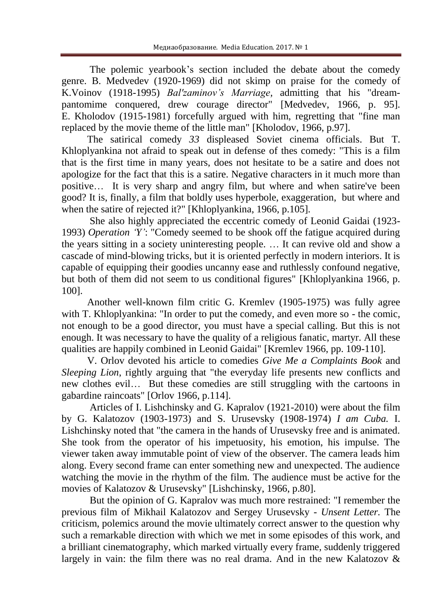The polemic yearbook's section included the debate about the comedy genre. B. Medvedev (1920-1969) did not skimp on praise for the comedy of K.Voinov (1918-1995) *Bal'zaminov's Marriage,* admitting that his "dreampantomime conquered, drew courage director" [Medvedev, 1966, p. 95]. E. Kholodov (1915-1981) forcefully argued with him, regretting that "fine man replaced by the movie theme of the little man" [Kholodov, 1966, p.97].

The satirical comedy *33* displeased Soviet cinema officials. But T. Khloplyankina not afraid to speak out in defense of thes comedy: "This is a film that is the first time in many years, does not hesitate to be a satire and does not apologize for the fact that this is a satire. Negative characters in it much more than positive… It is very sharp and angry film, but where and when satire've been good? It is, finally, a film that boldly uses hyperbole, exaggeration, but where and when the satire of rejected it?" [Khloplyankina, 1966, p.105].

She also highly appreciated the eccentric comedy of Leonid Gaidai (1923- 1993) *Operation 'Y'*: "Comedy seemed to be shook off the fatigue acquired during the years sitting in a society uninteresting people. … It can revive old and show a cascade of mind-blowing tricks, but it is oriented perfectly in modern interiors. It is capable of equipping their goodies uncanny ease and ruthlessly confound negative, but both of them did not seem to us conditional figures" [Khloplyankina 1966, p. 100].

Another well-known film critic G. Kremlev (1905-1975) was fully agree with T. Khloplyankina: "In order to put the comedy, and even more so - the comic, not enough to be a good director, you must have a special calling. But this is not enough. It was necessary to have the quality of a religious fanatic, martyr. All these qualities are happily combined in Leonid Gaidai" [Kremlev 1966, pp. 109-110].

V. Orlov devoted his article to comedies *Give Me a Complaints Book* and *Sleeping Lion*, rightly arguing that "the everyday life presents new conflicts and new clothes evil… But these comedies are still struggling with the cartoons in gabardine raincoats" [Orlov 1966, p.114].

Articles of I. Lishchinsky and G. Kapralov (1921-2010) were about the film by G. Kalatozov (1903-1973) and S. Urusevsky (1908-1974) *I am Cuba.* I. Lishchinsky noted that "the camera in the hands of Urusevsky free and is animated. She took from the operator of his impetuosity, his emotion, his impulse. The viewer taken away immutable point of view of the observer. The camera leads him along. Every second frame can enter something new and unexpected. The audience watching the movie in the rhythm of the film. The audience must be active for the movies of Kalatozov & Urusevsky" [Lishchinsky, 1966, p.80].

But the opinion of G. Kapralov was much more restrained: "I remember the previous film of Mikhail Kalatozov and Sergey Urusevsky - *Unsent Letter.* The criticism, polemics around the movie ultimately correct answer to the question why such a remarkable direction with which we met in some episodes of this work, and a brilliant cinematography, which marked virtually every frame, suddenly triggered largely in vain: the film there was no real drama. And in the new Kalatozov &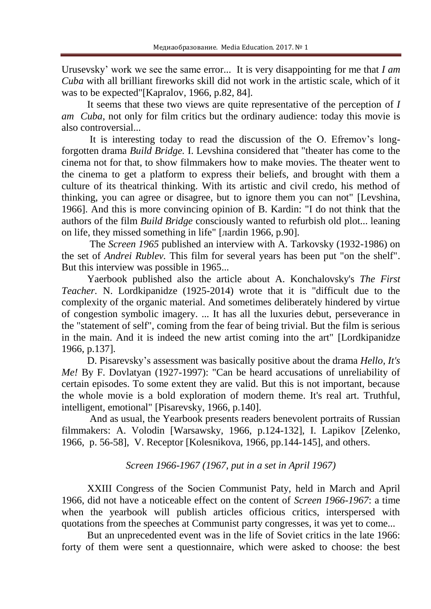Urusevsky' work we see the same error... It is very disappointing for me that *I am Cuba* with all brilliant fireworks skill did not work in the artistic scale, which of it was to be expected"[Kapralov, 1966, p.82, 84].

It seems that these two views are quite representative of the perception of *I am Cuba*, not only for film critics but the ordinary audience: today this movie is also controversial...

It is interesting today to read the discussion of the O. Efremov's longforgotten drama *Build Bridge.* I. Levshina considered that "theater has come to the cinema not for that, to show filmmakers how to make movies. The theater went to the cinema to get a platform to express their beliefs, and brought with them a culture of its theatrical thinking. With its artistic and civil credo, his method of thinking, you can agree or disagree, but to ignore them you can not" [Levshina, 1966]. And this is more convincing opinion of B. Kardin: "I do not think that the authors of the film *Build Bridge* consciously wanted to refurbish old plot... leaning on life, they missed something in life" [лardin 1966, p.90].

The *Screen 1965* published an interview with A. Tarkovsky (1932-1986) on the set of *Andrei Rublev.* This film for several years has been put "on the shelf". But this interview was possible in 1965...

Yaerbook published also the article about A. Konchalovsky's *The First Teacher.* N. Lordkipanidze (1925-2014) wrote that it is "difficult due to the complexity of the organic material. And sometimes deliberately hindered by virtue of congestion symbolic imagery. ... It has all the luxuries debut, perseverance in the "statement of self", coming from the fear of being trivial. But the film is serious in the main. And it is indeed the new artist coming into the art" [Lordkipanidze 1966, p.137].

D. Pisarevsky's assessment was basically positive about the drama *Hello, It's Me!* By F. Dovlatyan (1927-1997): "Can be heard accusations of unreliability of certain episodes. To some extent they are valid. But this is not important, because the whole movie is a bold exploration of modern theme. It's real art. Truthful, intelligent, emotional" [Pisarevsky, 1966, p.140].

And as usual, the Yearbook presents readers benevolent portraits of Russian filmmakers: A. Volodin [Warsawsky, 1966, p.124-132], I. Lapikov [Zelenko, 1966, p. 56-58], V. Receptor [Kolesnikova, 1966, pp.144-145], and others.

## *Screen 1966-1967 (1967, put in a set in April 1967)*

XXIII Congress of the Socien Communist Paty, held in March and April 1966, did not have a noticeable effect on the content of *Screen 1966-1967*: a time when the yearbook will publish articles officious critics, interspersed with quotations from the speeches at Communist party congresses, it was yet to come...

But an unprecedented event was in the life of Soviet critics in the late 1966: forty of them were sent a questionnaire, which were asked to choose: the best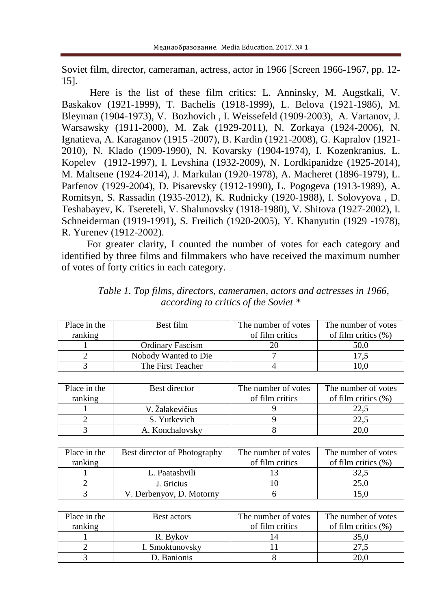Soviet film, director, cameraman, actress, actor in 1966 [Screen 1966-1967, pp. 12- 15].

Here is the list of these film critics: L. Anninsky, M. Augstkali, V. Baskakov (1921-1999), T. Bachelis (1918-1999), L. Belova (1921-1986), M. Bleyman (1904-1973), V. Bozhovich , I. Weissefeld (1909-2003), A. Vartanov, J. Warsawsky (1911-2000), M. Zak (1929-2011), N. Zorkaya (1924-2006), N. Ignatieva, A. Karaganov (1915 -2007), B. Kardin (1921-2008), G. Kapralov (1921- 2010), N. Klado (1909-1990), N. Kovarsky (1904-1974), I. Kozenkranius, L. Kopelev (1912-1997), I. Levshina (1932-2009), N. Lordkipanidze (1925-2014), M. Maltsene (1924-2014), J. Markulan (1920-1978), A. Macheret (1896-1979), L. Parfenov (1929-2004), D. Pisarevsky (1912-1990), L. Pogogeva (1913-1989), A. Romitsyn, S. Rassadin (1935-2012), K. Rudnicky (1920-1988), I. Solovyova , D. Teshabayev, K. Tsereteli, V. Shalunovsky (1918-1980), V. Shitova (1927-2002), I. Schneiderman (1919-1991), S. Freilich (1920-2005), Y. Khanyutin (1929 -1978), R. Yurenev (1912-2002).

For greater clarity, I counted the number of votes for each category and identified by three films and filmmakers who have received the maximum number of votes of forty critics in each category.

| Place in the | Best film               | The number of votes | The number of votes    |
|--------------|-------------------------|---------------------|------------------------|
| ranking      |                         | of film critics     | of film critics $(\%)$ |
|              | <b>Ordinary Fascism</b> |                     | 50,0                   |
|              | Nobody Wanted to Die    |                     |                        |
|              | The First Teacher       |                     | 10.0                   |

*Table 1. Top films, directors, cameramen, actors and actresses in 1966, according to critics of the Soviet \**

| Place in the | Best director   | The number of votes | The number of votes    |
|--------------|-----------------|---------------------|------------------------|
| ranking      |                 | of film critics     | of film critics $(\%)$ |
|              | V. Žalakevičius |                     |                        |
|              | S. Yutkevich    |                     |                        |
|              | A. Konchalovsky |                     |                        |

| Place in the | Best director of Photography | The number of votes | The number of votes    |
|--------------|------------------------------|---------------------|------------------------|
| ranking      |                              | of film critics     | of film critics $(\%)$ |
|              | L. Paatashvili               |                     | 32.5                   |
|              | J. Gricius                   |                     | 25,0                   |
|              | V. Derbenyov, D. Motorny     |                     |                        |

| Place in the | Best actors     | The number of votes | The number of votes    |
|--------------|-----------------|---------------------|------------------------|
| ranking      |                 | of film critics     | of film critics $(\%)$ |
|              | R. Bykov        |                     |                        |
|              | I. Smoktunovsky |                     |                        |
|              | D. Banionis     |                     |                        |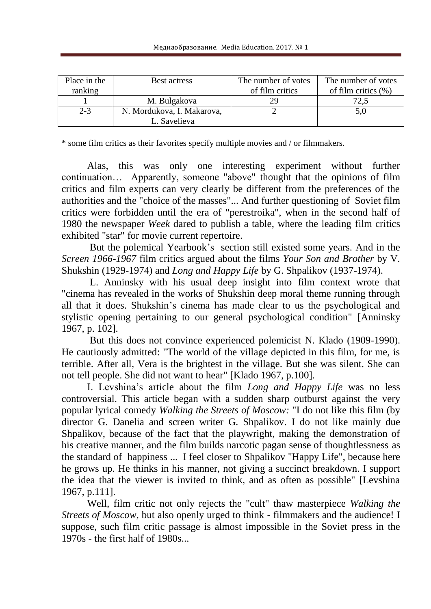| Place in the | Best actress               | The number of votes | The number of votes    |
|--------------|----------------------------|---------------------|------------------------|
| ranking      |                            | of film critics     | of film critics $(\%)$ |
|              | M. Bulgakova               | 29                  |                        |
| $2 - 3$      | N. Mordukova, I. Makarova, |                     |                        |
|              | L. Savelieva               |                     |                        |

\* some film critics as their favorites specify multiple movies and / or filmmakers.

Alas, this was only one interesting experiment without further continuation… Apparently, someone "above" thought that the opinions of film critics and film experts can very clearly be different from the preferences of the authorities and the "choice of the masses"... And further questioning of Soviet film critics were forbidden until the era of "perestroika", when in the second half of 1980 the newspaper *Week* dared to publish a table, where the leading film critics exhibited "star" for movie current repertoire.

But the polemical Yearbook's section still existed some years. And in the *Screen 1966-1967* film critics argued about the films *Your Son and Brother* by V. Shukshin (1929-1974) and *Long and Happy Life* by G. Shpalikov (1937-1974).

L. Anninsky with his usual deep insight into film context wrote that "cinema has revealed in the works of Shukshin deep moral theme running through all that it does. Shukshin's cinema has made clear to us the psychological and stylistic opening pertaining to our general psychological condition" [Anninsky 1967, p. 102].

But this does not convince experienced polemicist N. Klado (1909-1990). He cautiously admitted: "The world of the village depicted in this film, for me, is terrible. After all, Vera is the brightest in the village. But she was silent. She can not tell people. She did not want to hear" [Klado 1967, p.100].

I. Levshina's article about the film *Long and Happy Life* was no less controversial. This article began with a sudden sharp outburst against the very popular lyrical comedy *Walking the Streets of Moscow:* "I do not like this film (by director G. Danelia and screen writer G. Shpalikov. I do not like mainly due Shpalikov, because of the fact that the playwright, making the demonstration of his creative manner, and the film builds narcotic pagan sense of thoughtlessness as the standard of happiness ... I feel closer to Shpalikov "Happy Life", because here he grows up. He thinks in his manner, not giving a succinct breakdown. I support the idea that the viewer is invited to think, and as often as possible" [Levshina 1967, p.111].

Well, film critic not only rejects the "cult" thaw masterpiece *Walking the Streets of Moscow*, but also openly urged to think - filmmakers and the audience! I suppose, such film critic passage is almost impossible in the Soviet press in the 1970s - the first half of 1980s...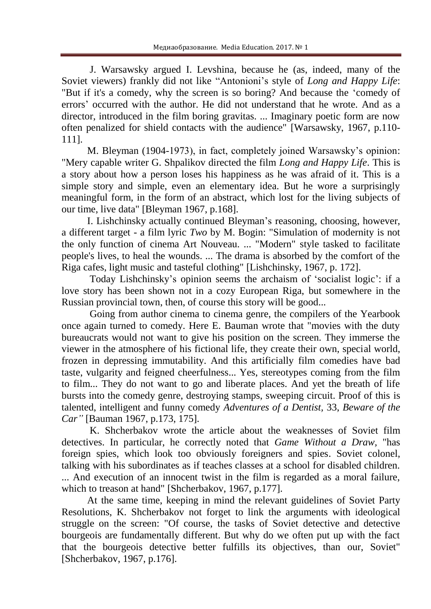J. Warsawsky argued I. Levshina, because he (as, indeed, many of the Soviet viewers) frankly did not like "Antonioni's style of *Long and Happy Life*: "But if it's a comedy, why the screen is so boring? And because the 'comedy of errors' occurred with the author. He did not understand that he wrote. And as a director, introduced in the film boring gravitas. ... Imaginary poetic form are now often penalized for shield contacts with the audience" [Warsawsky, 1967, p.110- 111].

M. Bleyman (1904-1973), in fact, completely joined Warsawsky's opinion: "Мery capable writer G. Shpalikov directed the film *Long and Happy Life*. This is a story about how a person loses his happiness as he was afraid of it. This is a simple story and simple, even an elementary idea. But he wore a surprisingly meaningful form, in the form of an abstract, which lost for the living subjects of our time, live data" [Bleyman 1967, p.168].

I. Lishchinsky actually continued Bleyman's reasoning, choosing, however, a different target - a film lyric *Two* by M. Bogin: "Simulation of modernity is not the only function of cinema Art Nouveau. ... "Modern" style tasked to facilitate people's lives, to heal the wounds. ... The drama is absorbed by the comfort of the Riga cafes, light music and tasteful clothing" [Lishchinsky, 1967, p. 172].

Today Lishchinsky's opinion seems the archaism of 'socialist logic': if a love story has been shown not in a cozy European Riga, but somewhere in the Russian provincial town, then, of course this story will be good...

Going from author cinema to cinema genre, the compilers of the Yearbook once again turned to comedy. Here E. Bauman wrote that "movies with the duty bureaucrats would not want to give his position on the screen. They immerse the viewer in the atmosphere of his fictional life, they create their own, special world, frozen in depressing immutability. And this artificially film comedies have bad taste, vulgarity and feigned cheerfulness... Yes, stereotypes coming from the film to film... They do not want to go and liberate places. And yet the breath of life bursts into the comedy genre, destroying stamps, sweeping circuit. Proof of this is talented, intelligent and funny comedy *Adventures of a Dentist,* 33, *Beware of the Car"* [Bauman 1967, p.173, 175].

K. Shcherbakov wrote the article about the weaknesses of Soviet film detectives. In particular, he correctly noted that *Game Without a Draw,* "has foreign spies, which look too obviously foreigners and spies. Soviet colonel, talking with his subordinates as if teaches classes at a school for disabled children. ... And execution of an innocent twist in the film is regarded as a moral failure, which to treason at hand" [Shcherbakov, 1967, p.177].

At the same time, keeping in mind the relevant guidelines of Soviet Party Resolutions, K. Shcherbakov not forget to link the arguments with ideological struggle on the screen: "Of course, the tasks of Soviet detective and detective bourgeois are fundamentally different. But why do we often put up with the fact that the bourgeois detective better fulfills its objectives, than our, Soviet" [Shcherbakov, 1967, p.176].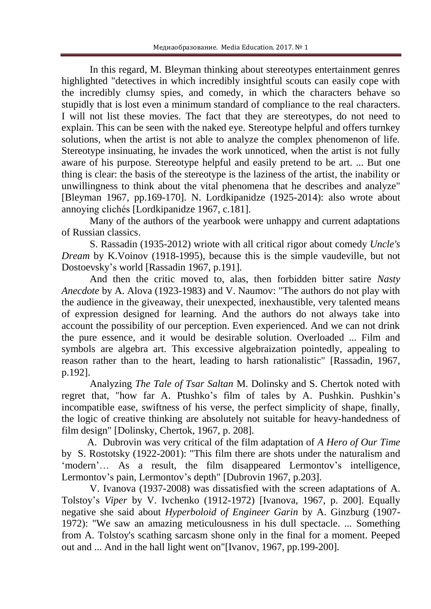In this regard, M. Bleyman thinking about stereotypes entertainment genres highlighted "detectives in which incredibly insightful scouts can easily cope with the incredibly clumsy spies, and comedy, in which the characters behave so stupidly that is lost even a minimum standard of compliance to the real characters. I will not list these movies. The fact that they are stereotypes, do not need to explain. This can be seen with the naked eye. Stereotype helpful and offers turnkey solutions, when the artist is not able to analyze the complex phenomenon of life. Stereotype insinuating, he invades the work unnoticed, when the artist is not fully aware of his purpose. Stereotype helpful and easily pretend to be art. ... But one thing is clear: the basis of the stereotype is the laziness of the artist, the inability or unwillingness to think about the vital phenomena that he describes and analyze" [Bleyman 1967, pp.169-170]. N. Lordkipanidze (1925-2014): also wrote about annoying clichés [Lordkipanidze 1967, c.181].

Many of the authors of the yearbook were unhappy and current adaptations of Russian classics.

S. Rassadin (1935-2012) wriote with all critical rigor about comedy *Uncle's Dream* by K.Voinov (1918-1995), because this is the simple vaudeville, but not Dostoevsky's world [Rassadin 1967, p.191].

And then the critic moved to, alas, then forbidden bitter satire *Nasty Anecdote* by A. Alova (1923-1983) and V. Naumov: "The authors do not play with the audience in the giveaway, their unexpected, inexhaustible, very talented means of expression designed for learning. And the authors do not always take into account the possibility of our perception. Even experienced. And we can not drink the pure essence, and it would be desirable solution. Overloaded ... Film and symbols are algebra art. This excessive algebraization pointedly, appealing to reason rather than to the heart, leading to harsh rationalistic" [Rassadin, 1967, p.192].

Analyzing *The Tale of Tsar Saltan* M. Dolinsky and S. Chertok noted with regret that, "how far A. Ptushko's film of tales by A. Pushkin. Pushkin's incompatible ease, swiftness of his verse, the perfect simplicity of shape, finally, the logic of creative thinking are absolutely not suitable for heavy-handedness of film design" [Dolinsky, Chertok, 1967, p. 208].

A. Dubrovin was very critical of the film adaptation of *A Hero of Our Time* by S. Rostotsky (1922-2001): "This film there are shots under the naturalism and 'modern'… As a result, the film disappeared Lermontov's intelligence, Lermontov's pain, Lermontov's depth" [Dubrovin 1967, p.203].

V. Ivanova (1937-2008) was dissatisfied with the screen adaptations of A. Tolstoy's *Viper* by V. Ivchenko (1912-1972) [Ivanova, 1967, p. 200]. Equally negative she said about *Hyperboloid of Engineer Garin* by A. Ginzburg (1907- 1972): "We saw an amazing meticulousness in his dull spectacle. ... Something from A. Tolstoy's scathing sarcasm shone only in the final for a moment. Peeped out and ... And in the hall light went on"[Ivanov, 1967, pp.199-200].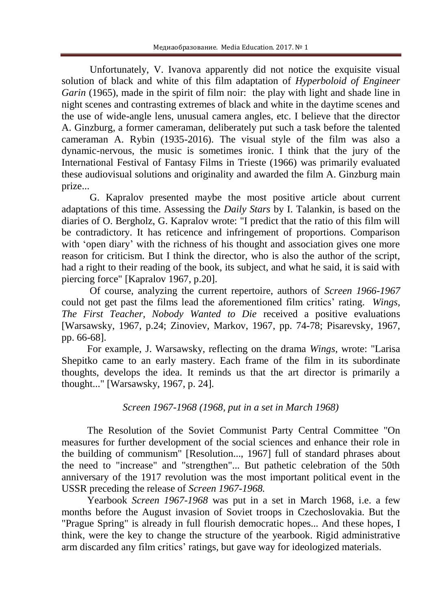Unfortunately, V. Ivanova apparently did not notice the exquisite visual solution of black and white of this film adaptation of *Hyperboloid of Engineer Garin* (1965), made in the spirit of film noir: the play with light and shade line in night scenes and contrasting extremes of black and white in the daytime scenes and the use of wide-angle lens, unusual camera angles, etc. I believe that the director A. Ginzburg, a former cameraman, deliberately put such a task before the talented cameraman A. Rybin (1935-2016). The visual style of the film was also a dynamic-nervous, the music is sometimes ironic. I think that the jury of the International Festival of Fantasy Films in Trieste (1966) was primarily evaluated these audiovisual solutions and originality and awarded the film A. Ginzburg main prize...

G. Kapralov presented maybe the most positive article about current adaptations of this time. Assessing the *Daily Stars* by I. Talankin, is based on the diaries of O. Bergholz, G. Kapralov wrote: "I predict that the ratio of this film will be contradictory. It has reticence and infringement of proportions. Comparison with 'open diary' with the richness of his thought and association gives one more reason for criticism. But I think the director, who is also the author of the script, had a right to their reading of the book, its subject, and what he said, it is said with piercing force" [Kapralov 1967, p.20].

Of course, analyzing the current repertoire, authors of *Screen 1966-1967* could not get past the films lead the aforementioned film critics' rating. *Wings, The First Teacher, Nobody Wanted to Die* received a positive evaluations [Warsawsky, 1967, p.24; Zinoviev, Markov, 1967, pp. 74-78; Pisarevsky, 1967, pp. 66-68].

For example, J. Warsawsky, reflecting on the drama *Wings,* wrote: "Larisa Shepitko came to an early mastery. Each frame of the film in its subordinate thoughts, develops the idea. It reminds us that the art director is primarily a thought..." [Warsawsky, 1967, p. 24].

## *Screen 1967-1968 (1968, put in a set in March 1968)*

The Resolution of the Soviet Communist Party Central Committee "On measures for further development of the social sciences and enhance their role in the building of communism" [Resolution..., 1967] full of standard phrases about the need to "increase" and "strengthen"... But pathetic celebration of the 50th anniversary of the 1917 revolution was the most important political event in the USSR preceding the release of *Screen 1967-1968.*

Yearbook *Screen 1967-1968* was put in a set in March 1968, i.e. a few months before the August invasion of Soviet troops in Czechoslovakia. But the "Prague Spring" is already in full flourish democratic hopes... And these hopes, I think, were the key to change the structure of the yearbook. Rigid administrative arm discarded any film critics' ratings, but gave way for ideologized materials.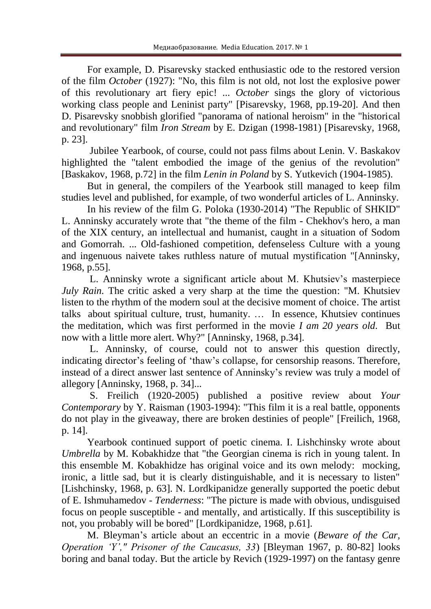For example, D. Pisarevsky stacked enthusiastic ode to the restored version of the film *October* (1927): "No, this film is not old, not lost the explosive power of this revolutionary art fiery epic! ... *October* sings the glory of victorious working class people and Leninist party" [Pisarevsky, 1968, pp.19-20]. And then D. Pisarevsky snobbish glorified "panorama of national heroism" in the "historical and revolutionary" film *Iron Stream* by E. Dzigan (1998-1981) [Pisarevsky, 1968, p. 23].

Jubilee Yearbook, of course, could not pass films about Lenin. V. Baskakov highlighted the "talent embodied the image of the genius of the revolution" [Baskakov, 1968, p.72] in the film *Lenin in Poland* by S. Yutkevich (1904-1985).

But in general, the compilers of the Yearbook still managed to keep film studies level and published, for example, of two wonderful articles of L. Anninsky.

In his review of the film G. Poloka (1930-2014) "The Republic of SHKID" L. Anninsky accurately wrote that "the theme of the film - Chekhov's hero, a man of the XIX century, an intellectual and humanist, caught in a situation of Sodom and Gomorrah. ... Old-fashioned competition, defenseless Culture with a young and ingenuous naivete takes ruthless nature of mutual mystification "[Anninsky, 1968, p.55].

L. Anninsky wrote a significant article about M. Khutsiev's masterpiece *July Rain.* The critic asked a very sharp at the time the question: "M. Khutsiev listen to the rhythm of the modern soul at the decisive moment of choice. The artist talks about spiritual culture, trust, humanity. … In essence, Khutsiev continues the meditation, which was first performed in the movie *I am 20 years old.* But now with a little more alert. Why?" [Anninsky, 1968, p.34].

L. Anninsky, of course, could not to answer this question directly, indicating director's feeling of 'thaw's collapse, for censorship reasons. Therefore, instead of a direct answer last sentence of Anninsky's review was truly a model of allegory [Anninsky, 1968, p. 34]...

S. Freilich (1920-2005) published a positive review about *Your Contemporary* by Y. Raisman (1903-1994): "This film it is a real battle, opponents do not play in the giveaway, there are broken destinies of people" [Freilich, 1968, p. 14].

Yearbook continued support of poetic cinema. I. Lishchinsky wrote about *Umbrella* by M. Kobakhidze that "the Georgian cinema is rich in young talent. In this ensemble M. Kobakhidze has original voice and its own melody: mocking, ironic, a little sad, but it is clearly distinguishable, and it is necessary to listen" [Lishchinsky, 1968, p. 63]. N. Lordkipanidze generally supported the poetic debut of E. Ishmuhamedov - *Tenderness*: "The picture is made with obvious, undisguised focus on people susceptible - and mentally, and artistically. If this susceptibility is not, you probably will be bored" [Lordkipanidze, 1968, p.61].

M. Bleyman's article about an eccentric in a movie (*Beware of the Car, Operation 'Y'," Prisoner of the Caucasus, 33*) [Bleyman 1967, p. 80-82] looks boring and banal today. But the article by Revich (1929-1997) on the fantasy genre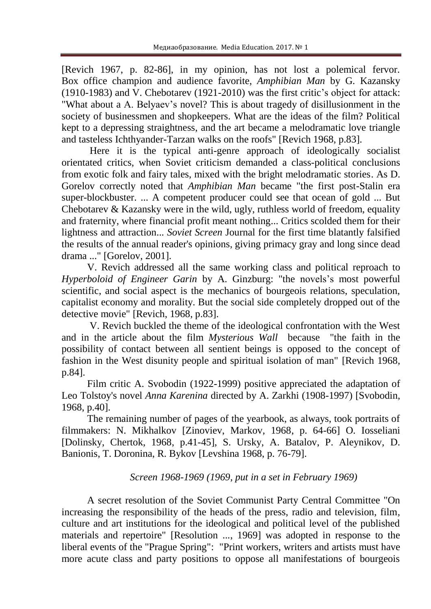[Revich 1967, p. 82-86], in my opinion, has not lost a polemical fervor. Box office champion and audience favorite, *Amphibian Man* by G. Kazansky (1910-1983) and V. Chebotarev (1921-2010) was the first critic's object for attack: "What about a A. Belyaev's novel? This is about tragedy of disillusionment in the society of businessmen and shopkeepers. What are the ideas of the film? Political kept to a depressing straightness, and the art became a melodramatic love triangle and tasteless Ichthyander-Tarzan walks on the roofs" [Revich 1968, p.83].

Here it is the typical anti-genre approach of ideologically socialist orientated critics, when Soviet criticism demanded a class-political conclusions from exotic folk and fairy tales, mixed with the bright melodramatic stories. As D. Gorelov correctly noted that *Amphibian Man* became "the first post-Stalin era super-blockbuster. ... A competent producer could see that ocean of gold ... But Chebotarev & Kazansky were in the wild, ugly, ruthless world of freedom, equality and fraternity, where financial profit meant nothing... Critics scolded them for their lightness and attraction... *Soviet Screen* Journal for the first time blatantly falsified the results of the annual reader's opinions, giving primacy gray and long since dead drama ..." [Gorelov, 2001].

V. Revich addressed all the same working class and political reproach to *Hyperboloid of Engineer Garin* by A. Ginzburg: "the novels's most powerful scientific, and social aspect is the mechanics of bourgeois relations, speculation, capitalist economy and morality. But the social side completely dropped out of the detective movie" [Revich, 1968, p.83].

V. Revich buckled the theme of the ideological confrontation with the West and in the article about the film *Mysterious Wall* because "the faith in the possibility of contact between all sentient beings is opposed to the concept of fashion in the West disunity people and spiritual isolation of man" [Revich 1968, p.84].

Film critic A. Svobodin (1922-1999) positive appreciated the adaptation of Leo Tolstoy's novel *Anna Karenina* directed by A. Zarkhi (1908-1997) [Svobodin, 1968, p.40].

The remaining number of pages of the yearbook, as always, took portraits of filmmakers: N. Mikhalkov [Zinoviev, Markov, 1968, p. 64-66] O. Iosseliani [Dolinsky, Chertok, 1968, p.41-45], S. Ursky, A. Batalov, P. Aleynikov, D. Banionis, T. Doronina, R. Bykov [Levshina 1968, p. 76-79].

# *Screen 1968-1969 (1969, put in a set in February 1969)*

A secret resolution of the Soviet Communist Party Central Committee "On increasing the responsibility of the heads of the press, radio and television, film, culture and art institutions for the ideological and political level of the published materials and repertoire" [Resolution ..., 1969] was adopted in response to the liberal events of the "Prague Spring": "Print workers, writers and artists must have more acute class and party positions to oppose all manifestations of bourgeois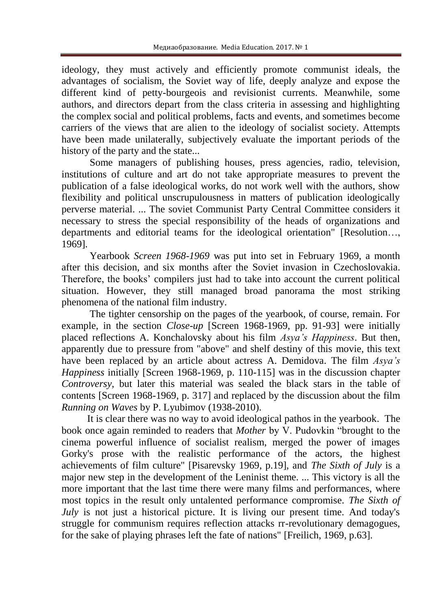ideology, they must actively and efficiently promote communist ideals, the advantages of socialism, the Soviet way of life, deeply analyze and expose the different kind of petty-bourgeois and revisionist currents. Meanwhile, some authors, and directors depart from the class criteria in assessing and highlighting the complex social and political problems, facts and events, and sometimes become carriers of the views that are alien to the ideology of socialist society. Attempts have been made unilaterally, subjectively evaluate the important periods of the history of the party and the state...

Some managers of publishing houses, press agencies, radio, television, institutions of culture and art do not take appropriate measures to prevent the publication of a false ideological works, do not work well with the authors, show flexibility and political unscrupulousness in matters of publication ideologically perverse material. ... The soviet Communist Party Central Committee considers it necessary to stress the special responsibility of the heads of organizations and departments and editorial teams for the ideological orientation" [Resolution…, 1969].

Yearbook *Screen 1968-1969* was put into set in February 1969, a month after this decision, and six months after the Soviet invasion in Czechoslovakia. Therefore, the books' compilers just had to take into account the current political situation. However, they still managed broad panorama the most striking phenomena of the national film industry.

The tighter censorship on the pages of the yearbook, of course, remain. For example, in the section *Close-up* [Screen 1968-1969, pp. 91-93] were initially placed reflections A. Konchalovsky about his film *Asya's Happiness*. But then, apparently due to pressure from "above" and shelf destiny of this movie, this text have been replaced by an article about actress A. Demidova. The film *Asya's Happiness* initially [Screen 1968-1969, p. 110-115] was in the discussion chapter *Controversy*, but later this material was sealed the black stars in the table of contents [Screen 1968-1969, p. 317] and replaced by the discussion about the film *Running on Waves* by P. Lyubimov (1938-2010).

It is clear there was no way to avoid ideological pathos in the yearbook. The book once again reminded to readers that *Mother* by V. Pudovkin "brought to the cinema powerful influence of socialist realism, merged the power of images Gorky's prose with the realistic performance of the actors, the highest achievements of film culture" [Pisarevsky 1969, p.19], and *The Sixth of July* is a major new step in the development of the Leninist theme. ... This victory is all the more important that the last time there were many films and performances, where most topics in the result only untalented performance compromise. *The Sixth of July* is not just a historical picture. It is living our present time. And today's struggle for communism requires reflection attacks rr-revolutionary demagogues, for the sake of playing phrases left the fate of nations" [Freilich, 1969, p.63].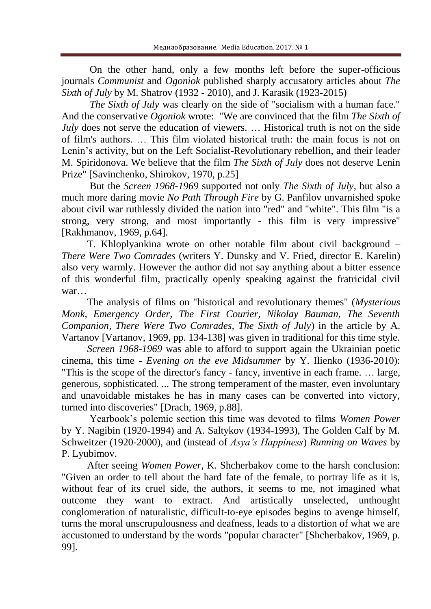On the other hand, only a few months left before the super-officious journals *Communist* and *Ogoniok* published sharply accusatory articles about *The Sixth of July* by M. Shatrov (1932 - 2010), and J. Karasik (1923-2015)

*The Sixth of July* was clearly on the side of "socialism with a human face." And the conservative *Ogoniok* wrote: "We are convinced that the film *The Sixth of July* does not serve the education of viewers. ... Historical truth is not on the side of film's authors. … This film violated historical truth: the main focus is not on Lenin's activity, but on the Left Socialist-Revolutionary rebellion, and their leader M. Spiridonova. We believe that the film *The Sixth of July* does not deserve Lenin Prize" [Savinchenko, Shirokov, 1970, p.25]

But the *Screen 1968-1969* supported not only *The Sixth of July*, but also a much more daring movie *No Path Through Fire* by G. Panfilov unvarnished spoke about civil war ruthlessly divided the nation into "red" and "white". This film "is a strong, very strong, and most importantly - this film is very impressive" [Rakhmanov, 1969, p.64].

T. Khloplyankina wrote on other notable film about civil background – *There Were Two Comrades* (writers Y. Dunsky and V. Fried, director E. Karelin) also very warmly. However the author did not say anything about a bitter essence of this wonderful film, practically openly speaking against the fratricidal civil war…

The analysis of films on "historical and revolutionary themes" (*Mysterious Monk, Emergency Order, The First Courier, Nikolay Bauman, The Seventh Companion, There Were Two Comrades, The Sixth of July*) in the article by A. Vartanov [Vartanov, 1969, pp. 134-138] was given in traditional for this time style.

*Screen 1968-1969* was able to afford to support again the Ukrainian poetic cinema, this time - *Evening on the eve Midsummer* by Y. Ilienko (1936-2010): "This is the scope of the director's fancy - fancy, inventive in each frame. … large, generous, sophisticated. ... The strong temperament of the master, even involuntary and unavoidable mistakes he has in many cases can be converted into victory, turned into discoveries" [Drach, 1969, p.88].

Yearbook's polemic section this time was devoted to films *Women Power* by Y. Nagibin (1920-1994) and A. Saltykov (1934-1993), The Golden Calf by M. Schweitzer (1920-2000), and (instead of *Asya's Happiness*) *Running on Waves* by P. Lyubimov.

After seeing *Women Power*, K. Shcherbakov come to the harsh conclusion: "Given an order to tell about the hard fate of the female, to portray life as it is, without fear of its cruel side, the authors, it seems to me, not imagined what outcome they want to extract. And artistically unselected, unthought conglomeration of naturalistic, difficult-to-eye episodes begins to avenge himself, turns the moral unscrupulousness and deafness, leads to a distortion of what we are accustomed to understand by the words "popular character" [Shcherbakov, 1969, p. 99].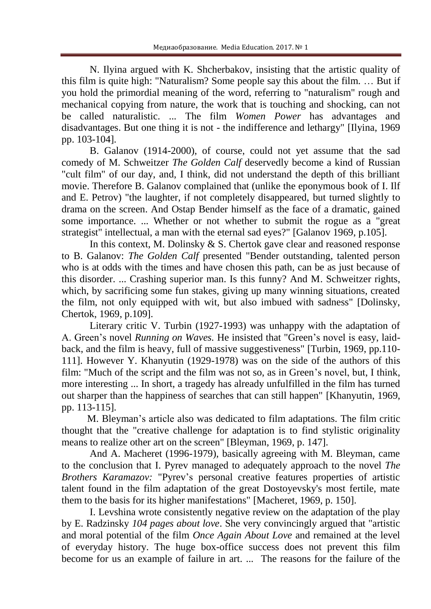N. Ilyina argued with K. Shcherbakov, insisting that the artistic quality of this film is quite high: "Naturalism? Some people say this about the film. … But if you hold the primordial meaning of the word, referring to "naturalism" rough and mechanical copying from nature, the work that is touching and shocking, can not be called naturalistic. ... The film *Women Power* has advantages and disadvantages. But one thing it is not - the indifference and lethargy" [Ilyina, 1969 pp. 103-104].

B. Galanov (1914-2000), of course, could not yet assume that the sad comedy of M. Schweitzer *The Golden Calf* deservedly become a kind of Russian "cult film" of our day, and, I think, did not understand the depth of this brilliant movie. Therefore B. Galanov complained that (unlike the eponymous book of I. Ilf and E. Petrov) "the laughter, if not completely disappeared, but turned slightly to drama on the screen. And Ostap Bender himself as the face of a dramatic, gained some importance. ... Whether or not whether to submit the rogue as a "great strategist" intellectual, a man with the eternal sad eyes?" [Galanov 1969, p.105].

In this context, M. Dolinsky & S. Chertok gave clear and reasoned response to B. Galanov: *The Golden Calf* presented "Bender outstanding, talented person who is at odds with the times and have chosen this path, can be as just because of this disorder. ... Crashing superior man. Is this funny? And M. Schweitzer rights, which, by sacrificing some fun stakes, giving up many winning situations, created the film, not only equipped with wit, but also imbued with sadness" [Dolinsky, Chertok, 1969, p.109].

Literary critic V. Turbin (1927-1993) was unhappy with the adaptation of A. Green's novel *Running on Waves.* He insisted that "Green's novel is easy, laidback, and the film is heavy, full of massive suggestiveness" [Turbin, 1969, pp.110- 111]. However Y. Khanyutin (1929-1978) was on the side of the authors of this film: "Much of the script and the film was not so, as in Green's novel, but, I think, more interesting ... In short, a tragedy has already unfulfilled in the film has turned out sharper than the happiness of searches that can still happen" [Khanyutin, 1969, pp. 113-115].

M. Bleyman's article also was dedicated to film adaptations. The film critic thought that the "creative challenge for adaptation is to find stylistic originality means to realize other art on the screen" [Bleyman, 1969, p. 147].

And A. Macheret (1996-1979), basically agreeing with M. Bleyman, came to the conclusion that I. Pyrev managed to adequately approach to the novel *The Brothers Karamazov:* "Pyrev's personal creative features properties of artistic talent found in the film adaptation of the great Dostoyevsky's most fertile, mate them to the basis for its higher manifestations" [Macheret, 1969, p. 150].

I. Levshina wrote consistently negative review on the adaptation of the play by E. Radzinsky *104 pages about love*. She very convincingly argued that "artistic and moral potential of the film *Once Again About Love* and remained at the level of everyday history. The huge box-office success does not prevent this film become for us an example of failure in art. ... The reasons for the failure of the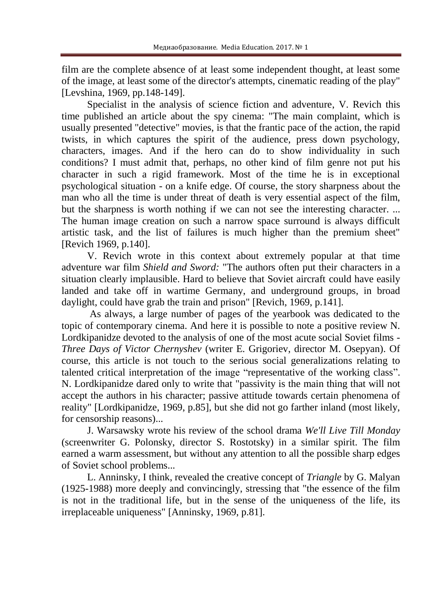film are the complete absence of at least some independent thought, at least some of the image, at least some of the director's attempts, cinematic reading of the play" [Levshina, 1969, pp.148-149].

Specialist in the analysis of science fiction and adventure, V. Revich this time published an article about the spy cinema: "The main complaint, which is usually presented "detective" movies, is that the frantic pace of the action, the rapid twists, in which captures the spirit of the audience, press down psychology, characters, images. And if the hero can do to show individuality in such conditions? I must admit that, perhaps, no other kind of film genre not put his character in such a rigid framework. Most of the time he is in exceptional psychological situation - on a knife edge. Of course, the story sharpness about the man who all the time is under threat of death is very essential aspect of the film, but the sharpness is worth nothing if we can not see the interesting character. ... The human image creation on such a narrow space surround is always difficult artistic task, and the list of failures is much higher than the premium sheet" [Revich 1969, p.140].

V. Revich wrote in this context about extremely popular at that time adventure war film *Shield and Sword:* "The authors often put their characters in a situation clearly implausible. Hard to believe that Soviet aircraft could have easily landed and take off in wartime Germany, and underground groups, in broad daylight, could have grab the train and prison" [Revich, 1969, p.141].

As always, a large number of pages of the yearbook was dedicated to the topic of contemporary cinema. And here it is possible to note a positive review N. Lordkipanidze devoted to the analysis of one of the most acute social Soviet films - *Three Days of Victor Chernyshev* (writer E. Grigoriev, director M. Osepyan). Of course, this article is not touch to the serious social generalizations relating to talented critical interpretation of the image "representative of the working class". N. Lordkipanidze dared only to write that "passivity is the main thing that will not accept the authors in his character; passive attitude towards certain phenomena of reality" [Lordkipanidze, 1969, p.85], but she did not go farther inland (most likely, for censorship reasons)...

J. Warsawsky wrote his review of the school drama *We'll Live Till Monday* (screenwriter G. Polonsky, director S. Rostotsky) in a similar spirit. The film earned a warm assessment, but without any attention to all the possible sharp edges of Soviet school problems...

L. Anninsky, I think, revealed the creative concept of *Triangle* by G. Malyan (1925-1988) more deeply and convincingly, stressing that "the essence of the film is not in the traditional life, but in the sense of the uniqueness of the life, its irreplaceable uniqueness" [Anninsky, 1969, p.81].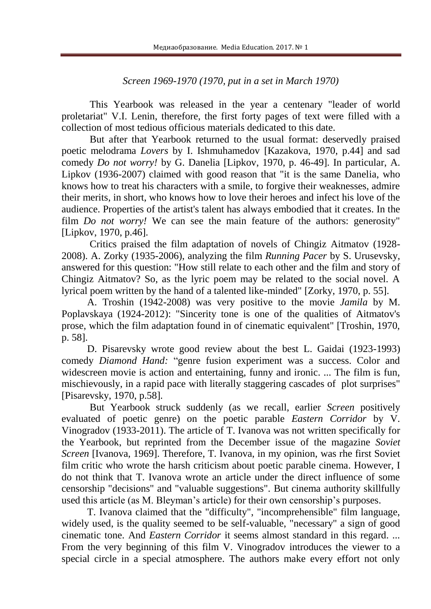# *Screen 1969-1970 (1970, put in a set in March 1970)*

This Yearbook was released in the year a centenary "leader of world proletariat" V.I. Lenin, therefore, the first forty pages of text were filled with a collection of most tedious officious materials dedicated to this date.

But after that Yearbook returned to the usual format: deservedly praised poetic melodrama *Lovers* by I. Ishmuhamedov [Kazakova, 1970, p.44] and sad comedy *Do not worry!* by G. Danelia [Lipkov, 1970, p. 46-49]. In particular, A. Lipkov (1936-2007) claimed with good reason that "it is the same Danelia, who knows how to treat his characters with a smile, to forgive their weaknesses, admire their merits, in short, who knows how to love their heroes and infect his love of the audience. Properties of the artist's talent has always embodied that it creates. In the film *Do not worry!* We can see the main feature of the authors: generosity" [Lipkov, 1970, p.46].

Critics praised the film adaptation of novels of Chingiz Aitmatov (1928- 2008). A. Zorky (1935-2006), analyzing the film *Running Pacer* by S. Urusevsky, answered for this question: "How still relate to each other and the film and story of Chingiz Aitmatov? So, as the lyric poem may be related to the social novel. A lyrical poem written by the hand of a talented like-minded" [Zorky, 1970, p. 55].

A. Troshin (1942-2008) was very positive to the movie *Jamila* by M. Poplavskaya (1924-2012): "Sincerity tone is one of the qualities of Aitmatov's prose, which the film adaptation found in of cinematic equivalent" [Troshin, 1970, p. 58].

D. Pisarevsky wrote good review about the best L. Gaidai (1923-1993) comedy *Diamond Hand:* "genre fusion experiment was a success. Color and widescreen movie is action and entertaining, funny and ironic. ... The film is fun, mischievously, in a rapid pace with literally staggering cascades of plot surprises" [Pisarevsky, 1970, p.58].

But Yearbook struck suddenly (as we recall, earlier *Screen* positively evaluated of poetic genre) on the poetic parable *Eastern Corridor* by V. Vinogradov (1933-2011). The article of T. Ivanova was not written specifically for the Yearbook, but reprinted from the December issue of the magazine *Soviet Screen* [Ivanova, 1969]. Therefore, T. Ivanova, in my opinion, was rhe first Soviet film critic who wrote the harsh criticism about poetic parable cinema. However, I do not think that T. Ivanova wrote an article under the direct influence of some censorship "decisions" and "valuable suggestions". But cinema authority skillfully used this article (as M. Bleyman's article) for their own censorship's purposes.

T. Ivanova claimed that the "difficulty", "incomprehensible" film language, widely used, is the quality seemed to be self-valuable, "necessary" a sign of good cinematic tone. And *Eastern Corridor* it seems almost standard in this regard. ... From the very beginning of this film V. Vinogradov introduces the viewer to a special circle in a special atmosphere. The authors make every effort not only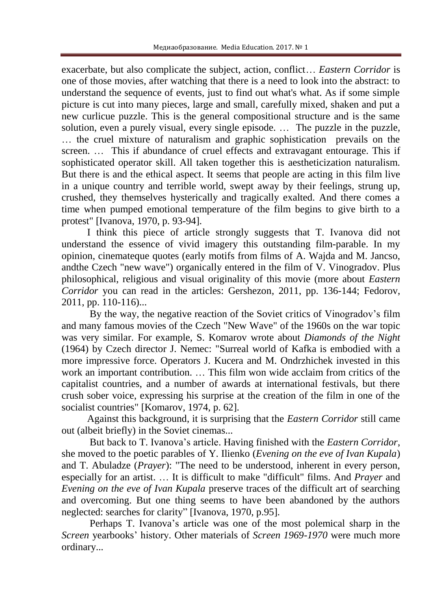exacerbate, but also complicate the subject, action, conflict… *Eastern Corridor* is one of those movies, after watching that there is a need to look into the abstract: to understand the sequence of events, just to find out what's what. As if some simple picture is cut into many pieces, large and small, carefully mixed, shaken and put a new curlicue puzzle. This is the general compositional structure and is the same solution, even a purely visual, every single episode. … The puzzle in the puzzle, … the cruel mixture of naturalism and graphic sophistication prevails on the screen. … This if abundance of cruel effects and extravagant entourage. This if sophisticated operator skill. All taken together this is aestheticization naturalism. But there is and the ethical aspect. It seems that people are acting in this film live in a unique country and terrible world, swept away by their feelings, strung up, crushed, they themselves hysterically and tragically exalted. And there comes a time when pumped emotional temperature of the film begins to give birth to a protest" [Ivanova, 1970, p. 93-94].

I think this piece of article strongly suggests that T. Ivanova did not understand the essence of vivid imagery this outstanding film-parable. In my opinion, cinemateque quotes (early motifs from films of A. Wajda and M. Jancso, andthe Czech "new wave") organically entered in the film of V. Vinogradov. Plus philosophical, religious and visual originality of this movie (more about *Eastern Corridor* you can read in the articles: Gershezon, 2011, pp. 136-144; Fedorov, 2011, pp. 110-116)...

By the way, the negative reaction of the Soviet critics of Vinogradov's film and many famous movies of the Czech "New Wave" of the 1960s on the war topic was very similar. For example, S. Komarov wrote about *Diamonds of the Night* (1964) by Czech director J. Nemec: "Surreal world of Kafka is embodied with a more impressive force. Operators J. Kucera and M. Ondrzhichek invested in this work an important contribution. … This film won wide acclaim from critics of the capitalist countries, and a number of awards at international festivals, but there crush sober voice, expressing his surprise at the creation of the film in one of the socialist countries" [Komarov, 1974, p. 62].

Against this background, it is surprising that the *Eastern Corridor* still came out (albeit briefly) in the Soviet cinemas...

But back to T. Ivanova's article. Having finished with the *Eastern Corridor*, she moved to the poetic parables of Y. Ilienko (*Evening on the eve of Ivan Kupala*) and T. Abuladze (*Prayer*): "The need to be understood, inherent in every person, especially for an artist. … It is difficult to make "difficult" films. And *Prayer* and *Evening on the eve of Ivan Kupala* preserve traces of the difficult art of searching and overcoming. But one thing seems to have been abandoned by the authors neglected: searches for clarity" [Ivanova, 1970, p.95].

Perhaps T. Ivanova's article was one of the most polemical sharp in the *Screen* yearbooks' history. Other materials of *Screen 1969-1970* were much more ordinary...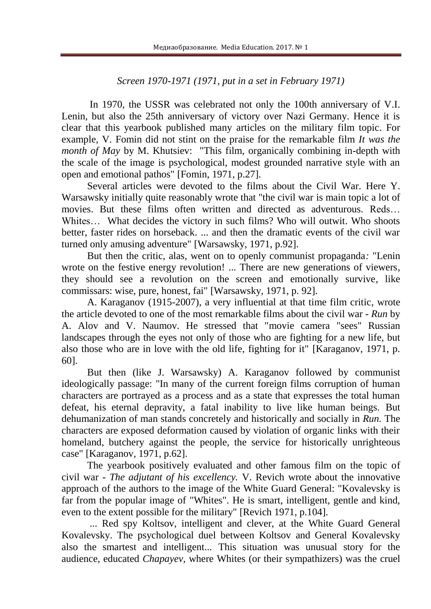# *Screen 1970-1971 (1971, put in a set in February 1971)*

In 1970, the USSR was celebrated not only the 100th anniversary of V.I. Lenin, but also the 25th anniversary of victory over Nazi Germany. Hence it is clear that this yearbook published many articles on the military film topic. For example, V. Fomin did not stint on the praise for the remarkable film *It was the month of May* by M. Khutsiev: "This film, organically combining in-depth with the scale of the image is psychological, modest grounded narrative style with an open and emotional pathos" [Fomin, 1971, p.27].

Several articles were devoted to the films about the Civil War. Here Y. Warsawsky initially quite reasonably wrote that "the civil war is main topic a lot of movies. But these films often written and directed as adventurous. Reds… Whites... What decides the victory in such films? Who will outwit. Who shoots better, faster rides on horseback. ... and then the dramatic events of the civil war turned only amusing adventure" [Warsawsky, 1971, p.92].

But then the critic, alas, went on to openly communist propaganda*:* "Lenin wrote on the festive energy revolution! ... There are new generations of viewers, they should see a revolution on the screen and emotionally survive, like commissars: wise, pure, honest, fai" [Warsawsky, 1971, p. 92].

A. Karaganov (1915-2007), a very influential at that time film critic, wrote the article devoted to one of the most remarkable films about the civil war - *Run* by A. Alov and V. Naumov. He stressed that "movie camera "sees" Russian landscapes through the eyes not only of those who are fighting for a new life, but also those who are in love with the old life, fighting for it" [Karaganov, 1971, p. 60].

But then (like J. Warsawsky) A. Karaganov followed by communist ideologically passage: "In many of the current foreign films corruption of human characters are portrayed as a process and as a state that expresses the total human defeat, his eternal depravity, a fatal inability to live like human beings. But dehumanization of man stands concretely and historically and socially in *Run.* The characters are exposed deformation caused by violation of organic links with their homeland, butchery against the people, the service for historically unrighteous case" [Karaganov, 1971, p.62].

The yearbook positively evaluated and other famous film on the topic of civil war - *The adjutant of his excellency.* V. Revich wrote about the innovative approach of the authors to the image of the White Guard General: "Kovalevsky is far from the popular image of "Whites". He is smart, intelligent, gentle and kind, even to the extent possible for the military" [Revich 1971, p.104].

... Red spy Koltsov, intelligent and clever, at the White Guard General Kovalevsky. The psychological duel between Koltsov and General Kovalevsky also the smartest and intelligent... This situation was unusual story for the audience, educated *Chapayev,* where Whites (or their sympathizers) was the cruel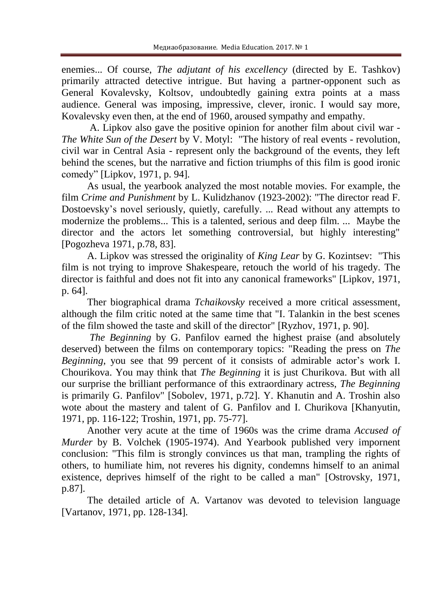enemies... Of course, *The adjutant of his excellency* (directed by E. Tashkov) primarily attracted detective intrigue. But having a partner-opponent such as General Kovalevsky, Koltsov, undoubtedly gaining extra points at a mass audience. General was imposing, impressive, clever, ironic. I would say more, Kovalevsky even then, at the end of 1960, aroused sympathy and empathy.

A. Lipkov also gave the positive opinion for another film about civil war - *The White Sun of the Desert* by V. Motyl: "The history of real events - revolution, civil war in Central Asia - represent only the background of the events, they left behind the scenes, but the narrative and fiction triumphs of this film is good ironic comedy" [Lipkov, 1971, p. 94].

As usual, the yearbook analyzed the most notable movies. For example, the film *Crime and Punishment* by L. Kulidzhanov (1923-2002): "The director read F. Dostoevsky's novel seriously, quietly, carefully. ... Read without any attempts to modernize the problems... This is a talented, serious and deep film. ... Maybe the director and the actors let something controversial, but highly interesting" [Pogozheva 1971, p.78, 83].

A. Lipkov was stressed the originality of *King Lear* by G. Kozintsev: "This film is not trying to improve Shakespeare, retouch the world of his tragedy. The director is faithful and does not fit into any canonical frameworks" [Lipkov, 1971, p. 64].

Ther biographical drama *Tchaikovsky* received a more critical assessment, although the film critic noted at the same time that "I. Talankin in the best scenes of the film showed the taste and skill of the director" [Ryzhov, 1971, p. 90].

*The Beginning* by G. Panfilov earned the highest praise (and absolutely deserved) between the films on contemporary topics: "Reading the press on *The Beginning*, you see that 99 percent of it consists of admirable actor's work I. Chourikova. You may think that *The Beginning* it is just Churikova. But with all our surprise the brilliant performance of this extraordinary actress, *The Beginning* is primarily G. Panfilov" [Sobolev, 1971, p.72]. Y. Khanutin and A. Troshin also wote about the mastery and talent of G. Panfilov and I. Churikova [Khanyutin, 1971, pp. 116-122; Troshin, 1971, pp. 75-77].

Another very acute at the time of 1960s was the crime drama *Accused of Murder* by B. Volchek (1905-1974). And Yearbook published very impornent conclusion: "This film is strongly convinces us that man, trampling the rights of others, to humiliate him, not reveres his dignity, condemns himself to an animal existence, deprives himself of the right to be called a man" [Ostrovsky, 1971, p.87].

The detailed article of A. Vartanov was devoted to television language [Vartanov, 1971, pp. 128-134].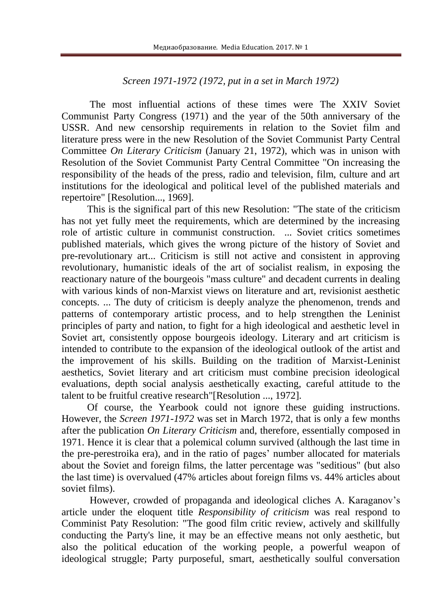# *Screen 1971-1972 (1972, put in a set in March 1972)*

The most influential actions of these times were The XXIV Soviet Communist Party Congress (1971) and the year of the 50th anniversary of the USSR. And new censorship requirements in relation to the Soviet film and literature press were in the new Resolution of the Soviet Communist Party Central Committee *On Literary Criticism* (January 21, 1972), which was in unison with Resolution of the Soviet Communist Party Central Committee "On increasing the responsibility of the heads of the press, radio and television, film, culture and art institutions for the ideological and political level of the published materials and repertoire" [Resolution..., 1969].

This is the significal part of this new Resolution: "The state of the criticism has not yet fully meet the requirements, which are determined by the increasing role of artistic culture in communist construction. ... Soviet critics sometimes published materials, which gives the wrong picture of the history of Soviet and pre-revolutionary art... Criticism is still not active and consistent in approving revolutionary, humanistic ideals of the art of socialist realism, in exposing the reactionary nature of the bourgeois "mass culture" and decadent currents in dealing with various kinds of non-Marxist views on literature and art, revisionist aesthetic concepts. ... The duty of criticism is deeply analyze the phenomenon, trends and patterns of contemporary artistic process, and to help strengthen the Leninist principles of party and nation, to fight for a high ideological and aesthetic level in Soviet art, consistently oppose bourgeois ideology. Literary and art criticism is intended to contribute to the expansion of the ideological outlook of the artist and the improvement of his skills. Building on the tradition of Marxist-Leninist aesthetics, Soviet literary and art criticism must combine precision ideological evaluations, depth social analysis aesthetically exacting, careful attitude to the talent to be fruitful creative research"[Resolution ..., 1972].

Of course, the Yearbook could not ignore these guiding instructions. However, the *Screen 1971-1972* was set in March 1972, that is only a few months after the publication *On Literary Criticism* and, therefore, essentially composed in 1971. Hence it is clear that a polemical column survived (although the last time in the pre-perestroika era), and in the ratio of pages' number allocated for materials about the Soviet and foreign films, the latter percentage was "seditious" (but also the last time) is overvalued (47% articles about foreign films vs. 44% articles about soviet films).

However, crowded of propaganda and ideological cliches A. Karaganov's article under the eloquent title *Responsibility of criticism* was real respond to Comminist Paty Resolution: "The good film critic review, actively and skillfully conducting the Party's line, it may be an effective means not only aesthetic, but also the political education of the working people, a powerful weapon of ideological struggle; Party purposeful, smart, aesthetically soulful conversation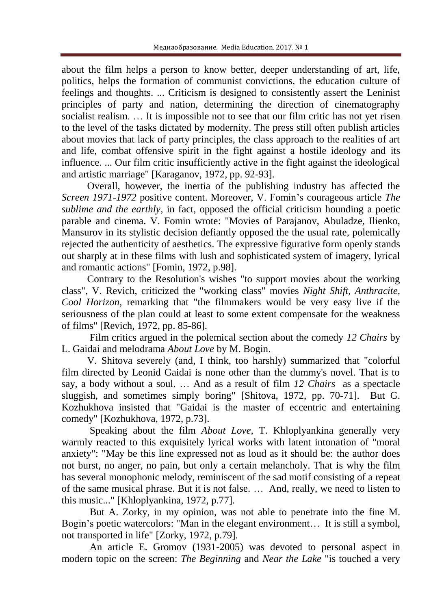about the film helps a person to know better, deeper understanding of art, life, politics, helps the formation of communist convictions, the education culture of feelings and thoughts. ... Criticism is designed to consistently assert the Leninist principles of party and nation, determining the direction of cinematography socialist realism. ... It is impossible not to see that our film critic has not yet risen to the level of the tasks dictated by modernity. The press still often publish articles about movies that lack of party principles, the class approach to the realities of art and life, combat offensive spirit in the fight against a hostile ideology and its influence. ... Our film critic insufficiently active in the fight against the ideological and artistic marriage" [Karaganov, 1972, pp. 92-93].

Overall, however, the inertia of the publishing industry has affected the *Screen 1971-1972* positive content. Moreover, V. Fomin's courageous article *The sublime and the earthly*, in fact, opposed the official criticism hounding a poetic parable and cinema. V. Fomin wrote: "Movies of Parajanov, Abuladze, Ilienko, Mansurov in its stylistic decision defiantly opposed the the usual rate, polemically rejected the authenticity of aesthetics. The expressive figurative form openly stands out sharply at in these films with lush and sophisticated system of imagery, lyrical and romantic actions" [Fomin, 1972, p.98].

Contrary to the Resolution's wishes "to support movies about the working class", V. Revich, criticized the "working class" movies *Night Shift, Anthracite, Cool Horizon*, remarking that "the filmmakers would be very easy live if the seriousness of the plan could at least to some extent compensate for the weakness of films" [Revich, 1972, pp. 85-86].

Film critics argued in the polemical section about the comedy *12 Chairs* by L. Gaidai and melodrama *About Love* by M. Bogin.

V. Shitova severely (and, I think, too harshly) summarized that "colorful film directed by Leonid Gaidai is none other than the dummy's novel. That is to say, a body without a soul. … And as a result of film *12 Chairs* as a spectacle sluggish, and sometimes simply boring" [Shitova, 1972, pp. 70-71]. But G. Kozhukhova insisted that "Gaidai is the master of eccentric and entertaining comedy" [Kozhukhova, 1972, p.73].

Speaking about the film *About Love,* T. Khloplyankina generally very warmly reacted to this exquisitely lyrical works with latent intonation of "moral anxiety": "May be this line expressed not as loud as it should be: the author does not burst, no anger, no pain, but only a certain melancholy. That is why the film has several monophonic melody, reminiscent of the sad motif consisting of a repeat of the same musical phrase. But it is not false. … And, really, we need to listen to this music..." [Khloplyankina, 1972, p.77].

But A. Zorky, in my opinion, was not able to penetrate into the fine M. Bogin's poetic watercolors: "Man in the elegant environment… It is still a symbol, not transported in life" [Zorky, 1972, p.79].

An article E. Gromov (1931-2005) was devoted to personal aspect in modern topic on the screen: *The Beginning* and *Near the Lake* "is touched a very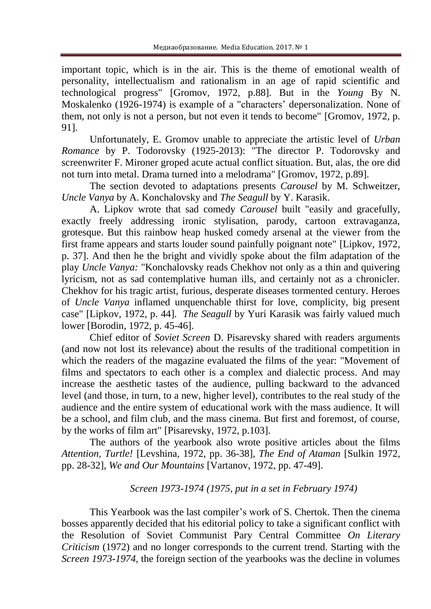important topic, which is in the air. This is the theme of emotional wealth of personality, intellectualism and rationalism in an age of rapid scientific and technological progress" [Gromov, 1972, p.88]. But in the *Young* By N. Moskalenko (1926-1974) is example of a "characters' depersonalization. None of them, not only is not a person, but not even it tends to become" [Gromov, 1972, p. 91].

Unfortunately, E. Gromov unable to appreciate the artistic level of *Urban Romance* by P. Todorovsky (1925-2013): "The director P. Todorovsky and screenwriter F. Mironer groped acute actual conflict situation. But, alas, the ore did not turn into metal. Drama turned into a melodrama" [Gromov, 1972, p.89].

The section devoted to adaptations presents *Carousel* by M. Schweitzer, *Uncle Vanya* by A. Konchalovsky and *The Seagull* by Y. Karasik.

A. Lipkov wrote that sad comedy *Carousel* built "easily and gracefully, exactly freely addressing ironic stylisation, parody, cartoon extravaganza, grotesque. But this rainbow heap husked comedy arsenal at the viewer from the first frame appears and starts louder sound painfully poignant note" [Lipkov, 1972, p. 37]. And then he the bright and vividly spoke about the film adaptation of the play *Uncle Vanya:* "Konchalovsky reads Chekhov not only as a thin and quivering lyricism, not as sad contemplative human ills, and certainly not as a chronicler. Chekhov for his tragic artist, furious, desperate diseases tormented century. Heroes of *Uncle Vanya* inflamed unquenchable thirst for love, complicity, big present case" [Lipkov, 1972, p. 44]. *The Seagull* by Yuri Karasik was fairly valued much lower [Borodin, 1972, p. 45-46].

Chief editor of *Soviet Screen* D. Pisarevsky shared with readers arguments (and now not lost its relevance) about the results of the traditional competition in which the readers of the magazine evaluated the films of the year: "Movement of films and spectators to each other is a complex and dialectic process. And may increase the aesthetic tastes of the audience, pulling backward to the advanced level (and those, in turn, to a new, higher level), contributes to the real study of the audience and the entire system of educational work with the mass audience. It will be a school, and film club, and the mass cinema. But first and foremost, of course, by the works of film art" [Pisarevsky, 1972, p.103].

The authors of the yearbook also wrote positive articles about the films *Attention, Turtle!* [Levshina, 1972, pp. 36-38], *The End of Ataman* [Sulkin 1972, pp. 28-32], *We and Our Mountains* [Vartanov, 1972, pp. 47-49].

# *Screen 1973-1974 (1975, put in a set in February 1974)*

This Yearbook was the last compiler's work of S. Chertok. Then the cinema bosses apparently decided that his editorial policy to take a significant conflict with the Resolution of Soviet Communist Pary Central Committee *On Literary Criticism* (1972) and no longer corresponds to the current trend. Starting with the *Screen 1973-1974,* the foreign section of the yearbooks was the decline in volumes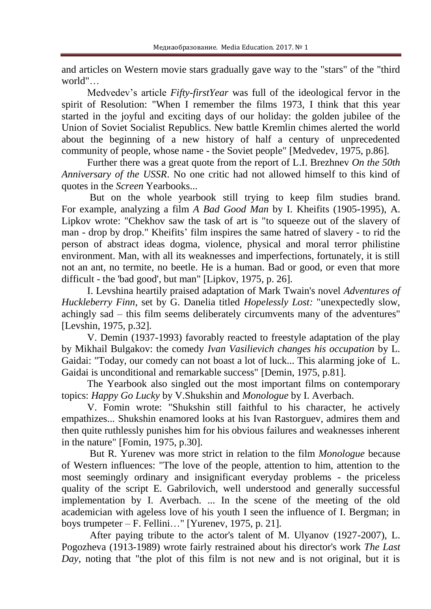and articles on Western movie stars gradually gave way to the "stars" of the "third world"…

Medvedev's article *Fifty-firstYear* was full of the ideological fervor in the spirit of Resolution: "When I remember the films 1973, I think that this year started in the joyful and exciting days of our holiday: the golden jubilee of the Union of Soviet Socialist Republics. New battle Kremlin chimes alerted the world about the beginning of a new history of half a century of unprecedented community of people, whose name - the Soviet people" [Medvedev, 1975, p.86].

Further there was a great quote from the report of L.I. Brezhnev *On the 50th Anniversary of the USSR*. No one critic had not allowed himself to this kind of quotes in the *Screen* Yearbooks...

But on the whole yearbook still trying to keep film studies brand. For example, analyzing a film *A Bad Good Man* by I. Kheifits (1905-1995), A. Lipkov wrote: "Chekhov saw the task of art is "to squeeze out of the slavery of man - drop by drop." Kheifits' film inspires the same hatred of slavery - to rid the person of abstract ideas dogma, violence, physical and moral terror philistine environment. Man, with all its weaknesses and imperfections, fortunately, it is still not an ant, no termite, no beetle. He is a human. Bad or good, or even that more difficult - the 'bad good', but man" [Lipkov, 1975, p. 26].

I. Levshina heartily praised adaptation of Mark Twain's novel *Adventures of Huckleberry Finn*, set by G. Danelia titled *Hopelessly Lost:* "unexpectedly slow, achingly sad – this film seems deliberately circumvents many of the adventures" [Levshin, 1975, p.32].

V. Demin (1937-1993) favorably reacted to freestyle adaptation of the play by Mikhail Bulgakov: the comedy *Ivan Vasilievich changes his occupation* by L. Gaidai: "Today, our comedy can not boast a lot of luck... This alarming joke of L. Gaidai is unconditional and remarkable success" [Demin, 1975, p.81].

The Yearbook also singled out the most important films on contemporary topics: *Happy Go Lucky* by V.Shukshin and *Monologue* by I. Averbach.

V. Fomin wrote: "Shukshin still faithful to his character, he actively empathizes... Shukshin enamored looks at his Ivan Rastorguev, admires them and then quite ruthlessly punishes him for his obvious failures and weaknesses inherent in the nature" [Fomin, 1975, p.30].

But R. Yurenev was more strict in relation to the film *Monologue* because of Western influences: "The love of the people, attention to him, attention to the most seemingly ordinary and insignificant everyday problems - the priceless quality of the script E. Gabrilovich, well understood and generally successful implementation by I. Averbach. ... In the scene of the meeting of the old academician with ageless love of his youth I seen the influence of I. Bergman; in boys trumpeter – F. Fellini…" [Yurenev, 1975, p. 21].

After paying tribute to the actor's talent of M. Ulyanov (1927-2007), L. Pogozheva (1913-1989) wrote fairly restrained about his director's work *The Last Day*, noting that "the plot of this film is not new and is not original, but it is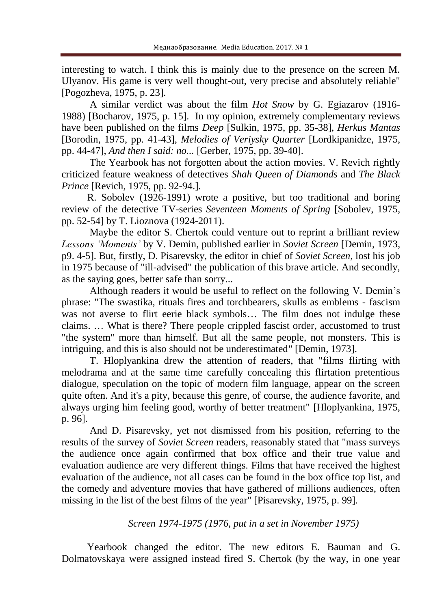interesting to watch. I think this is mainly due to the presence on the screen M. Ulyanov. His game is very well thought-out, very precise and absolutely reliable" [Pogozheva, 1975, p. 23].

A similar verdict was about the film *Hot Snow* by G. Egiazarov (1916- 1988) [Bocharov, 1975, p. 15]. In my opinion, extremely complementary reviews have been published on the films *Deep* [Sulkin, 1975, pp. 35-38], *Herkus Mantas* [Borodin, 1975, pp. 41-43], *Melodies of Veriysky Quarter* [Lordkipanidze, 1975, pp. 44-47], *And then I said: no...* [Gerber, 1975, pp. 39-40].

The Yearbook has not forgotten about the action movies. V. Revich rightly criticized feature weakness of detectives *Shah Queen of Diamonds* and *The Black Prince* [Revich, 1975, pp. 92-94.].

R. Sobolev (1926-1991) wrote a positive, but too traditional and boring review of the detective TV-series *Seventeen Moments of Spring* [Sobolev, 1975, pp. 52-54] by T. Lioznova (1924-2011).

Maybe the editor S. Chertok could venture out to reprint a brilliant review *Lessons 'Moments'* by V. Demin, published earlier in *Soviet Screen* [Demin, 1973, p9. 4-5]. But, firstly, D. Pisarevsky, the editor in chief of *Soviet Screen*, lost his job in 1975 because of "ill-advised" the publication of this brave article. And secondly, as the saying goes, better safe than sorry...

Although readers it would be useful to reflect on the following V. Demin's phrase: "The swastika, rituals fires and torchbearers, skulls as emblems - fascism was not averse to flirt eerie black symbols... The film does not indulge these claims. … What is there? There people crippled fascist order, accustomed to trust "the system" more than himself. But all the same people, not monsters. This is intriguing, and this is also should not be underestimated" [Demin, 1973].

T. Hloplyankina drew the attention of readers, that "films flirting with melodrama and at the same time carefully concealing this flirtation pretentious dialogue, speculation on the topic of modern film language, appear on the screen quite often. And it's a pity, because this genre, of course, the audience favorite, and always urging him feeling good, worthy of better treatment" [Hloplyankina, 1975, p. 96].

And D. Pisarevsky, yet not dismissed from his position, referring to the results of the survey of *Soviet Screen* readers, reasonably stated that "mass surveys the audience once again confirmed that box office and their true value and evaluation audience are very different things. Films that have received the highest evaluation of the audience, not all cases can be found in the box office top list, and the comedy and adventure movies that have gathered of millions audiences, often missing in the list of the best films of the year" [Pisarevsky, 1975, p. 99].

## *Screen 1974-1975 (1976, put in a set in November 1975)*

Yearbook changed the editor. The new editors E. Bauman and G. Dolmatovskaya were assigned instead fired S. Chertok (by the way, in one year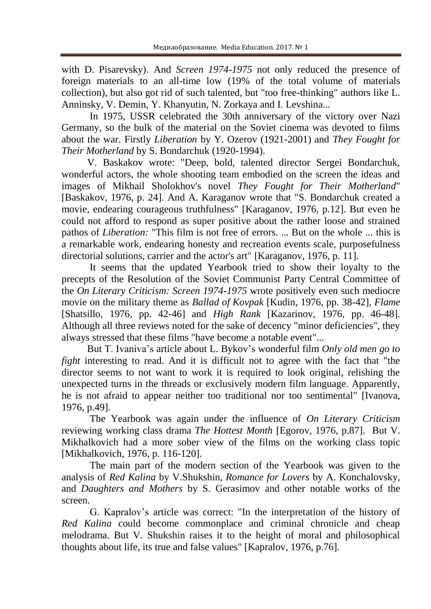with D. Pisarevsky). And *Screen 1974-1975* not only reduced the presence of foreign materials to an all-time low (19% of the total volume of materials collection), but also got rid of such talented, but "too free-thinking" authors like L. Anninsky, V. Demin, Y. Khanyutin, N. Zorkaya and I. Levshina...

In 1975, USSR celebrated the 30th anniversary of the victory over Nazi Germany, so the bulk of the material on the Soviet cinema was devoted to films about the war. Firstly *Liberation* by Y. Ozerov (1921-2001) and *They Fought for Their Motherland* by S. Bondarchuk (1920-1994).

V. Baskakov wrote: "Deep, bold, talented director Sergei Bondarchuk, wonderful actors, the whole shooting team embodied on the screen the ideas and images of Mikhail Sholokhov's novel *They Fought for Their Motherland*" [Baskakov, 1976, p. 24]. And A. Karaganov wrote that "S. Bondarchuk created a movie, endearing courageous truthfulness" [Karaganov, 1976, p.12]. But even he could not afford to respond as super positive about the rather loose and strained pathos of *Liberation:* "This film is not free of errors. ... But on the whole ... this is a remarkable work, endearing honesty and recreation events scale, purposefulness directorial solutions, carrier and the actor's art" [Karaganov, 1976, p. 11].

It seems that the updated Yearbook tried to show their loyalty to the precepts of the Resolution of the Soviet Communist Party Central Committee of the *On Literary Criticism: Screen 1974-1975* wrote positively even such mediocre movie on the military theme as *Ballad of Kovpak* [Kudin, 1976, pp. 38-42], *Flame*  [Shatsillo, 1976, pp. 42-46] and *High Rank* [Kazarinov, 1976, pp. 46-48]. Although all three reviews noted for the sake of decency "minor deficiencies", they always stressed that these films "have become a notable event"...

But T. Ivaniva's article about L. Bykov's wonderful film *Only old men go to fight* interesting to read. And it is difficult not to agree with the fact that "the director seems to not want to work it is required to look original, relishing the unexpected turns in the threads or exclusively modern film language. Apparently, he is not afraid to appear neither too traditional nor too sentimental" [Ivanova, 1976, p.49].

The Yearbook was again under the influence of *On Literary Criticism* reviewing working class drama *The Hottest Month* [Egorov, 1976, p.87]. But V. Mikhalkovich had a more sober view of the films on the working class topic [Mikhalkovich, 1976, p. 116-120].

The main part of the modern section of the Yearbook was given to the analysis of *Red Kalina* by V.Shukshin, *Romance for Lovers* by A. Konchalovsky, and *Daughters and Mothers* by S. Gerasimov and other notable works of the screen.

G. Kapralov's article was correct: "In the interpretation of the history of *Red Kalina* could become commonplace and criminal chronicle and cheap melodrama. But V. Shukshin raises it to the height of moral and philosophical thoughts about life, its true and false values" [Kapralov, 1976, p.76].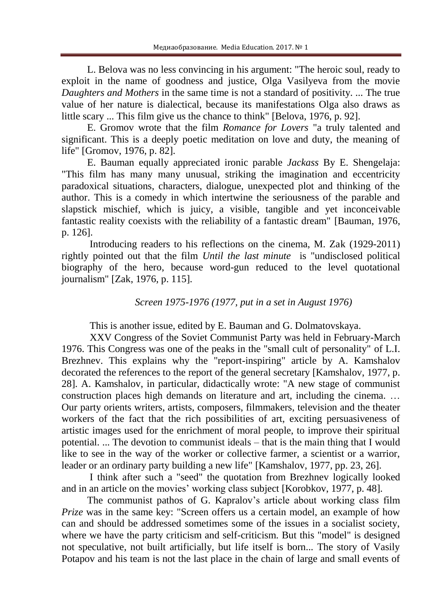L. Belova was no less convincing in his argument: "The heroic soul, ready to exploit in the name of goodness and justice, Olga Vasilyeva from the movie *Daughters and Mothers* in the same time is not a standard of positivity. ... The true value of her nature is dialectical, because its manifestations Olga also draws as little scary ... This film give us the chance to think" [Belova, 1976, p. 92].

E. Gromov wrote that the film *Romance for Lovers* "a truly talented and significant. This is a deeply poetic meditation on love and duty, the meaning of life" [Gromov, 1976, p. 82].

E. Bauman equally appreciated ironic parable *Jackass* By E. Shengelaja: "This film has many many unusual, striking the imagination and eccentricity paradoxical situations, characters, dialogue, unexpected plot and thinking of the author. This is a comedy in which intertwine the seriousness of the parable and slapstick mischief, which is juicy, a visible, tangible and yet inconceivable fantastic reality coexists with the reliability of a fantastic dream" [Bauman, 1976, p. 126].

Introducing readers to his reflections on the cinema, M. Zak (1929-2011) rightly pointed out that the film *Until the last minute* is "undisclosed political biography of the hero, because word-gun reduced to the level quotational journalism" [Zak, 1976, p. 115].

## *Screen 1975-1976 (1977, put in a set in August 1976)*

This is another issue, edited by E. Bauman and G. Dolmatovskaya.

XXV Congress of the Soviet Communist Party was held in February-March 1976. This Congress was one of the peaks in the "small cult of personality" of L.I. Brezhnev. This explains why the "report-inspiring" article by A. Kamshalov decorated the references to the report of the general secretary [Kamshalov, 1977, p. 28]. A. Kamshalov, in particular, didactically wrote: "A new stage of communist construction places high demands on literature and art, including the cinema. … Our party orients writers, artists, composers, filmmakers, television and the theater workers of the fact that the rich possibilities of art, exciting persuasiveness of artistic images used for the enrichment of moral people, to improve their spiritual potential. ... The devotion to communist ideals – that is the main thing that I would like to see in the way of the worker or collective farmer, a scientist or a warrior, leader or an ordinary party building a new life" [Kamshalov, 1977, pp. 23, 26].

I think after such a "seed" the quotation from Brezhnev logically looked and in an article on the movies' working class subject [Korobkov, 1977, p. 48].

The communist pathos of G. Kapralov's article about working class film *Prize* was in the same key: "Screen offers us a certain model, an example of how can and should be addressed sometimes some of the issues in a socialist society, where we have the party criticism and self-criticism. But this "model" is designed not speculative, not built artificially, but life itself is born... The story of Vasily Potapov and his team is not the last place in the chain of large and small events of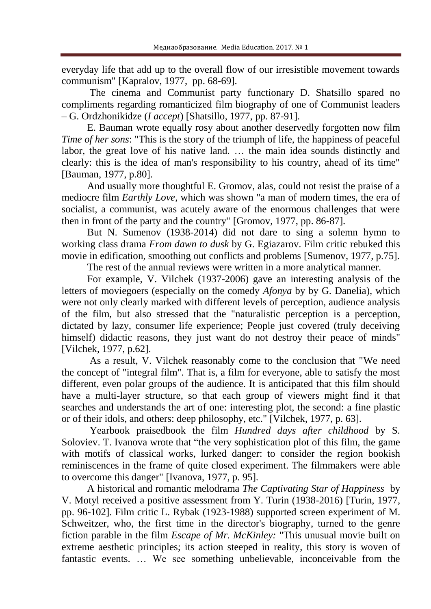everyday life that add up to the overall flow of our irresistible movement towards communism" [Kapralov, 1977, pp. 68-69].

The cinema and Communist party functionary D. Shatsillo spared no compliments regarding romanticized film biography of one of Communist leaders – G. Ordzhonikidze (*I accept*) [Shatsillo, 1977, pp. 87-91].

E. Bauman wrote equally rosy about another deservedly forgotten now film *Time of her sons*: "This is the story of the triumph of life, the happiness of peaceful labor, the great love of his native land. … the main idea sounds distinctly and clearly: this is the idea of man's responsibility to his country, ahead of its time" [Bauman, 1977, p.80].

And usually more thoughtful E. Gromov, alas, could not resist the praise of a mediocre film *Earthly Love,* which was shown "a man of modern times, the era of socialist, a communist, was acutely aware of the enormous challenges that were then in front of the party and the country" [Gromov, 1977, pp. 86-87].

But N. Sumenov (1938-2014) did not dare to sing a solemn hymn to working class drama *From dawn to dusk* by G. Egiazarov. Film critic rebuked this movie in edification, smoothing out conflicts and problems [Sumenov, 1977, p.75].

The rest of the annual reviews were written in a more analytical manner.

For example, V. Vilchek (1937-2006) gave an interesting analysis of the letters of moviegoers (especially on the comedy *Afonya* by by G. Danelia), which were not only clearly marked with different levels of perception, audience analysis of the film, but also stressed that the "naturalistic perception is a perception, dictated by lazy, consumer life experience; People just covered (truly deceiving himself) didactic reasons, they just want do not destroy their peace of minds" [Vilchek, 1977, p.62].

As a result, V. Vilchek reasonably come to the conclusion that "We need the concept of "integral film". That is, a film for everyone, able to satisfy the most different, even polar groups of the audience. It is anticipated that this film should have a multi-layer structure, so that each group of viewers might find it that searches and understands the art of one: interesting plot, the second: a fine plastic or of their idols, and others: deep philosophy, etc." [Vilchek, 1977, p. 63].

Yearbook praisedbook the film *Hundred days after childhood* by S. Soloviev. T. Ivanova wrote that "the very sophistication plot of this film, the game with motifs of classical works, lurked danger: to consider the region bookish reminiscences in the frame of quite closed experiment. The filmmakers were able to overcome this danger" [Ivanova, 1977, p. 95].

A historical and romantic melodrama *The Captivating Star of Happiness* by V. Motyl received a positive assessment from Y. Turin (1938-2016) [Turin, 1977, pp. 96-102]. Film critic L. Rybak (1923-1988) supported screen experiment of M. Schweitzer, who, the first time in the director's biography, turned to the genre fiction parable in the film *Escape of Mr. McKinley:* "This unusual movie built on extreme aesthetic principles; its action steeped in reality, this story is woven of fantastic events. … We see something unbelievable, inconceivable from the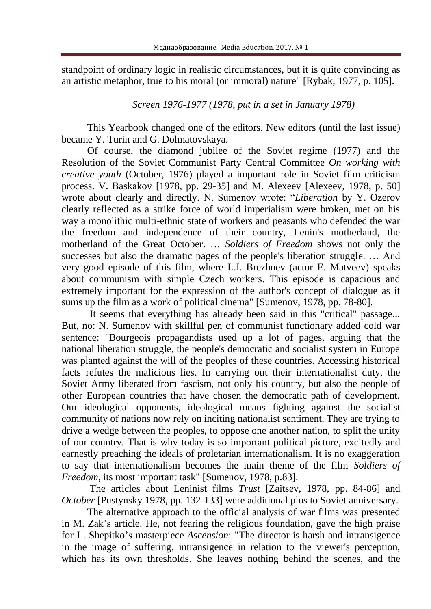standpoint of ordinary logic in realistic circumstances, but it is quite convincing as an artistic metaphor, true to his moral (or immoral) nature" [Rybak, 1977, p. 105].

# *Screen 1976-1977 (1978, put in a set in January 1978)*

This Yearbook changed one of the editors. New editors (until the last issue) became Y. Turin and G. Dolmatovskaya.

Of course, the diamond jubilee of the Soviet regime (1977) and the Resolution of the Soviet Communist Party Central Committee *On working with creative youth* (October, 1976) played a important role in Soviet film criticism process. V. Baskakov [1978, pp. 29-35] and M. Alexeev [Alexeev, 1978, p. 50] wrote about clearly and directly. N. Sumenov wrote: "*Liberation* by Y. Ozerov clearly reflected as a strike force of world imperialism were broken, met on his way a monolithic multi-ethnic state of workers and peasants who defended the war the freedom and independence of their country, Lenin's motherland, the motherland of the Great October. … *Soldiers of Freedom* shows not only the successes but also the dramatic pages of the people's liberation struggle. … And very good episode of this film, where L.I. Brezhnev (actor E. Matveev) speaks about communism with simple Czech workers. This episode is capacious and extremely important for the expression of the author's concept of dialogue as it sums up the film as a work of political cinema" [Sumenov, 1978, pp. 78-80].

It seems that everything has already been said in this "critical" passage... But, no: N. Sumenov with skillful pen of communist functionary added cold war sentence: "Bourgeois propagandists used up a lot of pages, arguing that the national liberation struggle, the people's democratic and socialist system in Europe was planted against the will of the peoples of these countries. Accessing historical facts refutes the malicious lies. In carrying out their internationalist duty, the Soviet Army liberated from fascism, not only his country, but also the people of other European countries that have chosen the democratic path of development. Our ideological opponents, ideological means fighting against the socialist community of nations now rely on inciting nationalist sentiment. They are trying to drive a wedge between the peoples, to oppose one another nation, to split the unity of our country. That is why today is so important political picture, excitedly and earnestly preaching the ideals of proletarian internationalism. It is no exaggeration to say that internationalism becomes the main theme of the film *Soldiers of Freedom*, its most important task" [Sumenov, 1978, p.83].

The articles about Leninist films *Trust* [Zaitsev, 1978, pp. 84-86] and *October* [Pustynsky 1978, pp. 132-133] were additional plus to Soviet anniversary.

The alternative approach to the official analysis of war films was presented in M. Zak's article. He, not fearing the religious foundation, gave the high praise for L. Shepitko's masterpiece *Ascension*: "The director is harsh and intransigence in the image of suffering, intransigence in relation to the viewer's perception, which has its own thresholds. She leaves nothing behind the scenes, and the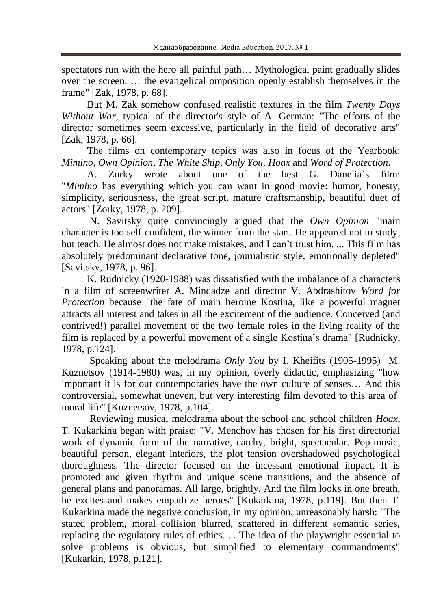spectators run with the hero all painful path… Mythological paint gradually slides over the screen. … the evangelical omposition openly establish themselves in the frame" [Zak, 1978, p. 68].

But M. Zak somehow confused realistic textures in the film *Twenty Days Without War*, typical of the director's style of A. German: "The efforts of the director sometimes seem excessive, particularly in the field of decorative arts" [Zak, 1978, p. 66].

The films on contemporary topics was also in focus of the Yearbook: *Mimino, Own Opinion, The White Ship, Only You, Hoax* and *Word of Protection.*

A. Zorky wrote about one of the best G. Danelia's film: "*Mimino* has everything which you can want in good movie: humor, honesty, simplicity, seriousness, the great script, mature craftsmanship, beautiful duet of actors" [Zorky, 1978, p. 209].

N. Savitsky quite convincingly argued that the *Own Opinion* "main character is too self-confident, the winner from the start. He appeared not to study, but teach. He almost does not make mistakes, and I can't trust him. ... This film has absolutely predominant declarative tone, journalistic style, emotionally depleted" [Savitsky, 1978, p. 96].

K. Rudnicky (1920-1988) was dissatisfied with the imbalance of a characters in a film of screenwriter A. Mindadze and director V. Abdrashitov *Word for Protection* because "the fate of main heroine Kostina, like a powerful magnet attracts all interest and takes in all the excitement of the audience. Conceived (and contrived!) parallel movement of the two female roles in the living reality of the film is replaced by a powerful movement of a single Kostina's drama" [Rudnicky, 1978, p.124].

Speaking about the melodrama *Only You* by I. Kheifits (1905-1995) M. Kuznetsov (1914-1980) was, in my opinion, overly didactic, emphasizing "how important it is for our contemporaries have the own culture of senses… And this controversial, somewhat uneven, but very interesting film devoted to this area of moral life" [Kuznetsov, 1978, p.104].

Reviewing musical melodrama about the school and school children *Hoax*, T. Kukarkina began with praise: "V. Menchov has chosen for his first directorial work of dynamic form of the narrative, catchy, bright, spectacular. Pop-music, beautiful person, elegant interiors, the plot tension overshadowed psychological thoroughness. The director focused on the incessant emotional impact. It is promoted and given rhythm and unique scene transitions, and the absence of general plans and panoramas. All large, brightly. And the film looks in one breath, he excites and makes empathize heroes" [Kukarkina, 1978, p.119]. But then T. Kukarkina made the negative conclusion, in my opinion, unreasonably harsh: "The stated problem, moral collision blurred, scattered in different semantic series, replacing the regulatory rules of ethics. ... The idea of the playwright essential to solve problems is obvious, but simplified to elementary commandments" [Kukarkin, 1978, p.121].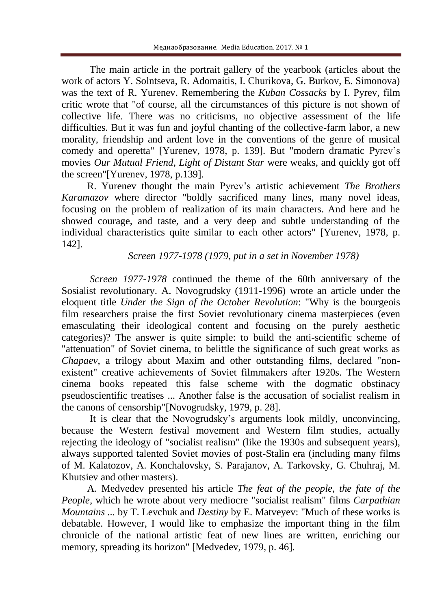The main article in the portrait gallery of the yearbook (articles about the work of actors Y. Solntseva, R. Adomaitis, I. Churikova, G. Burkov, E. Simonova) was the text of R. Yurenev. Remembering the *Kuban Cossacks* by I. Pyrev, film critic wrote that "of course, all the circumstances of this picture is not shown of collective life. There was no criticisms, no objective assessment of the life difficulties. But it was fun and joyful chanting of the collective-farm labor, a new morality, friendship and ardent love in the conventions of the genre of musical comedy and operetta" [Yurenev, 1978, p. 139]. But "modern dramatic Pyrev's movies *Our Mutual Friend, Light of Distant Star* were weaks, and quickly got off the screen"[Yurenev, 1978, p.139].

R. Yurenev thought the main Pyrev's artistic achievement *The Brothers Karamazov* where director "boldly sacrificed many lines, many novel ideas, focusing on the problem of realization of its main characters. And here and he showed courage, and taste, and a very deep and subtle understanding of the individual characteristics quite similar to each other actors" [Yurenev, 1978, p. 142].

## *Screen 1977-1978 (1979, put in a set in November 1978)*

*Screen 1977-1978* continued the theme of the 60th anniversary of the Sosialist revolutionary. A. Novogrudsky (1911-1996) wrote an article under the eloquent title *Under the Sign of the October Revolution*: "Why is the bourgeois film researchers praise the first Soviet revolutionary cinema masterpieces (even emasculating their ideological content and focusing on the purely aesthetic categories)? The answer is quite simple: to build the anti-scientific scheme of "attenuation" of Soviet cinema, to belittle the significance of such great works as *Chapaev*, a trilogy about Maxim and other outstanding films, declared "nonexistent" creative achievements of Soviet filmmakers after 1920s. The Western cinema books repeated this false scheme with the dogmatic obstinacy pseudoscientific treatises ... Another false is the accusation of socialist realism in the canons of censorship"[Novogrudsky, 1979, p. 28].

It is clear that the Novogrudsky's arguments look mildly, unconvincing, because the Western festival movement and Western film studies, actually rejecting the ideology of "socialist realism" (like the 1930s and subsequent years), always supported talented Soviet movies of post-Stalin era (including many films of M. Kalatozov, A. Konchalovsky, S. Parajanov, A. Tarkovsky, G. Chuhraj, M. Khutsiev and other masters).

A. Medvedev presented his article *The feat of the people, the fate of the People,* which he wrote about very mediocre "socialist realism" films *Carpathian Mountains ...* by T. Levchuk and *Destiny* by E. Matveyev: "Much of these works is debatable. However, I would like to emphasize the important thing in the film chronicle of the national artistic feat of new lines are written, enriching our memory, spreading its horizon" [Medvedev, 1979, p. 46].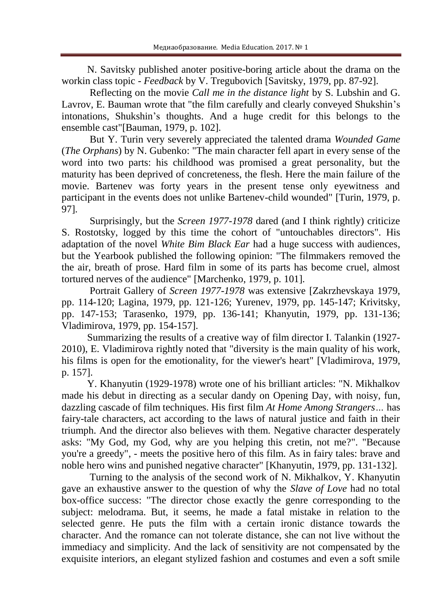N. Savitsky published anoter positive-boring article about the drama on the workin class topic - *Feedback* by V. Tregubovich [Savitsky, 1979, pp. 87-92].

Reflecting on the movie *Call me in the distance light* by S. Lubshin and G. Lavrov, E. Bauman wrote that "the film carefully and clearly conveyed Shukshin's intonations, Shukshin's thoughts. And a huge credit for this belongs to the ensemble cast"[Bauman, 1979, p. 102].

But Y. Turin very severely appreciated the talented drama *Wounded Game* (*The Orphans*) by N. Gubenko: "The main character fell apart in every sense of the word into two parts: his childhood was promised a great personality, but the maturity has been deprived of concreteness, the flesh. Here the main failure of the movie. Bartenev was forty years in the present tense only eyewitness and participant in the events does not unlike Bartenev-child wounded" [Turin, 1979, p. 97].

Surprisingly, but the *Screen 1977-1978* dared (and I think rightly) criticize S. Rostotsky, logged by this time the cohort of "untouchables directors". His adaptation of the novel *White Bim Black Ear* had a huge success with audiences, but the Yearbook published the following opinion: "The filmmakers removed the the air, breath of prose. Hard film in some of its parts has become cruel, almost tortured nerves of the audience" [Marchenko, 1979, p. 101].

Portrait Gallery of *Screen 1977-1978* was extensive [Zakrzhevskaya 1979, pp. 114-120; Lagina, 1979, pp. 121-126; Yurenev, 1979, pp. 145-147; Krivitsky, pp. 147-153; Tarasenko, 1979, pp. 136-141; Khanyutin, 1979, pp. 131-136; Vladimirova, 1979, pp. 154-157].

Summarizing the results of a creative way of film director I. Talankin (1927- 2010), E. Vladimirova rightly noted that "diversity is the main quality of his work, his films is open for the emotionality, for the viewer's heart" [Vladimirova, 1979, p. 157].

Y. Khanyutin (1929-1978) wrote one of his brilliant articles: "N. Mikhalkov made his debut in directing as a secular dandy on Opening Day, with noisy, fun, dazzling cascade of film techniques. His first film *At Home Among Strangers…* has fairy-tale characters, act according to the laws of natural justice and faith in their triumph. And the director also believes with them. Negative character desperately asks: "My God, my God, why are you helping this cretin, not me?". "Because you're a greedy", - meets the positive hero of this film. As in fairy tales: brave and noble hero wins and punished negative character" [Khanyutin, 1979, pp. 131-132].

Turning to the analysis of the second work of N. Mikhalkov, Y. Khanyutin gave an exhaustive answer to the question of why the *Slave of Love* had no total box-office success: "The director chose exactly the genre corresponding to the subject: melodrama. But, it seems, he made a fatal mistake in relation to the selected genre. He puts the film with a certain ironic distance towards the character. And the romance can not tolerate distance, she can not live without the immediacy and simplicity. And the lack of sensitivity are not compensated by the exquisite interiors, an elegant stylized fashion and costumes and even a soft smile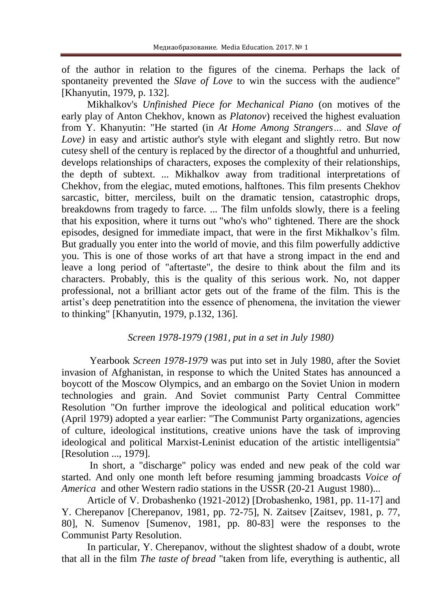of the author in relation to the figures of the cinema. Perhaps the lack of spontaneity prevented the *Slave of Love* to win the success with the audience" [Khanyutin, 1979, p. 132].

Mikhalkov's *Unfinished Piece for Mechanical Piano* (on motives of the early play of Anton Chekhov, known as *Platonov*) received the highest evaluation from Y. Khanyutin: "He started (in *At Home Among Strangers…* and *Slave of Love*) in easy and artistic author's style with elegant and slightly retro. But now cutesy shell of the century is replaced by the director of a thoughtful and unhurried, develops relationships of characters, exposes the complexity of their relationships, the depth of subtext. ... Mikhalkov away from traditional interpretations of Chekhov, from the elegiac, muted emotions, halftones. This film presents Chekhov sarcastic, bitter, merciless, built on the dramatic tension, catastrophic drops, breakdowns from tragedy to farce. ... The film unfolds slowly, there is a feeling that his exposition, where it turns out "who's who" tightened. There are the shock episodes, designed for immediate impact, that were in the first Mikhalkov's film. But gradually you enter into the world of movie, and this film powerfully addictive you. This is one of those works of art that have a strong impact in the end and leave a long period of "aftertaste", the desire to think about the film and its characters. Probably, this is the quality of this serious work. No, not dapper professional, not a brilliant actor gets out of the frame of the film. This is the artist's deep penetratition into the essence of phenomena, the invitation the viewer to thinking" [Khanyutin, 1979, p.132, 136].

## *Screen 1978-1979 (1981, put in a set in July 1980)*

Yearbook *Screen 1978-1979* was put into set in July 1980, after the Soviet invasion of Afghanistan, in response to which the United States has announced a boycott of the Moscow Olympics, and an embargo on the Soviet Union in modern technologies and grain. And Soviet communist Party Central Committee Resolution "On further improve the ideological and political education work" (April 1979) adopted a year earlier: "The Communist Party organizations, agencies of culture, ideological institutions, creative unions have the task of improving ideological and political Marxist-Leninist education of the artistic intelligentsia" [Resolution ..., 1979].

In short, a "discharge" policy was ended and new peak of the cold war started. And only one month left before resuming jamming broadcasts *Voice of America* and other Western radio stations in the USSR (20-21 August 1980)...

Article of V. Drobashenko (1921-2012) [Drobashenko, 1981, pp. 11-17] and Y. Cherepanov [Cherepanov, 1981, pp. 72-75], N. Zaitsev [Zaitsev, 1981, p. 77, 80], N. Sumenov [Sumenov, 1981, pp. 80-83] were the responses to the Communist Party Resolution.

In particular, Y. Cherepanov, without the slightest shadow of a doubt, wrote that all in the film *The taste of bread* "taken from life, everything is authentic, all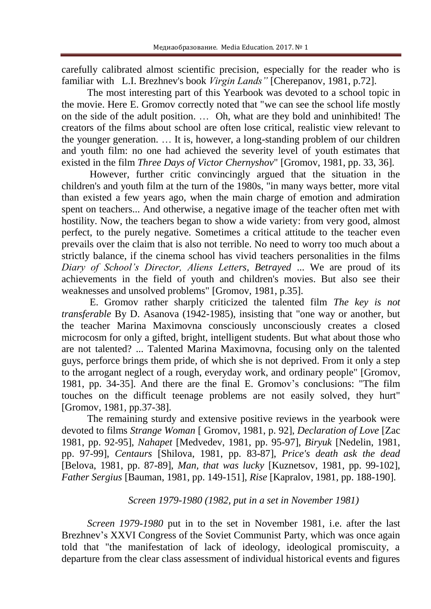carefully calibrated almost scientific precision, especially for the reader who is familiar with L.I. Brezhnev's book *Virgin Lands"* [Cherepanov, 1981, p.72].

The most interesting part of this Yearbook was devoted to a school topic in the movie. Here E. Gromov correctly noted that "we can see the school life mostly on the side of the adult position. … Oh, what are they bold and uninhibited! The creators of the films about school are often lose critical, realistic view relevant to the younger generation. … It is, however, a long-standing problem of our children and youth film: no one had achieved the severity level of youth estimates that existed in the film *Three Days of Victor Chernyshov*" [Gromov, 1981, pp. 33, 36].

However, further critic convincingly argued that the situation in the children's and youth film at the turn of the 1980s, "in many ways better, more vital than existed a few years ago, when the main charge of emotion and admiration spent on teachers... And otherwise, a negative image of the teacher often met with hostility. Now, the teachers began to show a wide variety: from very good, almost perfect, to the purely negative. Sometimes a critical attitude to the teacher even prevails over the claim that is also not terrible. No need to worry too much about a strictly balance, if the cinema school has vivid teachers personalities in the films *Diary of School's Director, Aliens Letters, Betrayed* ... We are proud of its achievements in the field of youth and children's movies. But also see their weaknesses and unsolved problems" [Gromov, 1981, p.35].

E. Gromov rather sharply criticized the talented film *The key is not transferable* By D. Asanova (1942-1985), insisting that "one way or another, but the teacher Marina Maximovna consciously unconsciously creates a closed microcosm for only a gifted, bright, intelligent students. But what about those who are not talented? ... Talented Marina Maximovna, focusing only on the talented guys, perforce brings them pride, of which she is not deprived. From it only a step to the arrogant neglect of a rough, everyday work, and ordinary people" [Gromov, 1981, pp. 34-35]. And there are the final E. Gromov's conclusions: "The film touches on the difficult teenage problems are not easily solved, they hurt" [Gromov, 1981, pp.37-38].

The remaining sturdy and extensive positive reviews in the yearbook were devoted to films *Strange Woman* [ Gromov, 1981, p. 92], *Declaration of Love* [Zac 1981, pp. 92-95], *Nahapet* [Medvedev, 1981, pp. 95-97], *Biryuk* [Nedelin, 1981, pp. 97-99], *Centaurs* [Shilova, 1981, pp. 83-87], *Price's death ask the dead* [Belova, 1981, pp. 87-89], *Man, that was lucky* [Kuznetsov, 1981, pp. 99-102], *Father Sergius* [Bauman, 1981, pp. 149-151], *Rise* [Kapralov, 1981, pp. 188-190].

## *Screen 1979-1980 (1982, put in a set in November 1981)*

*Screen 1979-1980* put in to the set in November 1981, i.e. after the last Brezhnev's XXVI Congress of the Soviet Communist Party, which was once again told that "the manifestation of lack of ideology, ideological promiscuity, a departure from the clear class assessment of individual historical events and figures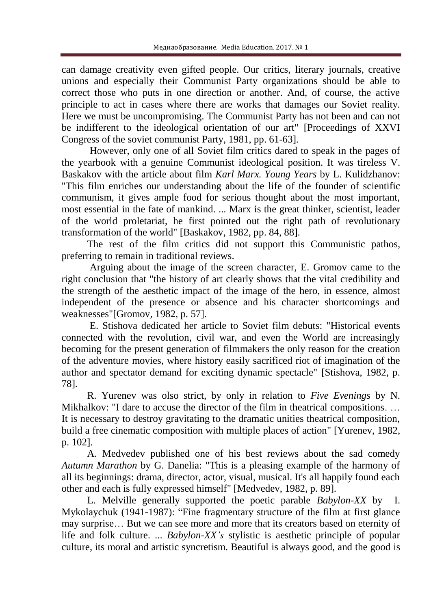can damage creativity even gifted people. Our critics, literary journals, creative unions and especially their Communist Party organizations should be able to correct those who puts in one direction or another. And, of course, the active principle to act in cases where there are works that damages our Soviet reality. Here we must be uncompromising. The Communist Party has not been and can not be indifferent to the ideological orientation of our art" [Proceedings of XXVI Congress of the soviet communist Party, 1981, pp. 61-63].

However, only one of all Soviet film critics dared to speak in the pages of the yearbook with a genuine Communist ideological position. It was tireless V. Baskakov with the article about film *Karl Marx. Young Years* by L. Kulidzhanov: "This film enriches our understanding about the life of the founder of scientific communism, it gives ample food for serious thought about the most important, most essential in the fate of mankind. ... Marx is the great thinker, scientist, leader of the world proletariat, he first pointed out the right path of revolutionary transformation of the world" [Baskakov, 1982, pp. 84, 88].

The rest of the film critics did not support this Communistic pathos, preferring to remain in traditional reviews.

Arguing about the image of the screen character, E. Gromov came to the right conclusion that "the history of art clearly shows that the vital credibility and the strength of the aesthetic impact of the image of the hero, in essence, almost independent of the presence or absence and his character shortcomings and weaknesses"[Gromov, 1982, p. 57].

E. Stishova dedicated her article to Soviet film debuts: "Historical events connected with the revolution, civil war, and even the World are increasingly becoming for the present generation of filmmakers the only reason for the creation of the adventure movies, where history easily sacrificed riot of imagination of the author and spectator demand for exciting dynamic spectacle" [Stishova, 1982, p. 78].

R. Yurenev was olso strict, by only in relation to *Five Evenings* by N. Mikhalkov: "I dare to accuse the director of the film in theatrical compositions. … It is necessary to destroy gravitating to the dramatic unities theatrical composition, build a free cinematic composition with multiple places of action" [Yurenev, 1982, p. 102].

A. Medvedev published one of his best reviews about the sad comedy *Autumn Marathon* by G. Danelia: "This is a pleasing example of the harmony of all its beginnings: drama, director, actor, visual, musical. It's all happily found each other and each is fully expressed himself" [Medvedev, 1982, p. 89].

L. Melville generally supported the poetic parable *Babylon-XX* by I. Mykolaychuk (1941-1987): "Fine fragmentary structure of the film at first glance may surprise… But we can see more and more that its creators based on eternity of life and folk culture. ... *Babylon-XX's* stylistic is aesthetic principle of popular culture, its moral and artistic syncretism. Beautiful is always good, and the good is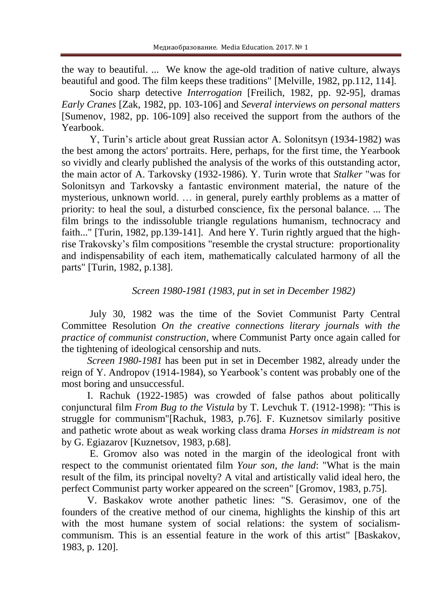the way to beautiful. ... We know the age-old tradition of native culture, always beautiful and good. The film keeps these traditions" [Melville, 1982, pp.112, 114].

Socio sharp detective *Interrogation* [Freilich, 1982, pp. 92-95], dramas *Early Cranes* [Zak, 1982, pp. 103-106] and *Several interviews on personal matters* [Sumenov, 1982, pp. 106-109] also received the support from the authors of the Yearbook.

Y, Turin's article about great Russian actor A. Solonitsyn (1934-1982) was the best among the actors' portraits. Here, perhaps, for the first time, the Yearbook so vividly and clearly published the analysis of the works of this outstanding actor, the main actor of A. Tarkovsky (1932-1986). Y. Turin wrote that *Stalker* "was for Solonitsyn and Tarkovsky a fantastic environment material, the nature of the mysterious, unknown world. … in general, purely earthly problems as a matter of priority: to heal the soul, a disturbed conscience, fix the personal balance. ... The film brings to the indissoluble triangle regulations humanism, technocracy and faith..." [Turin, 1982, pp.139-141]. And here Y. Turin rightly argued that the highrise Trakovsky's film compositions "resemble the crystal structure: proportionality and indispensability of each item, mathematically calculated harmony of all the parts" [Turin, 1982, p.138].

## *Screen 1980-1981 (1983, put in set in December 1982)*

July 30, 1982 was the time of the Soviet Communist Party Central Committee Resolution *On the creative connections literary journals with the practice of communist construction*, where Communist Party once again called for the tightening of ideological censorship and nuts.

*Screen 1980-1981* has been put in set in December 1982, already under the reign of Y. Andropov (1914-1984), so Yearbook's content was probably one of the most boring and unsuccessful.

I. Rachuk (1922-1985) was crowded of false pathos about politically conjunctural film *From Bug to the Vistula* by T. Levchuk T. (1912-1998): "This is struggle for communism"[Rachuk, 1983, p.76]. F. Kuznetsov similarly positive and pathetic wrote about as weak working class drama *Horses in midstream is not* by G. Egiazarov [Kuznetsov, 1983, p.68].

E. Gromov also was noted in the margin of the ideological front with respect to the communist orientated film *Your son, the land*: "What is the main result of the film, its principal novelty? A vital and artistically valid ideal hero, the perfect Communist party worker appeared on the screen" [Gromov, 1983, p.75].

V. Baskakov wrote another pathetic lines: "S. Gerasimov, one of the founders of the creative method of our cinema, highlights the kinship of this art with the most humane system of social relations: the system of socialismcommunism. This is an essential feature in the work of this artist" [Baskakov, 1983, p. 120].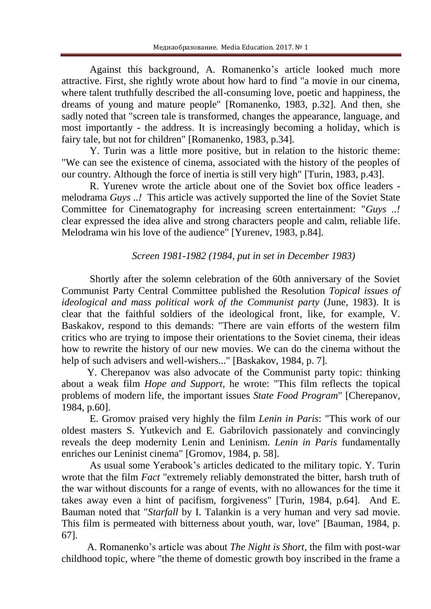Against this background, A. Romanenko's article looked much more attractive. First, she rightly wrote about how hard to find "a movie in our cinema, where talent truthfully described the all-consuming love, poetic and happiness, the dreams of young and mature people" [Romanenko, 1983, p.32]. And then, she sadly noted that "screen tale is transformed, changes the appearance, language, and most importantly - the address. It is increasingly becoming a holiday, which is fairy tale, but not for children" [Romanenko, 1983, p.34].

Y. Turin was a little more positive, but in relation to the historic theme: "We can see the existence of cinema, associated with the history of the peoples of our country. Although the force of inertia is still very high" [Turin, 1983, p.43].

R. Yurenev wrote the article about one of the Soviet box office leaders melodrama *Guys ..!* This article was actively supported the line of the Soviet State Committee for Cinematography for increasing screen entertainment: "*Guys ..!* clear expressed the idea alive and strong characters people and calm, reliable life. Melodrama win his love of the audience" [Yurenev, 1983, p.84].

# *Screen 1981-1982 (1984, put in set in December 1983)*

Shortly after the solemn celebration of the 60th anniversary of the Soviet Communist Party Central Committee published the Resolution *Topical issues of ideological and mass political work of the Communist party* (June, 1983). It is clear that the faithful soldiers of the ideological front, like, for example, V. Baskakov, respond to this demands: "There are vain efforts of the western film critics who are trying to impose their orientations to the Soviet cinema, their ideas how to rewrite the history of our new movies. We can do the cinema without the help of such advisers and well-wishers..." [Baskakov, 1984, p. 7].

Y. Cherepanov was also advocate of the Communist party topic: thinking about a weak film *Hope and Support,* he wrote: "This film reflects the topical problems of modern life, the important issues *State Food Program*" [Cherepanov, 1984, p.60].

E. Gromov praised very highly the film *Lenin in Paris*: "This work of our oldest masters S. Yutkevich and E. Gabrilovich passionately and convincingly reveals the deep modernity Lenin and Leninism. *Lenin in Paris* fundamentally enriches our Leninist cinema" [Gromov, 1984, p. 58].

As usual some Yerabook's articles dedicated to the military topic. Y. Turin wrote that the film *Fact* "extremely reliably demonstrated the bitter, harsh truth of the war without discounts for a range of events, with no allowances for the time it takes away even a hint of pacifism, forgiveness" [Turin, 1984, p.64]. And E. Bauman noted that "*Starfall* by I. Talankin is a very human and very sad movie. This film is permeated with bitterness about youth, war, love" [Bauman, 1984, p. 67].

A. Romanenko's article was about *The Night is Short*, the film with post-war childhood topic, where "the theme of domestic growth boy inscribed in the frame a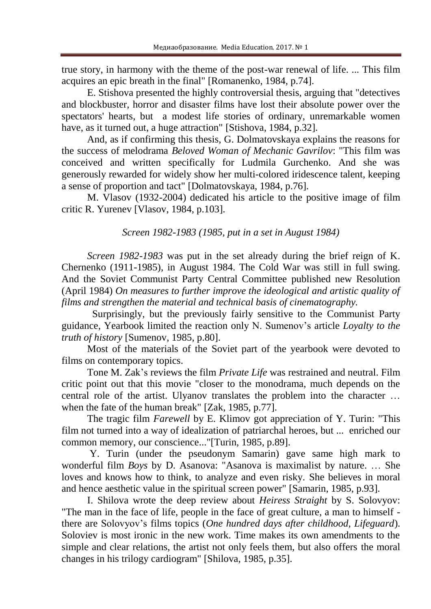true story, in harmony with the theme of the post-war renewal of life. ... This film acquires an epic breath in the final" [Romanenko, 1984, p.74].

E. Stishova presented the highly controversial thesis, arguing that "detectives and blockbuster, horror and disaster films have lost their absolute power over the spectators' hearts, but a modest life stories of ordinary, unremarkable women have, as it turned out, a huge attraction" [Stishova, 1984, p.32].

And, as if confirming this thesis, G. Dolmatovskaya explains the reasons for the success of melodrama *Beloved Woman of Mechanic Gavrilov*: "This film was conceived and written specifically for Ludmila Gurchenko. And she was generously rewarded for widely show her multi-colored iridescence talent, keeping a sense of proportion and tact" [Dolmatovskaya, 1984, p.76].

M. Vlasov (1932-2004) dedicated his article to the positive image of film critic R. Yurenev [Vlasov, 1984, p.103].

#### *Screen 1982-1983 (1985, put in a set in August 1984)*

*Screen 1982-1983* was put in the set already during the brief reign of K. Chernenko (1911-1985), in August 1984. The Cold War was still in full swing. And the Soviet Communist Party Central Committee published new Resolution (April 1984) *On measures to further improve the ideological and artistic quality of films and strengthen the material and technical basis of cinematography.*

Surprisingly, but the previously fairly sensitive to the Communist Party guidance, Yearbook limited the reaction only N. Sumenov's article *Loyalty to the truth of history* [Sumenov, 1985, p.80].

Most of the materials of the Soviet part of the yearbook were devoted to films on contemporary topics.

Tone M. Zak's reviews the film *Private Life* was restrained and neutral. Film critic point out that this movie "closer to the monodrama, much depends on the central role of the artist. Ulyanov translates the problem into the character … when the fate of the human break" [Zak, 1985, p.77].

The tragic film *Farewell* by E. Klimov got appreciation of Y. Turin: "This film not turned into a way of idealization of patriarchal heroes, but ... enriched our common memory, our conscience..."[Turin, 1985, p.89].

Y. Turin (under the pseudonym Samarin) gave same high mark to wonderful film *Boys* by D. Asanova: "Asanova is maximalist by nature. … She loves and knows how to think, to analyze and even risky. She believes in moral and hence aesthetic value in the spiritual screen power" [Samarin, 1985, p.93].

I. Shilova wrote the deep review about *Heiress Straight* by S. Solovyov: "The man in the face of life, people in the face of great culture, a man to himself there are Solovyov's films topics (*One hundred days after childhood, Lifeguard*). Soloviev is most ironic in the new work. Time makes its own amendments to the simple and clear relations, the artist not only feels them, but also offers the moral changes in his trilogy cardiogram" [Shilova, 1985, p.35].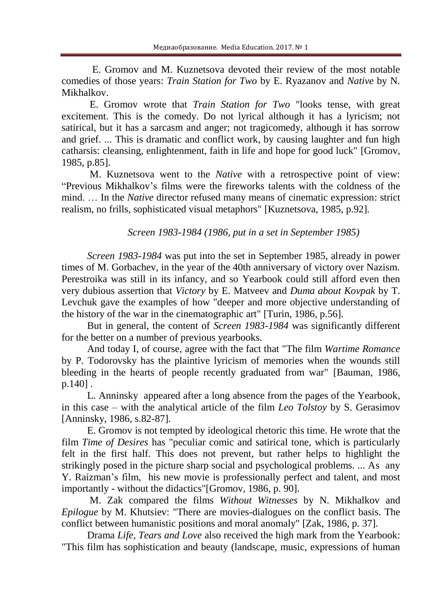E. Gromov and M. Kuznetsova devoted their review of the most notable comedies of those years: *Train Station for Two* by E. Ryazanov and *Native* by N. Mikhalkov.

E. Gromov wrote that *Train Station for Two* "looks tense, with great excitement. This is the comedy. Do not lyrical although it has a lyricism; not satirical, but it has a sarcasm and anger; not tragicomedy, although it has sorrow and grief. ... This is dramatic and conflict work, by causing laughter and fun high catharsis: cleansing, enlightenment, faith in life and hope for good luck" [Gromov, 1985, p.85].

M. Kuznetsova went to the *Native* with a retrospective point of view: "Previous Mikhalkov's films were the fireworks talents with the coldness of the mind. … In the *Native* director refused many means of cinematic expression: strict realism, no frills, sophisticated visual metaphors" [Kuznetsova, 1985, p.92].

*Screen 1983-1984 (1986, put in a set in September 1985)*

*Screen 1983-1984* was put into the set in September 1985, already in power times of M. Gorbachev, in the year of the 40th anniversary of victory over Nazism. Perestroika was still in its infancy, and so Yearbook could still afford even then very dubious assertion that *Victory* by E. Matveev and *Duma about Kovpak* by T. Levchuk gave the examples of how "deeper and more objective understanding of the history of the war in the cinematographic art" [Turin, 1986, p.56].

But in general, the content of *Screen 1983-1984* was significantly different for the better on a number of previous yearbooks.

And today I, of course, agree with the fact that "The film *Wartime Romance* by P. Todorovsky has the plaintive lyricism of memories when the wounds still bleeding in the hearts of people recently graduated from war" [Bauman, 1986, p.140] .

L. Anninsky appeared after a long absence from the pages of the Yearbook, in this case – with the analytical article of the film *Leo Tolstoy* by S. Gerasimov [Anninsky, 1986, s.82-87].

E. Gromov is not tempted by ideological rhetoric this time. He wrote that the film *Time of Desires* has "peculiar comic and satirical tone, which is particularly felt in the first half. This does not prevent, but rather helps to highlight the strikingly posed in the picture sharp social and psychological problems. ... As any Y. Raizman's film, his new movie is professionally perfect and talent, and most importantly - without the didactics"[Gromov, 1986, p. 90].

M. Zak compared the films *Without Witnesses* by N. Mikhalkov and *Epilogue* by M. Khutsiev: "There are movies-dialogues on the conflict basis. The conflict between humanistic positions and moral anomaly" [Zak, 1986, p. 37].

Drama *Life, Tears and Love* also received the high mark from the Yearbook: "This film has sophistication and beauty (landscape, music, expressions of human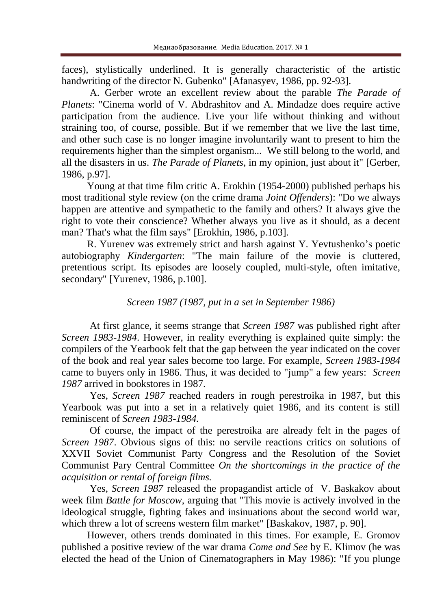faces), stylistically underlined. It is generally characteristic of the artistic handwriting of the director N. Gubenko" [Afanasyev, 1986, pp. 92-93].

A. Gerber wrote an excellent review about the parable *The Parade of Planets*: "Cinema world of V. Abdrashitov and A. Mindadze does require active participation from the audience. Live your life without thinking and without straining too, of course, possible. But if we remember that we live the last time, and other such case is no longer imagine involuntarily want to present to him the requirements higher than the simplest organism... We still belong to the world, and all the disasters in us. *The Parade of Planets*, in my opinion, just about it" [Gerber, 1986, p.97].

Young at that time film critic A. Erokhin (1954-2000) published perhaps his most traditional style review (on the crime drama *Joint Offenders*): "Do we always happen are attentive and sympathetic to the family and others? It always give the right to vote their conscience? Whether always you live as it should, as a decent man? That's what the film says" [Erokhin, 1986, p.103].

R. Yurenev was extremely strict and harsh against Y. Yevtushenko's poetic autobiography *Kindergarten*: "The main failure of the movie is cluttered, pretentious script. Its episodes are loosely coupled, multi-style, often imitative, secondary" [Yurenev, 1986, p.100].

#### *Screen 1987 (1987, put in a set in September 1986)*

At first glance, it seems strange that *Screen 1987* was published right after *Screen 1983-1984*. However, in reality everything is explained quite simply: the compilers of the Yearbook felt that the gap between the year indicated on the cover of the book and real year sales become too large. For example, *Screen 1983-1984*  came to buyers only in 1986. Thus, it was decided to "jump" a few years: *Screen 1987* arrived in bookstores in 1987.

Yes, *Screen 1987* reached readers in rough perestroika in 1987, but this Yearbook was put into a set in a relatively quiet 1986, and its content is still reminiscent of *Screen 1983-1984.*

Of course, the impact of the perestroika are already felt in the pages of *Screen 1987*. Obvious signs of this: no servile reactions critics on solutions of XXVII Soviet Communist Party Congress and the Resolution of the Soviet Communist Pary Central Committee *On the shortcomings in the practice of the acquisition or rental of foreign films.*

Yes, *Screen 1987* released the propagandist article of V. Baskakov about week film *Battle for Moscow*, arguing that "This movie is actively involved in the ideological struggle, fighting fakes and insinuations about the second world war, which threw a lot of screens western film market" [Baskakov, 1987, p. 90].

However, others trends dominated in this times. For example, E. Gromov published a positive review of the war drama *Come and See* by E. Klimov (he was elected the head of the Union of Cinematographers in May 1986): "If you plunge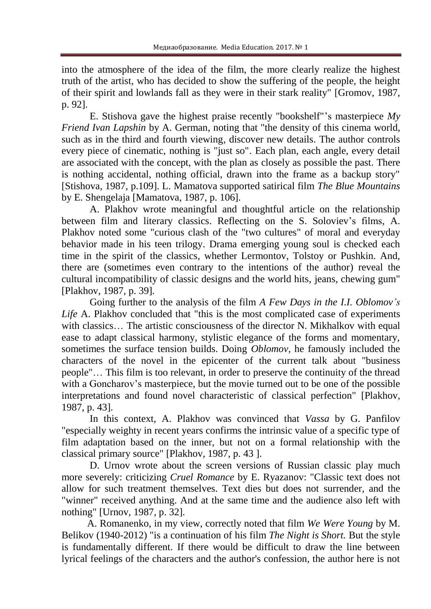into the atmosphere of the idea of the film, the more clearly realize the highest truth of the artist, who has decided to show the suffering of the people, the height of their spirit and lowlands fall as they were in their stark reality" [Gromov, 1987, p. 92].

E. Stishova gave the highest praise recently "bookshelf"'s masterpiece *My Friend Ivan Lapshin* by A. German, noting that "the density of this cinema world, such as in the third and fourth viewing, discover new details. The author controls every piece of cinematic, nothing is "just so". Each plan, each angle, every detail are associated with the concept, with the plan as closely as possible the past. There is nothing accidental, nothing official, drawn into the frame as a backup story" [Stishova, 1987, p.109]. L. Mamatova supported satirical film *The Blue Mountains* by E. Shengelaja [Mamatova, 1987, p. 106].

A. Plakhov wrote meaningful and thoughtful article on the relationship between film and literary classics. Reflecting on the S. Soloviev's films, A. Plakhov noted some "curious clash of the "two cultures" of moral and everyday behavior made in his teen trilogy. Drama emerging young soul is checked each time in the spirit of the classics, whether Lermontov, Tolstoy or Pushkin. And, there are (sometimes even contrary to the intentions of the author) reveal the cultural incompatibility of classic designs and the world hits, jeans, chewing gum" [Plakhov, 1987, p. 39].

Going further to the analysis of the film *A Few Days in the I.I. Oblomov's Life* A. Plakhov concluded that "this is the most complicated case of experiments with classics... The artistic consciousness of the director N. Mikhalkov with equal ease to adapt classical harmony, stylistic elegance of the forms and momentary, sometimes the surface tension builds. Doing *Oblomov*, he famously included the characters of the novel in the epicenter of the current talk about "business people"… This film is too relevant, in order to preserve the continuity of the thread with a Goncharov's masterpiece, but the movie turned out to be one of the possible interpretations and found novel characteristic of classical perfection" [Plakhov, 1987, p. 43].

In this context, A. Plakhov was convinced that *Vassa* by G. Panfilov "especially weighty in recent years confirms the intrinsic value of a specific type of film adaptation based on the inner, but not on a formal relationship with the classical primary source" [Plakhov, 1987, p. 43 ].

D. Urnov wrote about the screen versions of Russian classic play much more severely: criticizing *Cruel Romance* by E. Ryazanov: "Classic text does not allow for such treatment themselves. Text dies but does not surrender, and the "winner" received anything. And at the same time and the audience also left with nothing" [Urnov, 1987, p. 32].

A. Romanenko, in my view, correctly noted that film *We Were Young* by M. Belikov (1940-2012) "is a continuation of his film *The Night is Short.* But the style is fundamentally different. If there would be difficult to draw the line between lyrical feelings of the characters and the author's confession, the author here is not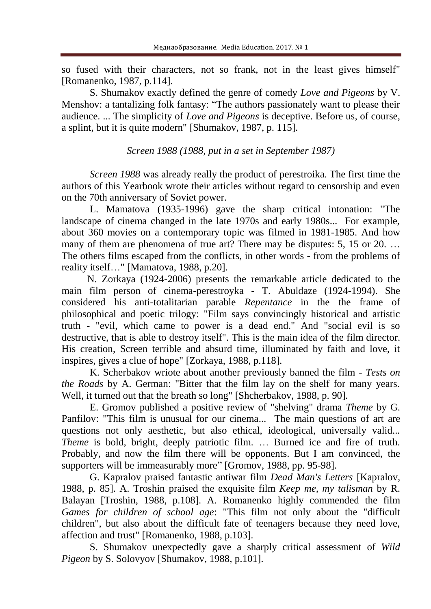so fused with their characters, not so frank, not in the least gives himself" [Romanenko, 1987, p.114].

S. Shumakov exactly defined the genre of comedy *Love and Pigeons* by V. Menshov: a tantalizing folk fantasy: "The authors passionately want to please their audience. ... The simplicity of *Love and Pigeons* is deceptive. Before us, of course, a splint, but it is quite modern" [Shumakov, 1987, p. 115].

*Screen 1988 (1988, put in a set in September 1987)*

*Screen 1988* was already really the product of perestroika. The first time the authors of this Yearbook wrote their articles without regard to censorship and even on the 70th anniversary of Soviet power.

L. Mamatova (1935-1996) gave the sharp critical intonation: "The landscape of cinema changed in the late 1970s and early 1980s... For example, about 360 movies on a contemporary topic was filmed in 1981-1985. And how many of them are phenomena of true art? There may be disputes: 5, 15 or 20. ... The others films escaped from the conflicts, in other words - from the problems of reality itself…" [Mamatova, 1988, p.20].

N. Zorkaya (1924-2006) presents the remarkable article dedicated to the main film person of cinema-perestroyka - T. Abuldaze (1924-1994). She considered his anti-totalitarian parable *Repentance* in the the frame of philosophical and poetic trilogy: "Film says convincingly historical and artistic truth - "evil, which came to power is a dead end." And "social evil is so destructive, that is able to destroy itself". This is the main idea of the film director. His creation, Screen terrible and absurd time, illuminated by faith and love, it inspires, gives a clue of hope" [Zorkaya, 1988, p.118].

K. Scherbakov wriote about another previously banned the film - *Tests on the Roads* by A. German: "Bitter that the film lay on the shelf for many years. Well, it turned out that the breath so long" [Shcherbakov, 1988, p. 90].

E. Gromov published a positive review of "shelving" drama *Theme* by G. Panfilov: "This film is unusual for our cinema... The main questions of art are questions not only aesthetic, but also ethical, ideological, universally valid... *Theme* is bold, bright, deeply patriotic film. ... Burned ice and fire of truth. Probably, and now the film there will be opponents. But I am convinced, the supporters will be immeasurably more" [Gromov, 1988, pp. 95-98].

G. Kapralov praised fantastic antiwar film *Dead Man's Letters* [Kapralov, 1988, p. 85]. A. Troshin praised the exquisite film *Keep me, my talisman* by R. Balayan [Troshin, 1988, p.108]. A. Romanenko highly commended the film *Games for children of school age*: "This film not only about the "difficult children", but also about the difficult fate of teenagers because they need love, affection and trust" [Romanenko, 1988, p.103].

S. Shumakov unexpectedly gave a sharply critical assessment of *Wild Pigeon* by S. Solovyov [Shumakov, 1988, p.101].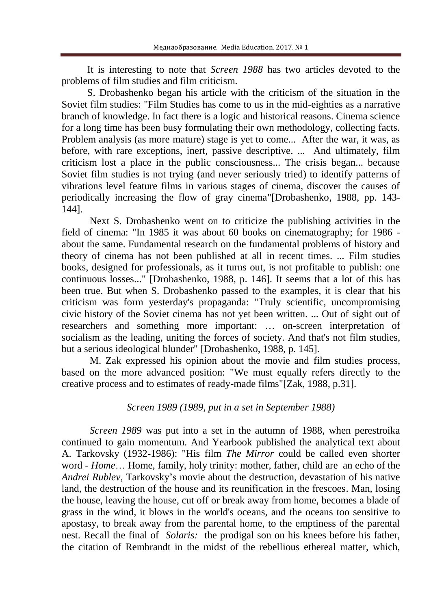It is interesting to note that *Screen 1988* has two articles devoted to the problems of film studies and film criticism.

S. Drobashenko began his article with the criticism of the situation in the Soviet film studies: "Film Studies has come to us in the mid-eighties as a narrative branch of knowledge. In fact there is a logic and historical reasons. Cinema science for a long time has been busy formulating their own methodology, collecting facts. Problem analysis (as more mature) stage is yet to come... After the war, it was, as before, with rare exceptions, inert, passive descriptive. ... And ultimately, film criticism lost a place in the public consciousness... The crisis began... because Soviet film studies is not trying (and never seriously tried) to identify patterns of vibrations level feature films in various stages of cinema, discover the causes of periodically increasing the flow of gray cinema"[Drobashenko, 1988, pp. 143- 144].

Next S. Drobashenko went on to criticize the publishing activities in the field of cinema: "In 1985 it was about 60 books on cinematography; for 1986 about the same. Fundamental research on the fundamental problems of history and theory of cinema has not been published at all in recent times. ... Film studies books, designed for professionals, as it turns out, is not profitable to publish: one continuous losses..." [Drobashenko, 1988, p. 146]. It seems that a lot of this has been true. But when S. Drobashenko passed to the examples, it is clear that his criticism was form yesterday's propaganda: "Truly scientific, uncompromising civic history of the Soviet cinema has not yet been written. ... Out of sight out of researchers and something more important: … on-screen interpretation of socialism as the leading, uniting the forces of society. And that's not film studies, but a serious ideological blunder" [Drobashenko, 1988, p. 145].

M. Zak expressed his opinion about the movie and film studies process, based on the more advanced position: "We must equally refers directly to the creative process and to estimates of ready-made films"[Zak, 1988, p.31].

# *Screen 1989 (1989, put in a set in September 1988)*

*Screen 1989* was put into a set in the autumn of 1988, when perestroika continued to gain momentum. And Yearbook published the analytical text about A. Tarkovsky (1932-1986): "His film *The Mirror* could be called even shorter word - *Home*… Home, family, holy trinity: mother, father, child are an echo of the *Andrei Rublev,* Tarkovsky's movie about the destruction, devastation of his native land, the destruction of the house and its reunification in the frescoes. Man, losing the house, leaving the house, cut off or break away from home, becomes a blade of grass in the wind, it blows in the world's oceans, and the oceans too sensitive to apostasy, to break away from the parental home, to the emptiness of the parental nest. Recall the final of *Solaris:* the prodigal son on his knees before his father, the citation of Rembrandt in the midst of the rebellious ethereal matter, which,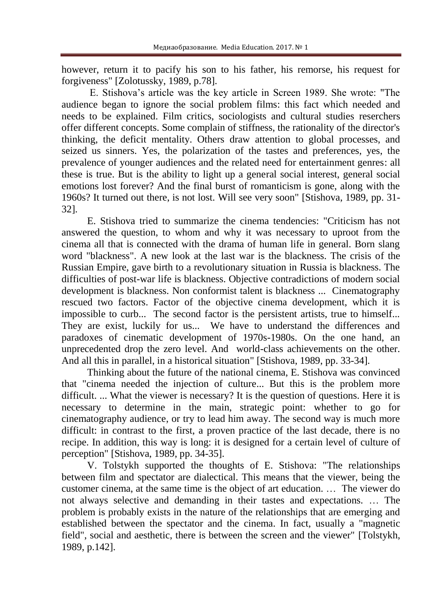however, return it to pacify his son to his father, his remorse, his request for forgiveness" [Zolotussky, 1989, p.78].

E. Stishova's article was the key article in Screen 1989. She wrote: "The audience began to ignore the social problem films: this fact which needed and needs to be explained. Film critics, sociologists and cultural studies reserchers offer different concepts. Some complain of stiffness, the rationality of the director's thinking, the deficit mentality. Others draw attention to global processes, and seized us sinners. Yes, the polarization of the tastes and preferences, yes, the prevalence of younger audiences and the related need for entertainment genres: all these is true. But is the ability to light up a general social interest, general social emotions lost forever? And the final burst of romanticism is gone, along with the 1960s? It turned out there, is not lost. Will see very soon" [Stishova, 1989, pp. 31- 32].

E. Stishova tried to summarize the cinema tendencies: "Criticism has not answered the question, to whom and why it was necessary to uproot from the cinema all that is connected with the drama of human life in general. Born slang word "blackness". A new look at the last war is the blackness. The crisis of the Russian Empire, gave birth to a revolutionary situation in Russia is blackness. The difficulties of post-war life is blackness. Objective contradictions of modern social development is blackness. Non conformist talent is blackness ... Cinematography rescued two factors. Factor of the objective cinema development, which it is impossible to curb... The second factor is the persistent artists, true to himself... They are exist, luckily for us... We have to understand the differences and paradoxes of cinematic development of 1970s-1980s. On the one hand, an unprecedented drop the zero level. And world-class achievements on the other. And all this in parallel, in a historical situation" [Stishova, 1989, pp. 33-34].

Thinking about the future of the national cinema, E. Stishova was convinced that "cinema needed the injection of culture... But this is the problem more difficult. ... What the viewer is necessary? It is the question of questions. Here it is necessary to determine in the main, strategic point: whether to go for cinematography audience, or try to lead him away. The second way is much more difficult: in contrast to the first, a proven practice of the last decade, there is no recipe. In addition, this way is long: it is designed for a certain level of culture of perception" [Stishova, 1989, pp. 34-35].

V. Tolstykh supported the thoughts of E. Stishova: "The relationships between film and spectator are dialectical. This means that the viewer, being the customer cinema, at the same time is the object of art education. … The viewer do not always selective and demanding in their tastes and expectations. … The problem is probably exists in the nature of the relationships that are emerging and established between the spectator and the cinema. In fact, usually a "magnetic field", social and aesthetic, there is between the screen and the viewer" [Tolstykh, 1989, p.142].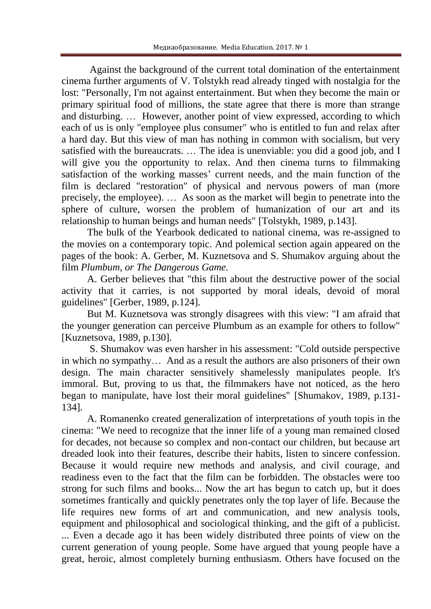Against the background of the current total domination of the entertainment cinema further arguments of V. Tolstykh read already tinged with nostalgia for the lost: "Personally, I'm not against entertainment. But when they become the main or primary spiritual food of millions, the state agree that there is more than strange and disturbing. … However, another point of view expressed, according to which each of us is only "employee plus consumer" who is entitled to fun and relax after a hard day. But this view of man has nothing in common with socialism, but very satisfied with the bureaucrats. … The idea is unenviable: you did a good job, and I will give you the opportunity to relax. And then cinema turns to filmmaking satisfaction of the working masses' current needs, and the main function of the film is declared "restoration" of physical and nervous powers of man (more precisely, the employee). … As soon as the market will begin to penetrate into the sphere of culture, worsen the problem of humanization of our art and its relationship to human beings and human needs" [Tolstykh, 1989, p.143].

The bulk of the Yearbook dedicated to national cinema, was re-assigned to the movies on a contemporary topic. And polemical section again appeared on the pages of the book: A. Gerber, M. Kuznetsova and S. Shumakov arguing about the film *Plumbum, or The Dangerous Game.*

A. Gerber believes that "this film about the destructive power of the social activity that it carries, is not supported by moral ideals, devoid of moral guidelines" [Gerber, 1989, p.124].

But M. Kuznetsova was strongly disagrees with this view: "I am afraid that the younger generation can perceive Plumbum as an example for others to follow" [Kuznetsova, 1989, p.130].

S. Shumakov was even harsher in his assessment: "Cold outside perspective in which no sympathy… And as a result the authors are also prisoners of their own design. The main character sensitively shamelessly manipulates people. It's immoral. But, proving to us that, the filmmakers have not noticed, as the hero began to manipulate, have lost their moral guidelines" [Shumakov, 1989, p.131- 134].

A. Romanenko created generalization of interpretations of youth topis in the cinema: "We need to recognize that the inner life of a young man remained closed for decades, not because so complex and non-contact our children, but because art dreaded look into their features, describe their habits, listen to sincere confession. Because it would require new methods and analysis, and civil courage, and readiness even to the fact that the film can be forbidden. The obstacles were too strong for such films and books... Now the art has begun to catch up, but it does sometimes frantically and quickly penetrates only the top layer of life. Because the life requires new forms of art and communication, and new analysis tools, equipment and philosophical and sociological thinking, and the gift of a publicist. ... Even a decade ago it has been widely distributed three points of view on the current generation of young people. Some have argued that young people have a great, heroic, almost completely burning enthusiasm. Others have focused on the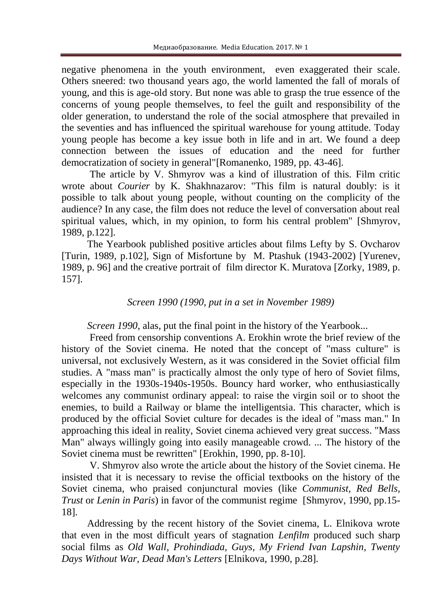negative phenomena in the youth environment, even exaggerated their scale. Others sneered: two thousand years ago, the world lamented the fall of morals of young, and this is age-old story. But none was able to grasp the true essence of the concerns of young people themselves, to feel the guilt and responsibility of the older generation, to understand the role of the social atmosphere that prevailed in the seventies and has influenced the spiritual warehouse for young attitude. Today young people has become a key issue both in life and in art. We found a deep connection between the issues of education and the need for further democratization of society in general"[Romanenko, 1989, pp. 43-46].

The article by V. Shmyrov was a kind of illustration of this. Film critic wrote about *Courier* by K. Shakhnazarov: "This film is natural doubly: is it possible to talk about young people, without counting on the complicity of the audience? In any case, the film does not reduce the level of conversation about real spiritual values, which, in my opinion, to form his central problem" [Shmyrov, 1989, p.122].

The Yearbook published positive articles about films Lefty by S. Ovcharov [Turin, 1989, p.102], Sign of Misfortune by M. Ptashuk (1943-2002) [Yurenev, 1989, p. 96] and the creative portrait of film director K. Muratova [Zorky, 1989, p. 157].

## *Screen 1990 (1990, put in a set in November 1989)*

*Screen 1990*, alas, put the final point in the history of the Yearbook...

Freed from censorship conventions A. Erokhin wrote the brief review of the history of the Soviet cinema. He noted that the concept of "mass culture" is universal, not exclusively Western, as it was considered in the Soviet official film studies. A "mass man" is practically almost the only type of hero of Soviet films, especially in the 1930s-1940s-1950s. Bouncy hard worker, who enthusiastically welcomes any communist ordinary appeal: to raise the virgin soil or to shoot the enemies, to build a Railway or blame the intelligentsia. This character, which is produced by the official Soviet culture for decades is the ideal of "mass man." In approaching this ideal in reality, Soviet cinema achieved very great success. "Mass Man" always willingly going into easily manageable crowd. ... The history of the Soviet cinema must be rewritten" [Erokhin, 1990, pp. 8-10].

V. Shmyrov also wrote the article about the history of the Soviet cinema. He insisted that it is necessary to revise the official textbooks on the history of the Soviet cinema, who praised conjunctural movies (like *Communist, Red Bells, Trust* or *Lenin in Paris*) in favor of the communist regime [Shmyrov, 1990, pp.15- 18].

Addressing by the recent history of the Soviet cinema, L. Elnikova wrote that even in the most difficult years of stagnation *Lenfilm* produced such sharp social films as *Old Wall, Prohindiada, Guys, My Friend Ivan Lapshin, Twenty Days Without War, Dead Man's Letters* [Elnikova, 1990, p.28].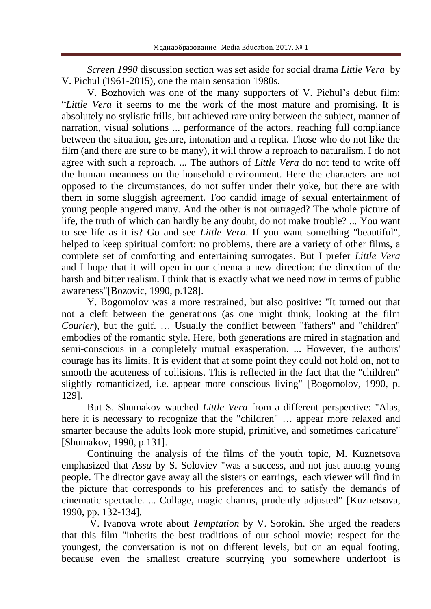*Screen 1990* discussion section was set aside for social drama *Little Vera* by V. Pichul (1961-2015), one the main sensation 1980s.

V. Bozhovich was one of the many supporters of V. Pichul's debut film: "*Little Vera* it seems to me the work of the most mature and promising. It is absolutely no stylistic frills, but achieved rare unity between the subject, manner of narration, visual solutions ... performance of the actors, reaching full compliance between the situation, gesture, intonation and a replica. Those who do not like the film (and there are sure to be many), it will throw a reproach to naturalism. I do not agree with such a reproach. ... The authors of *Little Vera* do not tend to write off the human meanness on the household environment. Here the characters are not opposed to the circumstances, do not suffer under their yoke, but there are with them in some sluggish agreement. Too candid image of sexual entertainment of young people angered many. And the other is not outraged? The whole picture of life, the truth of which can hardly be any doubt, do not make trouble? ... You want to see life as it is? Go and see *Little Vera*. If you want something "beautiful", helped to keep spiritual comfort: no problems, there are a variety of other films, a complete set of comforting and entertaining surrogates. But I prefer *Little Vera* and I hope that it will open in our cinema a new direction: the direction of the harsh and bitter realism. I think that is exactly what we need now in terms of public awareness"[Bozovic, 1990, p.128].

Y. Bogomolov was a more restrained, but also positive: "It turned out that not a cleft between the generations (as one might think, looking at the film *Courier*), but the gulf. ... Usually the conflict between "fathers" and "children" embodies of the romantic style. Here, both generations are mired in stagnation and semi-conscious in a completely mutual exasperation. ... However, the authors' courage has its limits. It is evident that at some point they could not hold on, not to smooth the acuteness of collisions. This is reflected in the fact that the "children" slightly romanticized, i.e. appear more conscious living" [Bogomolov, 1990, p. 129].

But S. Shumakov watched *Little Vera* from a different perspective: "Alas, here it is necessary to recognize that the "children" ... appear more relaxed and smarter because the adults look more stupid, primitive, and sometimes caricature" [Shumakov, 1990, p.131].

Continuing the analysis of the films of the youth topic, M. Kuznetsova emphasized that *Assa* by S. Soloviev "was a success, and not just among young people. The director gave away all the sisters on earrings, each viewer will find in the picture that corresponds to his preferences and to satisfy the demands of cinematic spectacle. ... Collage, magic charms, prudently adjusted" [Kuznetsova, 1990, pp. 132-134].

V. Ivanova wrote about *Temptation* by V. Sorokin. She urged the readers that this film "inherits the best traditions of our school movie: respect for the youngest, the conversation is not on different levels, but on an equal footing, because even the smallest creature scurrying you somewhere underfoot is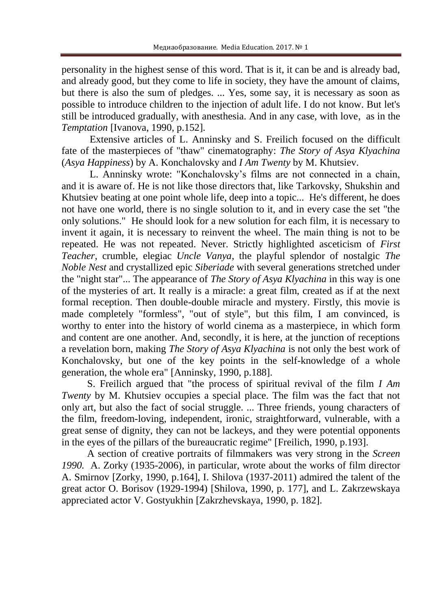personality in the highest sense of this word. That is it, it can be and is already bad, and already good, but they come to life in society, they have the amount of claims, but there is also the sum of pledges. ... Yes, some say, it is necessary as soon as possible to introduce children to the injection of adult life. I do not know. But let's still be introduced gradually, with anesthesia. And in any case, with love, as in the *Temptation* [Ivanova, 1990, p.152].

Extensive articles of L. Anninsky and S. Freilich focused on the difficult fate of the masterpieces of "thaw" cinematography: *The Story of Asya Klyachina* (*Asya Happiness*) by A. Konchalovsky and *I Am Twenty* by M. Khutsiev.

L. Anninsky wrote: "Konchalovsky's films are not connected in a chain, and it is aware of. He is not like those directors that, like Tarkovsky, Shukshin and Khutsiev beating at one point whole life, deep into a topic... He's different, he does not have one world, there is no single solution to it, and in every case the set "the only solutions." He should look for a new solution for each film, it is necessary to invent it again, it is necessary to reinvent the wheel. The main thing is not to be repeated. He was not repeated. Never. Strictly highlighted asceticism of *First Teacher*, crumble, elegiac *Uncle Vanya*, the playful splendor of nostalgic *The Noble Nest* and crystallized epic *Siberiade* with several generations stretched under the "night star"... The appearance of *The Story of Asya Klyachina* in this way is one of the mysteries of art. It really is a miracle: a great film, created as if at the next formal reception. Then double-double miracle and mystery. Firstly, this movie is made completely "formless", "out of style", but this film, I am convinced, is worthy to enter into the history of world cinema as a masterpiece, in which form and content are one another. And, secondly, it is here, at the junction of receptions a revelation born, making *The Story of Asya Klyachina* is not only the best work of Konchalovsky, but one of the key points in the self-knowledge of a whole generation, the whole era" [Anninsky, 1990, p.188].

S. Freilich argued that "the process of spiritual revival of the film *I Am Twenty* by M. Khutsiev occupies a special place. The film was the fact that not only art, but also the fact of social struggle. ... Three friends, young characters of the film, freedom-loving, independent, ironic, straightforward, vulnerable, with a great sense of dignity, they can not be lackeys, and they were potential opponents in the eyes of the pillars of the bureaucratic regime" [Freilich, 1990, p.193].

A section of creative portraits of filmmakers was very strong in the *Screen 1990.* A. Zorky (1935-2006), in particular, wrote about the works of film director A. Smirnov [Zorky, 1990, p.164], I. Shilova (1937-2011) admired the talent of the great actor O. Borisov (1929-1994) [Shilova, 1990, p. 177], and L. Zakrzewskaya appreciated actor V. Gostyukhin [Zakrzhevskaya, 1990, p. 182].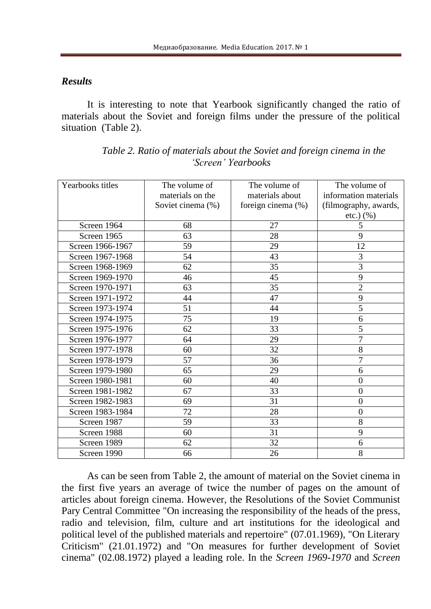#### *Results*

It is interesting to note that Yearbook significantly changed the ratio of materials about the Soviet and foreign films under the pressure of the political situation (Table 2).

| Yearbooks titles | The volume of     | The volume of      | The volume of         |
|------------------|-------------------|--------------------|-----------------------|
|                  | materials on the  | materials about    | information materials |
|                  | Soviet cinema (%) | foreign cinema (%) | (filmography, awards, |
|                  |                   |                    | $etc.$ ) $(\% )$      |
| Screen 1964      | 68                | 27                 | 5                     |
| Screen 1965      | 63                | 28                 | 9                     |
| Screen 1966-1967 | 59                | 29                 | 12                    |
| Screen 1967-1968 | 54                | 43                 | 3                     |
| Screen 1968-1969 | 62                | 35                 | $\overline{3}$        |
| Screen 1969-1970 | 46                | 45                 | 9                     |
| Screen 1970-1971 | 63                | 35                 | $\overline{2}$        |
| Screen 1971-1972 | 44                | 47                 | 9                     |
| Screen 1973-1974 | 51                | 44                 | 5                     |
| Screen 1974-1975 | 75                | 19                 | 6                     |
| Screen 1975-1976 | 62                | 33                 | 5                     |
| Screen 1976-1977 | 64                | 29                 | $\overline{7}$        |
| Screen 1977-1978 | 60                | 32                 | 8                     |
| Screen 1978-1979 | 57                | 36                 | $\overline{7}$        |
| Screen 1979-1980 | 65                | 29                 | 6                     |
| Screen 1980-1981 | 60                | 40                 | $\overline{0}$        |
| Screen 1981-1982 | 67                | 33                 | $\overline{0}$        |
| Screen 1982-1983 | 69                | 31                 | $\boldsymbol{0}$      |
| Screen 1983-1984 | 72                | 28                 | $\overline{0}$        |
| Screen 1987      | 59                | 33                 | 8                     |
| Screen 1988      | 60                | 31                 | 9                     |
| Screen 1989      | 62                | 32                 | 6                     |
| Screen 1990      | 66                | 26                 | 8                     |

| Table 2. Ratio of materials about the Soviet and foreign cinema in the |
|------------------------------------------------------------------------|
| 'Screen' Yearbooks                                                     |

As can be seen from Table 2, the amount of material on the Soviet cinema in the first five years an average of twice the number of pages on the amount of articles about foreign cinema. However, the Resolutions of the Soviet Communist Pary Central Committee "On increasing the responsibility of the heads of the press, radio and television, film, culture and art institutions for the ideological and political level of the published materials and repertoire" (07.01.1969), "On Literary Criticism" (21.01.1972) and "On measures for further development of Soviet cinema" (02.08.1972) played a leading role. In the *Screen 1969-1970* and *Screen*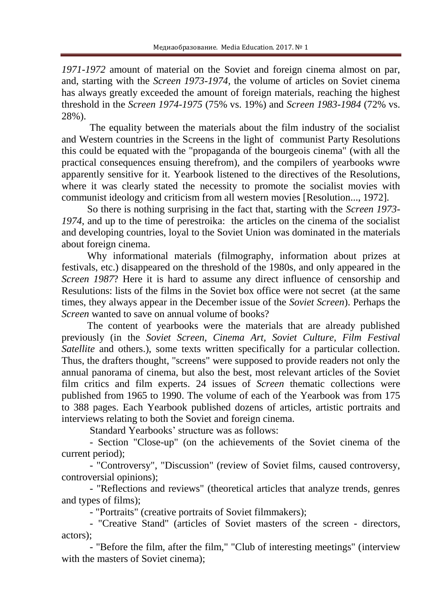*1971-1972* amount of material on the Soviet and foreign cinema almost on par, and, starting with the *Screen 1973-1974,* the volume of articles on Soviet cinema has always greatly exceeded the amount of foreign materials, reaching the highest threshold in the *Screen 1974-1975* (75% vs. 19%) and *Screen 1983-1984* (72% vs. 28%).

The equality between the materials about the film industry of the socialist and Western countries in the Screens in the light of communist Party Resolutions this could be equated with the "propaganda of the bourgeois cinema" (with all the practical consequences ensuing therefrom), and the compilers of yearbooks wwre apparently sensitive for it. Yearbook listened to the directives of the Resolutions, where it was clearly stated the necessity to promote the socialist movies with communist ideology and criticism from all western movies [Resolution..., 1972].

So there is nothing surprising in the fact that, starting with the *Screen 1973- 1974*, and up to the time of perestroika: the articles on the cinema of the socialist and developing countries, loyal to the Soviet Union was dominated in the materials about foreign cinema.

Why informational materials (filmography, information about prizes at festivals, etc.) disappeared on the threshold of the 1980s, and only appeared in the *Screen 1987*? Here it is hard to assume any direct influence of censorship and Resulutions: lists of the films in the Soviet box office were not secret (at the same times, they always appear in the December issue of the *Soviet Screen*). Perhaps the *Screen* wanted to save on annual volume of books?

The content of yearbooks were the materials that are already published previously (in the *Soviet Screen, Cinema Art, Soviet Culture, Film Festival Satellite* and others.), some texts written specifically for a particular collection. Thus, the drafters thought, "screens" were supposed to provide readers not only the annual panorama of cinema, but also the best, most relevant articles of the Soviet film critics and film experts. 24 issues of *Screen* thematic collections were published from 1965 to 1990. The volume of each of the Yearbook was from 175 to 388 pages. Each Yearbook published dozens of articles, artistic portraits and interviews relating to both the Soviet and foreign cinema.

Standard Yearbooks' structure was as follows:

- Section "Close-up" (on the achievements of the Soviet cinema of the current period);

- "Controversy", "Discussion" (review of Soviet films, caused controversy, controversial opinions);

- "Reflections and reviews" (theoretical articles that analyze trends, genres and types of films);

- "Portraits" (creative portraits of Soviet filmmakers);

- "Creative Stand" (articles of Soviet masters of the screen - directors, actors);

- "Before the film, after the film," "Club of interesting meetings" (interview with the masters of Soviet cinema):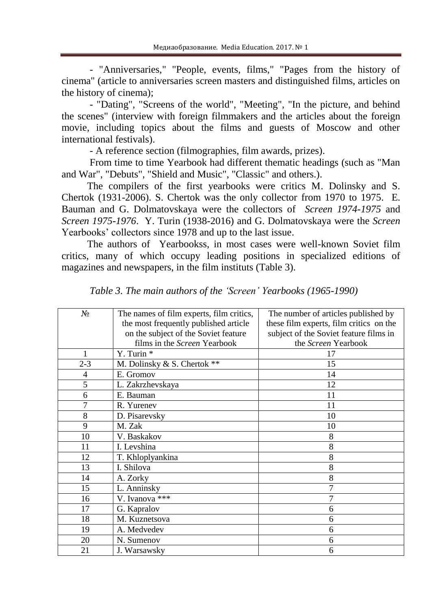- "Anniversaries," "People, events, films," "Pages from the history of cinema" (article to anniversaries screen masters and distinguished films, articles on the history of cinema);

- "Dating", "Screens of the world", "Meeting", "In the picture, and behind the scenes" (interview with foreign filmmakers and the articles about the foreign movie, including topics about the films and guests of Moscow and other international festivals).

- A reference section (filmographies, film awards, prizes).

From time to time Yearbook had different thematic headings (such as "Man and War", "Debuts", "Shield and Music", "Classic" and others.).

The compilers of the first yearbooks were critics M. Dolinsky and S. Chertok (1931-2006). S. Chertok was the only collector from 1970 to 1975. E. Bauman and G. Dolmatovskaya were the collectors of *Screen 1974-1975* and *Screen 1975-1976*. Y. Turin (1938-2016) and G. Dolmatovskaya were the *Screen* Yearbooks' collectors since 1978 and up to the last issue.

The authors of Yearbookss, in most cases were well-known Soviet film critics, many of which occupy leading positions in specialized editions of magazines and newspapers, in the film instituts (Table 3).

| $N_2$          | The names of film experts, film critics, | The number of articles published by     |
|----------------|------------------------------------------|-----------------------------------------|
|                | the most frequently published article    | these film experts, film critics on the |
|                | on the subject of the Soviet feature     | subject of the Soviet feature films in  |
|                | films in the Screen Yearbook             | the Screen Yearbook                     |
|                | Y. Turin *                               | 17                                      |
| $2 - 3$        | M. Dolinsky & S. Chertok **              | 15                                      |
| $\overline{4}$ | E. Gromov                                | 14                                      |
| 5              | L. Zakrzhevskaya                         | 12                                      |
| 6              | E. Bauman                                | 11                                      |
|                | R. Yurenev                               | 11                                      |
| 8              | D. Pisarevsky                            | 10                                      |
| 9              | M. Zak                                   | 10                                      |
| 10             | V. Baskakov                              | 8                                       |
| 11             | I. Levshina                              | 8                                       |
| 12             | T. Khloplyankina                         | 8                                       |
| 13             | I. Shilova                               | 8                                       |
| 14             | A. Zorky                                 | 8                                       |
| 15             | L. Anninsky                              | 7                                       |
| 16             | V. Ivanova ***                           |                                         |
| 17             | G. Kapralov                              | 6                                       |
| 18             | M. Kuznetsova                            | 6                                       |
| 19             | A. Medvedev                              | 6                                       |
| 20             | N. Sumenov                               | 6                                       |
| 21             | J. Warsawsky                             | 6                                       |

*Table 3. The main authors of the 'Screen' Yearbooks (1965-1990)*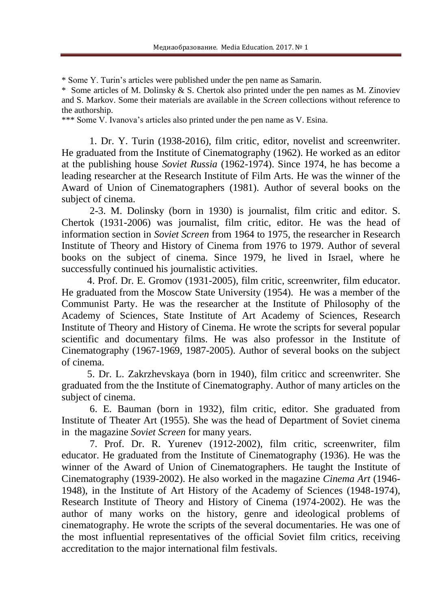\* Some Y. Turin's articles were published under the pen name as Samarin.

\* Some articles of M. Dolinsky & S. Chertok also printed under the pen names as M. Zinoviev and S. Markov. Some their materials are available in the *Screen* collections without reference to the authorship.

\*\*\* Some V. Ivanova's articles also printed under the pen name as V. Esina.

1. Dr. Y. Turin (1938-2016), film critic, editor, novelist and screenwriter. He graduated from the Institute of Cinematography (1962). He worked as an editor at the publishing house *Soviet Russia* (1962-1974). Since 1974, he has become a leading researcher at the Research Institute of Film Arts. He was the winner of the Award of Union of Cinematographers (1981). Author of several books on the subject of cinema.

2-3. M. Dolinsky (born in 1930) is journalist, film critic and editor. S. Chertok (1931-2006) was journalist, film critic, editor. He was the head of information section in *Soviet Screen* from 1964 to 1975, the researcher in Research Institute of Theory and History of Cinema from 1976 to 1979. Author of several books on the subject of cinema. Since 1979, he lived in Israel, where he successfully continued his journalistic activities.

4. Prof. Dr. E. Gromov (1931-2005), film critic, screenwriter, film educator. He graduated from the Moscow State University (1954). He was a member of the Communist Party. He was the researcher at the Institute of Philosophy of the Academy of Sciences, State Institute of Art Academy of Sciences, Research Institute of Theory and History of Cinema. He wrote the scripts for several popular scientific and documentary films. He was also professor in the Institute of Cinematography (1967-1969, 1987-2005). Author of several books on the subject of cinema.

5. Dr. L. Zakrzhevskaya (born in 1940), film criticc and screenwriter. She graduated from the the Institute of Cinematography. Author of many articles on the subject of cinema.

6. E. Bauman (born in 1932), film critic, editor. She graduated from Institute of Theater Art (1955). She was the head of Department of Soviet cinema in the magazine *Soviet Screen* for many years.

7. Prof. Dr. R. Yurenev (1912-2002), film critic, screenwriter, film educator. He graduated from the Institute of Cinematography (1936). He was the winner of the Award of Union of Cinematographers. He taught the Institute of Cinematography (1939-2002). He also worked in the magazine *Cinema Art* (1946- 1948), in the Institute of Art History of the Academy of Sciences (1948-1974), Research Institute of Theory and History of Cinema (1974-2002). He was the author of many works on the history, genre and ideological problems of cinematography. He wrote the scripts of the several documentaries. He was one of the most influential representatives of the official Soviet film critics, receiving accreditation to the major international film festivals.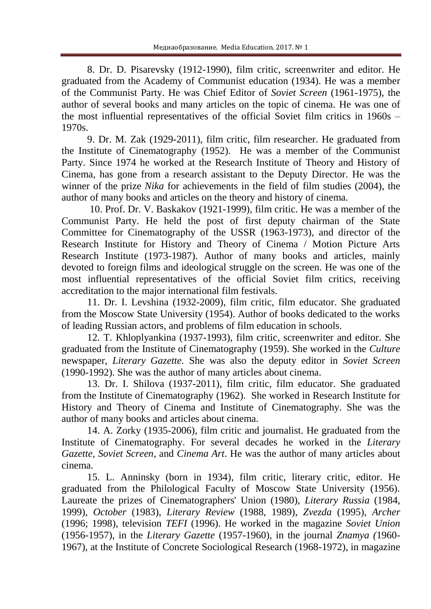8. Dr. D. Pisarevsky (1912-1990), film critic, screenwriter and editor. He graduated from the Academy of Communist education (1934). He was a member of the Communist Party. He was Chief Editor of *Soviet Screen* (1961-1975), the author of several books and many articles on the topic of cinema. He was one of the most influential representatives of the official Soviet film critics in 1960s – 1970s.

9. Dr. M. Zak (1929-2011), film critic, film researcher. He graduated from the Institute of Cinematography (1952). He was a member of the Communist Party. Since 1974 he worked at the Research Institute of Theory and History of Cinema, has gone from a research assistant to the Deputy Director. He was the winner of the prize *Nika* for achievements in the field of film studies (2004), the author of many books and articles on the theory and history of cinema.

10. Prof. Dr. V. Baskakov (1921-1999), film critic. He was a member of the Communist Party. He held the post of first deputy chairman of the State Committee for Cinematography of the USSR (1963-1973), and director of the Research Institute for History and Theory of Cinema / Motion Picture Arts Research Institute (1973-1987). Author of many books and articles, mainly devoted to foreign films and ideological struggle on the screen. He was one of the most influential representatives of the official Soviet film critics, receiving accreditation to the major international film festivals.

11. Dr. I. Levshina (1932-2009), film critic, film educator. She graduated from the Moscow State University (1954). Author of books dedicated to the works of leading Russian actors, and problems of film education in schools.

12. T. Khloplyankina (1937-1993), film critic, screenwriter and editor. She graduated from the Institute of Cinematography (1959). She worked in the *Culture* newspaper, *Literary Gazette.* She was also the deputy editor in *Soviet Screen* (1990-1992). She was the author of many articles about cinema.

13. Dr. I. Shilova (1937-2011), film critic, film educator. She graduated from the Institute of Cinematography (1962). She worked in Research Institute for History and Theory of Cinema and Institute of Cinematography. She was the author of many books and articles about cinema.

14. A. Zorky (1935-2006), film critic and journalist. He graduated from the Institute of Cinematography. For several decades he worked in the *Literary Gazette, Soviet Screen,* and *Cinema Art*. He was the author of many articles about cinema.

15. L. Anninsky (born in 1934), film critic, literary critic, editor. He graduated from the Philological Faculty of Moscow State University (1956). Laureate the prizes of Cinematographers' Union (1980), *Literary Russia* (1984, 1999), *October* (1983), *Literary Review* (1988, 1989), *Zvezda* (1995), *Archer*  (1996; 1998), television *TEFI* (1996). He worked in the magazine *Soviet Union* (1956-1957), in the *Literary Gazette* (1957-1960), in the journal *Znamya (*1960- 1967), at the Institute of Concrete Sociological Research (1968-1972), in magazine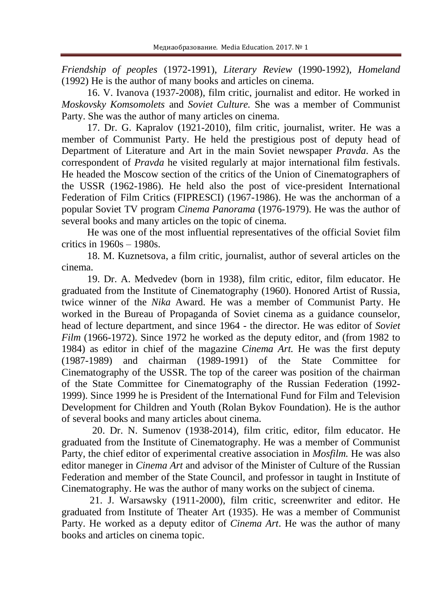*Friendship of peoples* (1972-1991), *Literary Review* (1990-1992), *Homeland* (1992) He is the author of many books and articles on cinema.

16. V. Ivanova (1937-2008), film critic, journalist and editor. He worked in *Moskovsky Komsomolets* and *Soviet Culture.* She was a member of Communist Party. She was the author of many articles on cinema.

17. Dr. G. Kapralov (1921-2010), film critic, journalist, writer. He was a member of Communist Party. He held the prestigious post of deputy head of Department of Literature and Art in the main Soviet newspaper *Pravda*. As the correspondent of *Pravda* he visited regularly at major international film festivals. He headed the Moscow section of the critics of the Union of Cinematographers of the USSR (1962-1986). He held also the post of vice-president International Federation of Film Critics (FIPRESCI) (1967-1986). He was the anchorman of a popular Soviet TV program *Cinema Panorama* (1976-1979). He was the author of several books and many articles on the topic of cinema.

He was one of the most influential representatives of the official Soviet film critics in  $1960s - 1980s$ .

18. M. Kuznetsova, a film critic, journalist, author of several articles on the cinema.

19. Dr. A. Medvedev (born in 1938), film critic, editor, film educator. He graduated from the Institute of Cinematography (1960). Honored Artist of Russia, twice winner of the *Nika* Award. He was a member of Communist Party. He worked in the Bureau of Propaganda of Soviet cinema as a guidance counselor, head of lecture department, and since 1964 - the director. He was editor of *Soviet Film* (1966-1972). Since 1972 he worked as the deputy editor, and (from 1982 to 1984) as editor in chief of the magazine *Cinema Art.* He was the first deputy (1987-1989) and chairman (1989-1991) of the State Committee for Cinematography of the USSR. The top of the career was position of the chairman of the State Committee for Cinematography of the Russian Federation (1992- 1999). Since 1999 he is President of the International Fund for Film and Television Development for Children and Youth (Rolan Bykov Foundation). He is the author of several books and many articles about cinema.

20. Dr. N. Sumenov (1938-2014), film critic, editor, film educator. He graduated from the Institute of Cinematography. He was a member of Communist Party, the chief editor of experimental creative association in *Mosfilm.* He was also editor maneger in *Cinema Art* and advisor of the Minister of Culture of the Russian Federation and member of the State Council, and professor in taught in Institute of Cinematography. He was the author of many works on the subject of cinema.

21. J. Warsawsky (1911-2000), film critic, screenwriter and editor. He graduated from Institute of Theater Art (1935). He was a member of Communist Party. He worked as a deputy editor of *Cinema Art*. He was the author of many books and articles on cinema topic.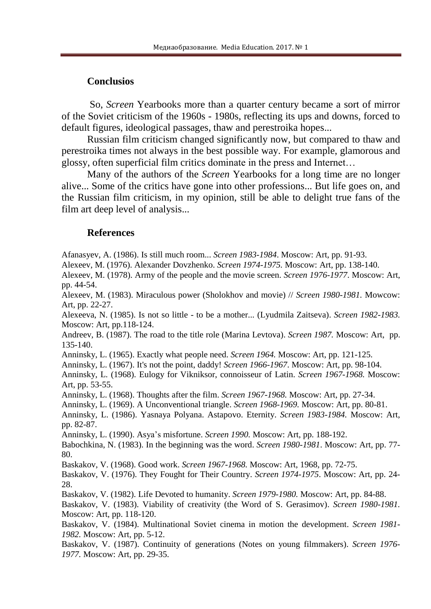#### **Conclusios**

So, *Screen* Yearbooks more than a quarter century became a sort of mirror of the Soviet criticism of the 1960s - 1980s, reflecting its ups and downs, forced to default figures, ideological passages, thaw and perestroika hopes...

Russian film criticism changed significantly now, but compared to thaw and perestroika times not always in the best possible way. For example, glamorous and glossy, often superficial film critics dominate in the press and Internet…

Many of the authors of the *Screen* Yearbooks for a long time are no longer alive... Some of the critics have gone into other professions... But life goes on, and the Russian film criticism, in my opinion, still be able to delight true fans of the film art deep level of analysis...

#### **References**

Afanasyev, A. (1986). Is still much room... *Screen 1983-1984*. Moscow: Art, pp. 91-93.

Alexeev, M. (1976). Alexander Dovzhenko. *Screen 1974-1975.* Moscow: Art, pp. 138-140.

Alexeev, M. (1978). Army of the people and the movie screen. *Screen 1976-1977*. Moscow: Art, pp. 44-54.

Alexeev, M. (1983). Miraculous power (Sholokhov and movie) // *Screen 1980-1981.* Mowcow: Art, pp. 22-27.

Alexeeva, N. (1985). Is not so little - to be a mother... (Lyudmila Zaitseva). *Screen 1982-1983.* Moscow: Art, pp.118-124.

Andreev, B. (1987). The road to the title role (Marina Levtova). *Screen 1987.* Moscow: Art, pp. 135-140.

Anninsky, L. (1965). Exactly what people need. *Screen 1964.* Moscow: Art, pp. 121-125.

Anninsky, L. (1967). It's not the point, daddy! *Screen 1966-1967*. Moscow: Art, pp. 98-104.

Anninsky, L. (1968). Eulogy for Vikniksor, connoisseur of Latin. *Screen 1967-1968.* Moscow: Art, pp. 53-55.

Anninsky, L. (1968). Thoughts after the film. *Screen 1967-1968.* Moscow: Art, pp. 27-34.

Anninsky, L. (1969). A Unconventional triangle. *Screen 1968-1969.* Moscow: Art, pp. 80-81.

Anninsky, L. (1986). Yasnaya Polyana. Astapovo. Eternity. *Screen 1983-1984.* Moscow: Art, pp. 82-87.

Anninsky, L. (1990). Asya's misfortune. *Screen 1990.* Moscow: Art, pp. 188-192.

Babochkina, N. (1983). In the beginning was the word. *Screen 1980-1981*. Moscow: Art, pp. 77- 80.

Baskakov, V. (1968). Good work. *Screen 1967-1968.* Moscow: Art, 1968, pp. 72-75.

Baskakov, V. (1976). They Fought for Their Country. *Screen 1974-1975*. Moscow: Art, pp. 24- 28.

Baskakov, V. (1982). Life Devoted to humanity. *Screen 1979-1980.* Moscow: Art, pp. 84-88.

Baskakov, V. (1983). Viability of creativity (the Word of S. Gerasimov). *Screen 1980-1981.* Moscow: Art, pp. 118-120.

Baskakov, V. (1984). Multinational Soviet cinema in motion the development. *Screen 1981- 1982.* Moscow: Art, pp. 5-12.

Baskakov, V. (1987). Continuity of generations (Notes on young filmmakers). *Screen 1976- 1977.* Moscow: Art, pp. 29-35.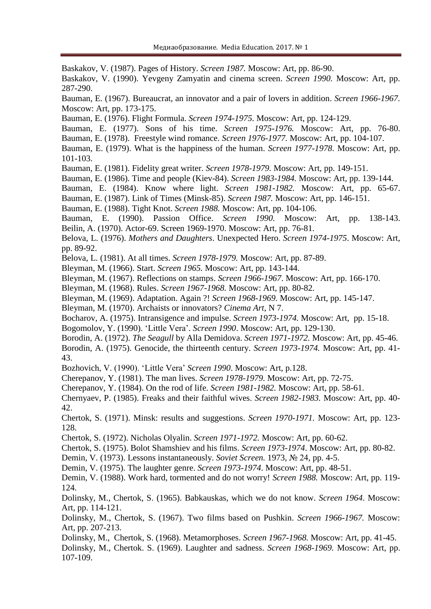Baskakov, V. (1987). Pages of History. *Screen 1987.* Moscow: Art, pp. 86-90. Baskakov, V. (1990). Yevgeny Zamyatin and cinema screen. *Screen 1990.* Moscow: Art, pp. 287-290. Bauman, E. (1967). Bureaucrat, an innovator and a pair of lovers in addition. *Screen 1966-1967.* Moscow: Art, pp. 173-175. Bauman, E. (1976). Flight Formula. *Screen 1974-1975.* Moscow: Art, pp. 124-129. Bauman, E. (1977). Sons of his time. *Screen 1975-1976.* Moscow: Art, pp. 76-80. Bauman, E. (1978). Freestyle wind romance. *Screen 1976-1977.* Moscow: Art, pp. 104-107. Bauman, E. (1979). What is the happiness of the human. *Screen 1977-1978*. Moscow: Art, pp. 101-103. Bauman, E. (1981). Fidelity great writer. *Screen 1978-1979.* Moscow: Art, pp. 149-151. Bauman, E. (1986). Time and people (Kiev-84). *Screen 1983-1984.* Moscow: Art, pp. 139-144. Bauman, E. (1984). Know where light. *Screen 1981-1982.* Moscow: Art, pp. 65-67. Bauman, E. (1987). Link of Times (Minsk-85). *Screen 1987.* Moscow: Art, pp. 146-151. Bauman, E. (1988). Tight Knot. *Screen 1988.* Moscow: Art, pp. 104-106. Bauman, E. (1990). Passion Office. *Screen 1990.* Moscow: Art, pp. 138-143. Beilin, A. (1970). Actor-69. Screen 1969-1970. Moscow: Art, pp. 76-81. Belova, L. (1976). *Mothers and Daughters*. Unexpected Hero. *Screen 1974-1975*. Moscow: Art, pp. 89-92. Belova, L. (1981). At all times. *Screen 1978-1979.* Moscow: Art, pp. 87-89. Bleyman, M. (1966). Start. *Screen 1965.* Moscow: Art, pp. 143-144. Bleyman, M. (1967). Reflections on stamps. *Screen 1966-1967*. Moscow: Art, pp. 166-170. Bleyman, M. (1968). Rules. *Screen 1967-1968.* Moscow: Art, pp. 80-82. Bleyman, M. (1969). Adaptation. Again ?! *Screen 1968-1969.* Moscow: Art, pp. 145-147. Bleyman, M. (1970). Archaists or innovators? *Cinema Art*, N 7. Bocharov, A. (1975). Intransigence and impulse. *Screen 1973-1974.* Moscow: Art, pp. 15-18. Bogomolov, Y. (1990). 'Little Vera'. *Screen 1990*. Moscow: Art, pp. 129-130. Borodin, A. (1972). *The Seagull* by Alla Demidova. *Screen 1971-1972.* Moscow: Art, pp. 45-46. Borodin, A. (1975). Genocide, the thirteenth century. *Screen 1973-1974.* Moscow: Art, pp. 41- 43. Bozhovich, V. (1990). 'Little Vera' *Screen 1990*. Moscow: Art, p.128. Cherepanov, Y. (1981). The man lives. *Screen 1978-1979.* Moscow: Art, pp. 72-75. Cherepanov, Y. (1984). On the rod of life. *Screen 1981-1982.* Moscow: Art, pp. 58-61. Chernyaev, P. (1985). Freaks and their faithful wives. *Screen 1982-1983.* Moscow: Art, pp. 40- 42. Chertok, S. (1971). Minsk: results and suggestions. *Screen 1970-1971.* Moscow: Art, pp. 123- 128. Chertok, S. (1972). Nicholas Olyalin. *Screen 1971-1972.* Moscow: Art, pp. 60-62. Chertok, S. (1975). Bolot Shamshiev and his films. *Screen 1973-1974*. Moscow: Art, pp. 80-82. Demin, V. (1973). Lessons instantaneously. *Soviet Screen.* 1973, № 24, pp. 4-5. Demin, V. (1975). The laughter genre. *Screen 1973-1974*. Moscow: Art, pp. 48-51. Demin, V. (1988). Work hard, tormented and do not worry! *Screen 1988.* Moscow: Art, pp. 119- 124. Dolinsky, M., Chertok, S. (1965). Babkauskas, which we do not know. *Screen 1964*. Moscow: Art, pp. 114-121. Dolinsky, M., Chertok, S. (1967). Two films based on Pushkin. *Screen 1966-1967.* Moscow: Art, pp. 207-213. Dolinsky, M., Chertok, S. (1968). Metamorphoses. *Screen 1967-1968.* Moscow: Art, pp. 41-45. Dolinsky, M., Chertok. S. (1969). Laughter and sadness. *Screen 1968-1969.* Moscow: Art, pp. 107-109.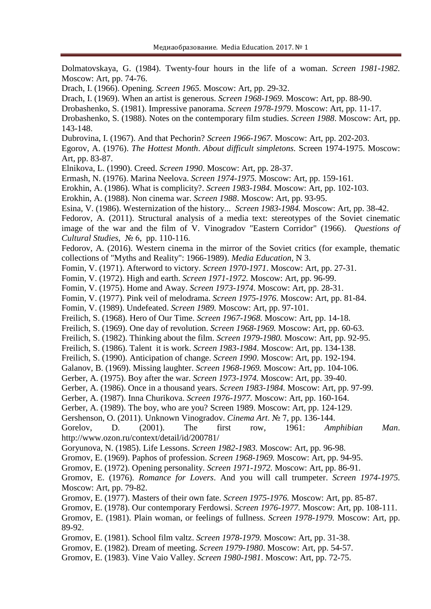Dolmatovskaya, G. (1984). Twenty-four hours in the life of a woman. *Screen 1981-1982.* Moscow: Art, pp. 74-76.

Drach, I. (1966). Opening. *Screen 1965.* Moscow: Art, pp. 29-32.

Drach, I. (1969). When an artist is generous. *Screen 1968-1969.* Moscow: Art, pp. 88-90.

Drobashenko, S. (1981). Impressive panorama. *Screen 1978-1979*. Moscow: Art, pp. 11-17.

Drobashenko, S. (1988). Notes on the contemporary film studies. *Screen 1988*. Moscow: Art, pp. 143-148.

Dubrovina, I. (1967). And that Pechorin? *Screen 1966-1967.* Moscow: Art, pp. 202-203.

Egorov, A. (1976). *The Hottest Month*. *About difficult simpletons.* Screen 1974-1975. Moscow: Art, pp. 83-87.

Elnikova, L. (1990). Creed. *Screen 1990*. Moscow: Art, pp. 28-37.

Ermash, N. (1976). Marina Neelova. *Screen 1974-1975.* Moscow: Art, pp. 159-161.

Erokhin, A. (1986). What is complicity?. *Screen 1983-1984*. Moscow: Art, pp. 102-103.

Erokhin, A. (1988). Non cinema war. *Screen 1988*. Moscow: Art, pp. 93-95.

Esina, V. (1986). Westernization of the history... *Screen 1983-1984.* Moscow: Art, pp. 38-42.

Fedorov, A. (2011). Structural analysis of a media text: stereotypes of the Soviet cinematic image of the war and the film of V. Vinogradov "Eastern Corridor" (1966). *Questions of Cultural Studies*, № 6, pp. 110-116.

Fedorov, A. (2016). Western cinema in the mirror of the Soviet critics (for example, thematic collections of "Myths and Reality": 1966-1989). *Media Education*, N 3.

Fomin, V. (1971). Afterword to victory. *Screen 1970-1971*. Moscow: Art, pp. 27-31.

Fomin, V. (1972). High and earth. *Screen 1971-1972.* Moscow: Art, pp. 96-99.

Fomin, V. (1975). Home and Away. *Screen 1973-1974*. Moscow: Art, pp. 28-31.

Fomin, V. (1977). Pink veil of melodrama. *Screen 1975-1976*. Moscow: Art, pp. 81-84.

Fomin, V. (1989). Undefeated. *Screen 1989.* Moscow: Art, pp. 97-101.

Freilich, S. (1968). Hero of Our Time. *Screen 1967-1968.* Moscow: Art, pp. 14-18.

Freilich, S. (1969). One day of revolution. *Screen 1968-1969.* Moscow: Art, pp. 60-63.

Freilich, S. (1982). Thinking about the film. *Screen 1979-1980.* Moscow: Art, pp. 92-95.

Freilich, S. (1986). Talent it is work. *Screen 1983-1984*. Moscow: Art, pp. 134-138.

Freilich, S. (1990). Anticipation of change. *Screen 1990*. Moscow: Art, pp. 192-194.

Galanov, B. (1969). Missing laughter. *Screen 1968-1969.* Moscow: Art, pp. 104-106.

Gerber, A. (1975). Boy after the war. *Screen 1973-1974.* Moscow: Art, pp. 39-40.

Gerber, A. (1986). Once in a thousand years. *Screen 1983-1984.* Moscow: Art, pp. 97-99.

Gerber, A. (1987). Inna Churikova. *Screen 1976-1977.* Moscow: Art, pp. 160-164.

Gerber, A. (1989). The boy, who are you? Screen 1989. Moscow: Art, pp. 124-129.

Gershenson, O. (2011). Unknown Vinogradov. *Cinema Art*. № 7, pp. 136-144.

Gorelov, D. (2001). The first row, 1961: *Amphibian Man*. <http://www.ozon.ru/context/detail/id/200781/>

Goryunova, N. (1985). Life Lessons. *Screen 1982-1983.* Moscow: Art, pp. 96-98.

Gromov, E. (1969). Paphos of profession. *Screen 1968-1969.* Moscow: Art, pp. 94-95.

Gromov, E. (1972). Opening personality. *Screen 1971-1972.* Moscow: Art, pp. 86-91.

Gromov, E. (1976). *Romance for Lovers*. And you will call trumpeter. *Screen 1974-1975.* Moscow: Art, pp. 79-82.

Gromov, E. (1977). Masters of their own fate. *Screen 1975-1976.* Moscow: Art, pp. 85-87.

Gromov, E. (1978). Our contemporary Ferdowsi. *Screen 1976-1977.* Moscow: Art, pp. 108-111.

Gromov, E. (1981). Plain woman, or feelings of fullness. *Screen 1978-1979.* Moscow: Art, pp. 89-92.

Gromov, E. (1981). School film valtz. *Screen 1978-1979.* Moscow: Art, pp. 31-38.

Gromov, E. (1982). Dream of meeting. *Screen 1979-1980*. Moscow: Art, pp. 54-57.

Gromov, E. (1983). Vine Vaio Valley. *Screen 1980-1981*. Moscow: Art, pp. 72-75.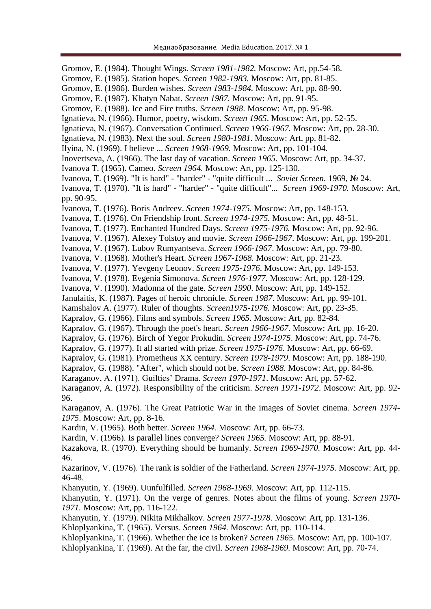Gromov, E. (1984). Thought Wings. *Screen 1981-1982.* Moscow: Art, pp.54-58. Gromov, E. (1985). Station hopes. *Screen 1982-1983.* Moscow: Art, pp. 81-85. Gromov, E. (1986). Burden wishes. *Screen 1983-1984.* Moscow: Art, pp. 88-90. Gromov, E. (1987). Khatyn Nabat. *Screen 1987.* Moscow: Art, pp. 91-95. Gromov, E. (1988). Ice and Fire truths. *Screen 1988*. Moscow: Art, pp. 95-98. Ignatieva, N. (1966). Humor, poetry, wisdom. *Screen 1965*. Moscow: Art, pp. 52-55. Ignatieva, N. (1967). Conversation Continued. *Screen 1966-1967.* Moscow: Art, pp. 28-30. Ignatieva, N. (1983). Next the soul. *Screen 1980-1981*. Moscow: Art, pp. 81-82. Ilyina, N. (1969). I believe ... *Screen 1968-1969.* Moscow: Art, pp. 101-104. Inovertseva, A. (1966). The last day of vacation. *Screen 1965.* Moscow: Art, pp. 34-37. Ivanova T. (1965). Cameo. *Screen 1964.* Moscow: Art, pp. 125-130. Ivanova, T. (1969). "It is hard" - "harder" - "quite difficult ... *Soviet Screen.* 1969, № 24. Ivanova, T. (1970). "It is hard" - "harder" - "quite difficult"... *Screen 1969-1970.* Moscow: Art, pp. 90-95. Ivanova, T. (1976). Boris Andreev. *Screen 1974-1975.* Moscow: Art, pp. 148-153. Ivanova, T. (1976). On Friendship front. *Screen 1974-1975.* Moscow: Art, pp. 48-51. Ivanova, T. (1977). Enchanted Hundred Days. *Screen 1975-1976.* Moscow: Art, pp. 92-96. Ivanova, V. (1967). Alexey Tolstoy and movie. *Screen 1966-1967*. Moscow: Art, pp. 199-201. Ivanova, V. (1967). Lubov Rumyantseva. *Screen 1966-1967*. Moscow: Art, pp. 79-80. Ivanova, V. (1968). Mother's Heart. *Screen 1967-1968.* Moscow: Art, pp. 21-23. Ivanova, V. (1977). Yevgeny Leonov. *Screen 1975-1976*. Moscow: Art, pp. 149-153. Ivanova, V. (1978). Evgenia Simonova. *Screen 1976-1977.* Moscow: Art, pp. 128-129. Ivanova, V. (1990). Madonna of the gate. *Screen 1990*. Moscow: Art, pp. 149-152. Janulaitis, K. (1987). Pages of heroic chronicle. *Screen 1987*. Moscow: Art, pp. 99-101. Kamshalov A. (1977). Ruler of thoughts. *Screen1975-1976.* Moscow: Art, pp. 23-35. Kapralov, G. (1966). Films and symbols. *Screen 1965.* Moscow: Art, pp. 82-84. Kapralov, G. (1967). Through the poet's heart. *Screen 1966-1967*. Moscow: Art, pp. 16-20. Kapralov, G. (1976). Birch of Yegor Prokudin. *Screen 1974-1975*. Moscow: Art, pp. 74-76. Kapralov, G. (1977). It all started with prize. *Screen 1975-1976.* Moscow: Art, pp. 66-69. Kapralov, G. (1981). Prometheus XX century. *Screen 1978-1979*. Moscow: Art, pp. 188-190. Kapralov, G. (1988). "After", which should not be. *Screen 1988.* Moscow: Art, pp. 84-86. Karaganov, A. (1971). Guilties' Drama. *Screen 1970-1971*. Moscow: Art, pp. 57-62. Karaganov, A. (1972). Responsibility of the criticism. *Screen 1971-1972*. Moscow: Art, pp. 92- 96. Karaganov, A. (1976). The Great Patriotic War in the images of Soviet cinema. *Screen 1974- 1975*. Moscow: Art, pp. 8-16. Kardin, V. (1965). Both better. *Screen 1964.* Moscow: Art, pp. 66-73. Kardin, V. (1966). Is parallel lines converge? *Screen 1965.* Moscow: Art, pp. 88-91. Kazakova, R. (1970). Everything should be humanly. *Screen 1969-1970.* Moscow: Art, pp. 44- 46. Kazarinov, V. (1976). The rank is soldier of the Fatherland. *Screen 1974-1975.* Moscow: Art, pp. 46-48. Khanyutin, Y. (1969). Uunfulfilled. *Screen 1968-1969.* Moscow: Art, pp. 112-115. Khanyutin, Y. (1971). On the verge of genres. Notes about the films of young. *Screen 1970- 1971.* Moscow: Art, pp. 116-122. Khanyutin, Y. (1979). Nikita Mikhalkov. *Screen 1977-1978.* Moscow: Art, pp. 131-136. Khloplyankina, T. (1965). Versus. *Screen 1964.* Moscow: Art, pp. 110-114.

Khloplyankina, T. (1966). Whether the ice is broken? *Screen 1965.* Moscow: Art, pp. 100-107. Khloplyankina, T. (1969). At the far, the civil. *Screen 1968-1969.* Moscow: Art, pp. 70-74.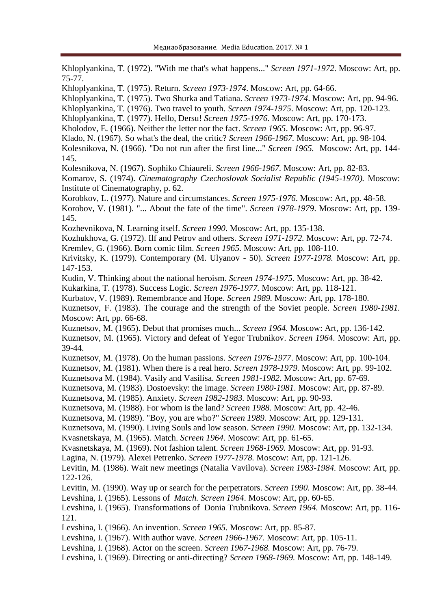| Khloplyankina, T. (1972). "With me that's what happens" Screen 1971-1972. Moscow: Art, pp.<br>$75 - 77.$                                                                                                                                                                                                                                                                                                                                                                                                                                                                                                                                                              |
|-----------------------------------------------------------------------------------------------------------------------------------------------------------------------------------------------------------------------------------------------------------------------------------------------------------------------------------------------------------------------------------------------------------------------------------------------------------------------------------------------------------------------------------------------------------------------------------------------------------------------------------------------------------------------|
| Khloplyankina, T. (1975). Return. Screen 1973-1974. Moscow: Art, pp. 64-66.<br>Khloplyankina, T. (1975). Two Shurka and Tatiana. Screen 1973-1974. Moscow: Art, pp. 94-96.<br>Khloplyankina, T. (1976). Two travel to youth. Screen 1974-1975. Moscow: Art, pp. 120-123.<br>Khloplyankina, T. (1977). Hello, Dersu! Screen 1975-1976. Moscow: Art, pp. 170-173.<br>Kholodov, E. (1966). Neither the letter nor the fact. Screen 1965. Moscow: Art, pp. 96-97.<br>Klado, N. (1967). So what's the deal, the critic? Screen 1966-1967. Moscow: Art, pp. 98-104.<br>Kolesnikova, N. (1966). "Do not run after the first line" Screen 1965. Moscow: Art, pp. 144-<br>145. |
| Kolesnikova, N. (1967). Sophiko Chiaureli. Screen 1966-1967. Moscow: Art, pp. 82-83.<br>Komarov, S. (1974). Cinematography Czechoslovak Socialist Republic (1945-1970). Moscow:<br>Institute of Cinematography, p. 62.<br>Korobkov, L. (1977). Nature and circumstances. Screen 1975-1976. Moscow: Art, pp. 48-58.<br>Korobov, V. (1981). " About the fate of the time". Screen 1978-1979. Moscow: Art, pp. 139-                                                                                                                                                                                                                                                      |
| 145.<br>Kozhevnikova, N. Learning itself. Screen 1990. Moscow: Art, pp. 135-138.                                                                                                                                                                                                                                                                                                                                                                                                                                                                                                                                                                                      |
| Kozhukhova, G. (1972). Ilf and Petrov and others. Screen 1971-1972. Moscow: Art, pp. 72-74.<br>Kremlev, G. (1966). Born comic film. Screen 1965. Moscow: Art, pp. 108-110.<br>Krivitsky, K. (1979). Contemporary (M. Ulyanov - 50). Screen 1977-1978. Moscow: Art, pp.<br>147-153.                                                                                                                                                                                                                                                                                                                                                                                    |
| Kudin, V. Thinking about the national heroism. Screen 1974-1975. Moscow: Art, pp. 38-42.<br>Kukarkina, T. (1978). Success Logic. Screen 1976-1977. Moscow: Art, pp. 118-121.<br>Kurbatov, V. (1989). Remembrance and Hope. Screen 1989. Moscow: Art, pp. 178-180.<br>Kuznetsov, F. (1983). The courage and the strength of the Soviet people. Screen 1980-1981.<br>Moscow: Art, pp. 66-68.                                                                                                                                                                                                                                                                            |
| Kuznetsov, M. (1965). Debut that promises much Screen 1964. Moscow: Art, pp. 136-142.<br>Kuznetsov, M. (1965). Victory and defeat of Yegor Trubnikov. Screen 1964. Moscow: Art, pp.<br>39-44.                                                                                                                                                                                                                                                                                                                                                                                                                                                                         |
| Kuznetsov, M. (1978). On the human passions. Screen 1976-1977. Moscow: Art, pp. 100-104.<br>Kuznetsov, M. (1981). When there is a real hero. Screen 1978-1979. Moscow: Art, pp. 99-102.<br>Kuznetsova M. (1984). Vasily and Vasilisa. Screen 1981-1982. Moscow: Art, pp. 67-69.<br>Kuznetsova, M. (1983). Dostoevsky: the image. Screen 1980-1981. Moscow: Art, pp. 87-89.<br>Kuznetsova, M. (1985). Anxiety. Screen 1982-1983. Moscow: Art, pp. 90-93.                                                                                                                                                                                                               |
| Kuznetsova, M. (1988). For whom is the land? Screen 1988. Moscow: Art, pp. 42-46.<br>Kuznetsova, M. (1989). "Boy, you are who?" Screen 1989. Moscow: Art, pp. 129-131.<br>Kuznetsova, M. (1990). Living Souls and low season. Screen 1990. Moscow: Art, pp. 132-134.                                                                                                                                                                                                                                                                                                                                                                                                  |
| Kvasnetskaya, M. (1965). Match. Screen 1964. Moscow: Art, pp. 61-65.<br>Kvasnetskaya, M. (1969). Not fashion talent. Screen 1968-1969. Moscow: Art, pp. 91-93.<br>Lagina, N. (1979). Alexei Petrenko. Screen 1977-1978. Moscow: Art, pp. 121-126.<br>Levitin, M. (1986). Wait new meetings (Natalia Vavilova). Screen 1983-1984. Moscow: Art, pp.                                                                                                                                                                                                                                                                                                                     |
| 122-126.<br>Levitin, M. (1990). Way up or search for the perpetrators. Screen 1990. Moscow: Art, pp. 38-44.<br>Levshina, I. (1965). Lessons of <i>Match. Screen 1964</i> . Moscow: Art, pp. 60-65.<br>Levshina, I. (1965). Transformations of Donia Trubnikova. Screen 1964. Moscow: Art, pp. 116-<br>121.                                                                                                                                                                                                                                                                                                                                                            |
| Levshina, I. (1966). An invention. Screen 1965. Moscow: Art, pp. 85-87.<br>Levshina, I. (1967). With author wave. Screen 1966-1967. Moscow: Art, pp. 105-11.<br>Levshina, I. (1968). Actor on the screen. Screen 1967-1968. Moscow: Art, pp. 76-79.<br>Levshina, I. (1969). Directing or anti-directing? Screen 1968-1969. Moscow: Art, pp. 148-149.                                                                                                                                                                                                                                                                                                                  |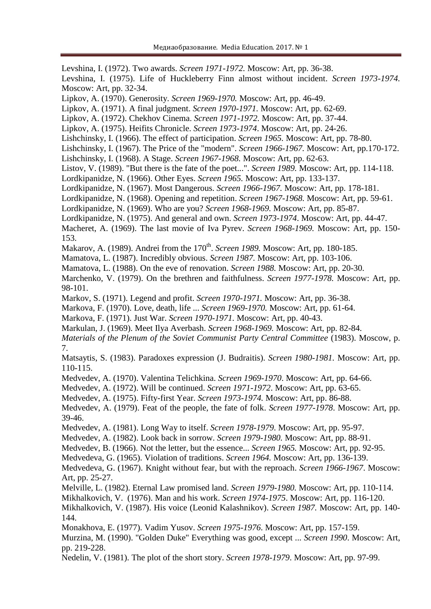Levshina, I. (1972). Two awards. *Screen 1971-1972.* Moscow: Art, pp. 36-38. Levshina, I. (1975). Life of Huckleberry Finn almost without incident. *Screen 1973-1974.* Moscow: Art, pp. 32-34. Lipkov, A. (1970). Generosity. *Screen 1969-1970.* Moscow: Art, pp. 46-49. Lipkov, A. (1971). A final judgment. *Screen 1970-1971.* Moscow: Art, pp. 62-69. Lipkov, A. (1972). Chekhov Cinema. *Screen 1971-1972.* Moscow: Art, pp. 37-44. Lipkov, A. (1975). Heifits Chronicle. *Screen 1973-1974*. Moscow: Art, pp. 24-26. Lishchinsky, I. (1966). The effect of participation. *Screen 1965.* Moscow: Art, pp. 78-80. Lishchinsky, I. (1967). The Price of the "modern". *Screen 1966-1967.* Moscow: Art, pp.170-172. Lishchinsky, I. (1968). A Stage. *Screen 1967-1968.* Moscow: Art, pp. 62-63. Listov, V. (1989). "But there is the fate of the poet...". *Screen 1989.* Moscow: Art, pp. 114-118. Lordkipanidze, N. (1966). Other Eyes. *Screen 1965.* Moscow: Art, pp. 133-137. Lordkipanidze, N. (1967). Most Dangerous. *Screen 1966-1967.* Moscow: Art, pp. 178-181. Lordkipanidze, N. (1968). Opening and repetition. *Screen 1967-1968.* Moscow: Art, pp. 59-61. Lordkipanidze, N. (1969). Who are you? *Screen 1968-1969.* Moscow: Art, pp. 85-87. Lordkipanidze, N. (1975). And general and own. *Screen 1973-1974*. Moscow: Art, pp. 44-47. Macheret, A. (1969). The last movie of Iva Pyrev. *Screen 1968-1969.* Moscow: Art, pp. 150- 153. Makarov, A. (1989). Andrei from the 170<sup>th</sup>. *Screen 1989*. Moscow: Art, pp. 180-185. Mamatova, L. (1987). Incredibly obvious. *Screen 1987.* Moscow: Art, pp. 103-106. Mamatova, L. (1988). On the eve of renovation. *Screen 1988.* Moscow: Art, pp. 20-30. Marchenko, V. (1979). On the brethren and faithfulness. *Screen 1977-1978.* Moscow: Art, pp. 98-101. Markov, S. (1971). Legend and profit. *Screen 1970-1971.* Moscow: Art, pp. 36-38. Markova, F. (1970). Love, death, life ... *Screen 1969-1970.* Moscow: Art, pp. 61-64. Markova, F. (1971). Just War. *Screen 1970-1971.* Moscow: Art, pp. 40-43. Markulan, J. (1969). Meet Ilya Averbash. *Screen 1968-1969.* Moscow: Art, pp. 82-84. *Materials of the Plenum of the Soviet Communist Party Central Committee* (1983). Moscow, p. 7. Matsaytis, S. (1983). Paradoxes expression (J. Budraitis). *Screen 1980-1981.* Moscow: Art, pp. 110-115. Medvedev, A. (1970). Valentina Telichkina. *Screen 1969-1970*. Moscow: Art, pp. 64-66. Medvedev, A. (1972). Will be continued. *Screen 1971-1972*. Moscow: Art, pp. 63-65. Medvedev, A. (1975). Fifty-first Year. *Screen 1973-1974.* Moscow: Art, pp. 86-88. Medvedev, A. (1979). Feat of the people, the fate of folk. *Screen 1977-1978*. Moscow: Art, pp. 39-46. Medvedev, A. (1981). Long Way to itself. *Screen 1978-1979*. Moscow: Art, pp. 95-97. Medvedev, A. (1982). Look back in sorrow. *Screen 1979-1980.* Moscow: Art, pp. 88-91. Medvedev, B. (1966). Not the letter, but the essence... *Screen 1965.* Moscow: Art, pp. 92-95. Medvedeva, G. (1965). Violation of traditions. *Screen 1964.* Moscow: Art, pp. 136-139. Medvedeva, G. (1967). Knight without fear, but with the reproach. *Screen 1966-1967*. Moscow: Art, pp. 25-27. Melville, L. (1982). Eternal Law promised land. *Screen 1979-1980.* Moscow: Art, pp. 110-114. Mikhalkovich, V. (1976). Man and his work. *Screen 1974-1975*. Moscow: Art, pp. 116-120. Mikhalkovich, V. (1987). His voice (Leonid Kalashnikov). *Screen 1987.* Moscow: Art, pp. 140- 144. Monakhova, E. (1977). Vadim Yusov. *Screen 1975-1976*. Moscow: Art, pp. 157-159. Murzina, M. (1990). "Golden Duke" Everything was good, except ... *Screen 1990*. Moscow: Art, pp. 219-228.

Nedelin, V. (1981). The plot of the short story. *Screen 1978-1979*. Moscow: Art, pp. 97-99.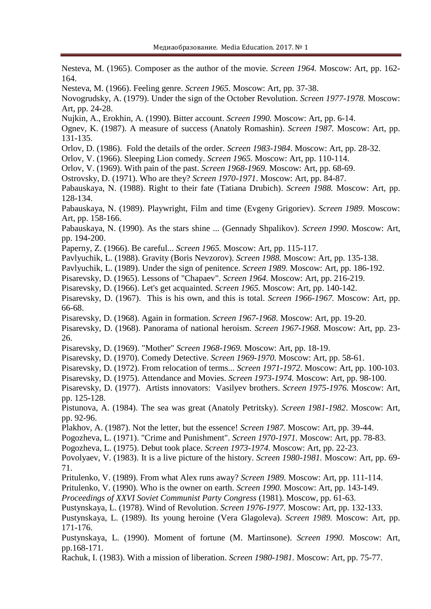Nesteva, M. (1965). Composer as the author of the movie*. Screen 1964.* Moscow: Art, pp. 162- 164.

Nesteva, M. (1966). Feeling genre. *Screen 1965.* Moscow: Art, pp. 37-38.

Novogrudsky, A. (1979). Under the sign of the October Revolution. *Screen 1977-1978.* Moscow: Art, pp. 24-28.

Nujkin, A., Erokhin, A. (1990). Bitter account. *Screen 1990.* Moscow: Art, pp. 6-14.

Ognev, K. (1987). A measure of success (Anatoly Romashin). *Screen 1987.* Moscow: Art, pp. 131-135.

Orlov, D. (1986). Fold the details of the order. *Screen 1983-1984*. Moscow: Art, pp. 28-32.

Orlov, V. (1966). Sleeping Lion comedy. *Screen 1965.* Moscow: Art, pp. 110-114.

Orlov, V. (1969). With pain of the past. *Screen 1968-1969.* Moscow: Art, pp. 68-69.

Ostrovsky, D. (1971). Who are they? *Screen 1970-1971*. Moscow: Art, pp. 84-87.

Pabauskaya, N. (1988). Right to their fate (Tatiana Drubich). *Screen 1988.* Moscow: Art, pp. 128-134.

Pabauskaya, N. (1989). Playwright, Film and time (Evgeny Grigoriev). *Screen 1989.* Moscow: Art, pp. 158-166.

Pabauskaya, N. (1990). As the stars shine ... (Gennady Shpalikov). *Screen 1990*. Moscow: Art, pp. 194-200.

Paperny, Z. (1966). Be careful... *Screen 1965.* Moscow: Art, pp. 115-117.

Pavlyuchik, L. (1988). Gravity (Boris Nevzorov). *Screen 1988.* Moscow: Art, pp. 135-138.

Pavlyuchik, L. (1989). Under the sign of penitence. *Screen 1989.* Moscow: Art, pp. 186-192.

Pisarevsky, D. (1965). Lessons of "Chapaev". *Screen 1964.* Moscow: Art, pp. 216-219.

Pisarevsky, D. (1966). Let's get acquainted. *Screen 1965.* Moscow: Art, pp. 140-142.

Pisarevsky, D. (1967). This is his own, and this is total. *Screen 1966-1967.* Moscow: Art, pp. 66-68.

Pisarevsky, D. (1968). Again in formation. *Screen 1967-1968*. Moscow: Art, pp. 19-20.

Pisarevsky, D. (1968). Panorama of national heroism. *Screen 1967-1968.* Moscow: Art, pp. 23- 26.

Pisarevsky, D. (1969). "Mother" *Screen 1968-1969.* Moscow: Art, pp. 18-19.

Pisarevsky, D. (1970). Comedy Detective. *Screen 1969-1970.* Moscow: Art, pp. 58-61.

Pisarevsky, D. (1972). From relocation of terms... *Screen 1971-1972.* Moscow: Art, pp. 100-103.

Pisarevsky, D. (1975). Attendance and Movies. *Screen 1973-1974.* Moscow: Art, pp. 98-100.

Pisarevsky, D. (1977). Artists innovators: Vasilyev brothers. *Screen 1975-1976.* Moscow: Art, pp. 125-128.

Pistunova, A. (1984). The sea was great (Anatoly Petritsky). *Screen 1981-1982*. Moscow: Art, pp. 92-96.

Plakhov, A. (1987). Not the letter, but the essence! *Screen 1987.* Moscow: Art, pp. 39-44.

Pogozheva, L. (1971). "Crime and Punishment". *Screen 1970-1971.* Moscow: Art, pp. 78-83.

Pogozheva, L. (1975). Debut took place. *Screen 1973-1974.* Moscow: Art, pp. 22-23.

Povolyaev, V. (1983). It is a live picture of the history. *Screen 1980-1981.* Moscow: Art, pp. 69- 71.

Pritulenko, V. (1989). From what Alex runs away? *Screen 1989.* Moscow: Art, pp. 111-114.

Pritulenko, V. (1990). Who is the owner on earth. *Screen 1990.* Moscow: Art, pp. 143-149.

*Proceedings of XXVI Soviet Communist Party Congress* (1981). Moscow, pp. 61-63.

Pustynskaya, L. (1978). Wind of Revolution. *Screen 1976-1977.* Moscow: Art, pp. 132-133.

Pustynskaya, L. (1989). Its young heroine (Vera Glagoleva). *Screen 1989.* Moscow: Art, pp. 171-176.

Pustynskaya, L. (1990). Moment of fortune (M. Martinsone). *Screen 1990.* Moscow: Art, pp.168-171.

Rachuk, I. (1983). With a mission of liberation. *Screen 1980-1981.* Moscow: Art, pp. 75-77.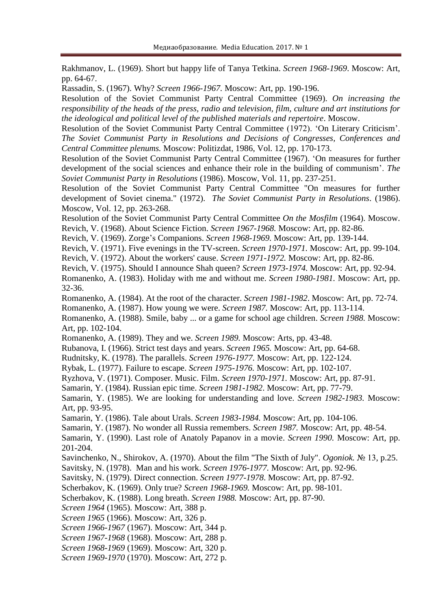Rakhmanov, L. (1969). Short but happy life of Tanya Tetkina. *Screen 1968-1969*. Moscow: Art, pp. 64-67.

Rassadin, S. (1967). Why? *Screen 1966-1967.* Moscow: Art, pp. 190-196.

Resolution of the Soviet Communist Party Central Committee (1969). *On increasing the responsibility of the heads of the press, radio and television, film, culture and art institutions for the ideological and political level of the published materials and repertoire*. Moscow.

Resolution of the Soviet Communist Party Central Committee (1972). 'On Literary Criticism'. *The Soviet Communist Party in Resolutions and Decisions of Congresses, Conferences and Central Committee plenums.* Moscow: Politizdat, 1986, Vol. 12, pp. 170-173.

Resolution of the Soviet Communist Party Central Committee (1967). 'On measures for further development of the social sciences and enhance their role in the building of communism'. *The Soviet Communist Party in Resolutions* (1986). Moscow, Vol. 11, pp. 237-251.

Resolution of the Soviet Communist Party Central Committee "On measures for further development of Soviet cinema." (1972). *The Soviet Communist Party in Resolutions*. (1986). Moscow, Vol. 12, pp. 263-268.

Resolution of the Soviet Communist Party Central Committee *On the Mosfilm* (1964). Moscow. Revich, V. (1968). About Science Fiction. *Screen 1967-1968.* Moscow: Art, pp. 82-86.

Revich, V. (1969). Zorge's Companions. *Screen 1968-1969.* Moscow: Art, pp. 139-144.

Revich, V. (1971). Five evenings in the TV-screen. *Screen 1970-1971.* Moscow: Art, pp. 99-104.

Revich, V. (1972). About the workers' cause. *Screen 1971-1972.* Moscow: Art, pp. 82-86.

Revich, V. (1975). Should I announce Shah queen? *Screen 1973-1974.* Moscow: Art, pp. 92-94.

Romanenko, A. (1983). Holiday with me and without me. *Screen 1980-1981.* Moscow: Art, pp. 32-36.

Romanenko, A. (1984). At the root of the character. *Screen 1981-1982*. Moscow: Art, pp. 72-74.

Romanenko, A. (1987). How young we were. *Screen 1987.* Moscow: Art, pp. 113-114.

Romanenko, A. (1988). Smile, baby ... or a game for school age children. *Screen 1988.* Moscow: Art, pp. 102-104.

Romanenko, A. (1989). They and we. *Screen 1989.* Moscow: Arts, pp. 43-48.

Rubanova, I. (1966). Strict test days and years. *Screen 1965.* Moscow: Art, pp. 64-68.

Rudnitsky, K. (1978). The parallels. *Screen 1976-1977.* Moscow: Art, pp. 122-124.

Rybak, L. (1977). Failure to escape. *Screen 1975-1976.* Moscow: Art, pp. 102-107.

Ryzhova, V. (1971). Composer. Music. Film. *Screen 1970-1971.* Moscow: Art, pp. 87-91.

Samarin, Y. (1984). Russian epic time. *Screen 1981-1982*. Moscow: Art, pp. 77-79.

Samarin, Y. (1985). We are looking for understanding and love. *Screen 1982-1983.* Moscow: Art, pp. 93-95.

Samarin, Y. (1986). Tale about Urals. *Screen 1983-1984.* Moscow: Art, pp. 104-106.

Samarin, Y. (1987). No wonder all Russia remembers. *Screen 1987.* Moscow: Art, pp. 48-54.

Samarin, Y. (1990). Last role of Anatoly Papanov in a movie. *Screen 1990.* Moscow: Art, pp. 201-204.

Savinchenko, N., Shirokov, A. (1970). About the film "The Sixth of July". *Ogoniok.* № 13, p.25.

Savitsky, N. (1978). Man and his work. *Screen 1976-1977.* Moscow: Art, pp. 92-96.

Savitsky, N. (1979). Direct connection. *Screen 1977-1978*. Moscow: Art, pp. 87-92.

Scherbakov, K. (1969). Only true? *Screen 1968-1969.* Moscow: Art, pp. 98-101.

Scherbakov, K. (1988). Long breath. *Screen 1988.* Moscow: Art, pp. 87-90.

*Screen 1964* (1965). Moscow: Art, 388 p.

*Screen 1965* (1966). Moscow: Art, 326 p.

*Screen 1966-1967* (1967). Moscow: Art, 344 p.

*Screen 1967-1968* (1968). Moscow: Art, 288 p.

*Screen 1968-1969* (1969). Moscow: Art, 320 p.

*Screen 1969-1970* (1970). Moscow: Art, 272 p.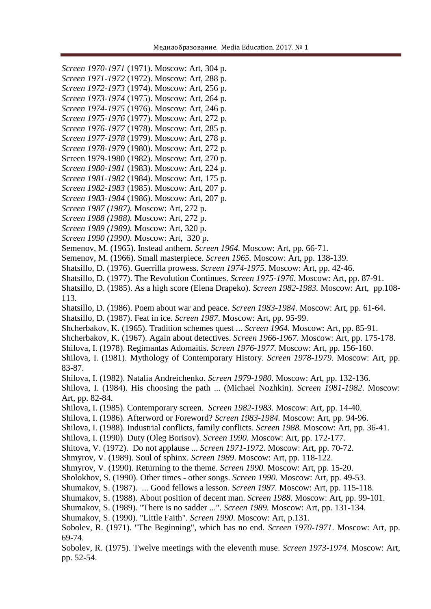*Screen 1970-1971* (1971). Moscow: Art, 304 p. *Screen 1971-1972* (1972). Moscow: Art, 288 p.

- *Screen 1972-1973* (1974). Moscow: Art, 256 p.
- *Screen 1973-1974* (1975). Moscow: Art, 264 p.
- *Screen 1974-1975* (1976). Moscow: Art, 246 p.
- *Screen 1975-1976* (1977). Moscow: Art, 272 p.
- *Screen 1976-1977* (1978). Moscow: Art, 285 p. *Screen 1977-1978* (1979). Moscow: Art, 278 p.
- *Screen 1978-1979* (1980). Moscow: Art, 272 p.
- Screen 1979-1980 (1982). Moscow: Art, 270 p.
- *Screen 1980-1981* (1983). Moscow: Art, 224 p.
- *Screen 1981-1982* (1984). Moscow: Art, 175 p.
- *Screen 1982-1983* (1985). Moscow: Art, 207 p.
- *Screen 1983-1984* (1986). Moscow: Art, 207 p.
- *Screen 1987 (1987).* Moscow: Art, 272 p.
- *Screen 1988 (1988).* Moscow: Art, 272 p.
- *Screen 1989 (1989).* Moscow: Art, 320 p.
- *Screen 1990 (1990).* Moscow: Art, 320 p.

Semenov, M. (1965). Instead anthem. *Screen 1964.* Moscow: Art, pp. 66-71.

Semenov, M. (1966). Small masterpiece. *Screen 1965.* Moscow: Art, pp. 138-139.

Shatsillo, D. (1976). Guerrilla prowess. *Screen 1974-1975*. Moscow: Art, pp. 42-46.

Shatsillo, D. (1977). The Revolution Continues. *Screen 1975-1976*. Moscow: Art, pp. 87-91.

Shatsillo, D. (1985). As a high score (Elena Drapeko). *Screen 1982-1983.* Moscow: Art, pp.108- 113.

Shatsillo, D. (1986). Poem about war and peace. *Screen 1983-1984*. Moscow: Art, pp. 61-64. Shatsillo, D. (1987). Feat in ice. *Screen 1987*. Moscow: Art, pp. 95-99.

Shcherbakov, K. (1965). Tradition schemes quest ... *Screen 1964.* Moscow: Art, pp. 85-91.

Shcherbakov, K. (1967). Again about detectives. *Screen 1966-1967.* Moscow: Art, pp. 175-178.

Shilova, I. (1978). Regimantas Adomaitis. *Screen 1976-1977.* Moscow: Art, pp. 156-160.

Shilova, I. (1981). Mythology of Contemporary History. *Screen 1978-1979*. Moscow: Art, pp. 83-87.

Shilova, I. (1982). Natalia Andreichenko. *Screen 1979-1980*. Moscow: Art, pp. 132-136.

Shilova, I. (1984). His choosing the path ... (Michael Nozhkin). *Screen 1981-1982*. Moscow: Art, pp. 82-84.

Shilova, I. (1985). Contemporary screen. *Screen 1982-1983.* Moscow: Art, pp. 14-40.

- Shilova, I. (1986). Afterword or Foreword? *Screen 1983-1984.* Moscow: Art, pp. 94-96.
- Shilova, I. (1988). Industrial conflicts, family conflicts. *Screen 1988.* Moscow: Art, pp. 36-41.

Shilova, I. (1990). Duty (Oleg Borisov). *Screen 1990.* Moscow: Art, pp. 172-177.

Shitova, V. (1972). Do not applause ... *Screen 1971-1972*. Moscow: Art, pp. 70-72.

Shmyrov, V. (1989). Soul of sphinx. *Screen 1989*. Moscow: Art, pp. 118-122.

Shmyrov, V. (1990). Returning to the theme. *Screen 1990.* Moscow: Art, pp. 15-20.

Sholokhov, S. (1990). Other times - other songs. *Screen 1990.* Moscow: Art, pp. 49-53.

Shumakov, S. (1987). ... Good fellows a lesson. *Screen 1987.* Moscow: Art, pp. 115-118.

Shumakov, S. (1988). About position of decent man. *Screen 1988*. Moscow: Art, pp. 99-101.

Shumakov, S. (1989). "There is no sadder ...". *Screen 1989.* Moscow: Art, pp. 131-134.

Shumakov, S. (1990). "Little Faith". *Screen 1990*. Moscow: Art, p.131.

Sobolev, R. (1971). "The Beginning", which has no end. *Screen 1970-1971*. Moscow: Art, pp. 69-74.

Sobolev, R. (1975). Twelve meetings with the eleventh muse. *Screen 1973-1974*. Moscow: Art, pp. 52-54.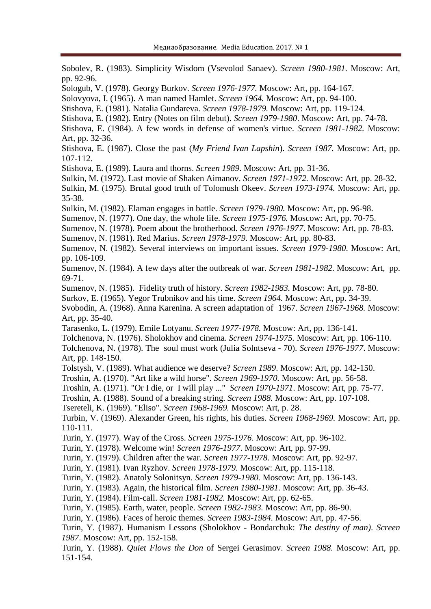Sobolev, R. (1983). Simplicity Wisdom (Vsevolod Sanaev). *Screen 1980-1981.* Moscow: Art, pp. 92-96. Sologub, V. (1978). Georgy Burkov. *Screen 1976-1977.* Moscow: Art, pp. 164-167. Solovyova, I. (1965). A man named Hamlet. *Screen 1964.* Moscow: Art, pp. 94-100. Stishova, E. (1981). Natalia Gundareva. *Screen 1978-1979.* Moscow: Art, pp. 119-124. Stishova, E. (1982). Entry (Notes on film debut). *Screen 1979-1980*. Moscow: Art, pp. 74-78. Stishova, E. (1984). A few words in defense of women's virtue. *Screen 1981-1982.* Moscow: Art, pp. 32-36. Stishova, E. (1987). Close the past (*My Friend Ivan Lapshin*). *Screen 1987.* Moscow: Art, pp. 107-112. Stishova, E. (1989). Laura and thorns. *Screen 1989*. Moscow: Art, pp. 31-36. Sulkin, M. (1972). Last movie of Shaken Aimanov. *Screen 1971-1972.* Moscow: Art, pp. 28-32. Sulkin, M. (1975). Brutal good truth of Tolomush Okeev. *Screen 1973-1974.* Moscow: Art, pp. 35-38. Sulkin, M. (1982). Elaman engages in battle. *Screen 1979-1980.* Moscow: Art, pp. 96-98. Sumenov, N. (1977). One day, the whole life. *Screen 1975-1976.* Moscow: Art, pp. 70-75. Sumenov, N. (1978). Poem about the brotherhood. *Screen 1976-1977*. Moscow: Art, pp. 78-83. Sumenov, N. (1981). Red Marius. *Screen 1978-1979.* Moscow: Art, pp. 80-83. Sumenov, N. (1982). Several interviews on important issues. *Screen 1979-1980*. Moscow: Art, pp. 106-109. Sumenov, N. (1984). A few days after the outbreak of war. *Screen 1981-1982.* Moscow: Art, pp. 69-71. Sumenov, N. (1985). Fidelity truth of history. *Screen 1982-1983.* Moscow: Art, pp. 78-80. Surkov, E. (1965). Yegor Trubnikov and his time. *Screen 1964.* Moscow: Art, pp. 34-39. Svobodin, A. (1968). Anna Karenina. A screen adaptation of 1967. *Screen 1967-1968.* Moscow: Art, pp. 35-40. Tarasenko, L. (1979). Emile Lotyanu. *Screen 1977-1978.* Moscow: Art, pp. 136-141. Tolchenova, N. (1976). Sholokhov and cinema. *Screen 1974-1975.* Moscow: Art, pp. 106-110. Tolchenova, N. (1978). The soul must work (Julia Solntseva - 70). *Screen 1976-1977*. Moscow: Art, pp. 148-150. Tolstysh, V. (1989). What audience we deserve? *Screen 1989*. Moscow: Art, pp. 142-150. Troshin, A. (1970). "Art like a wild horse". *Screen 1969-1970.* Moscow: Art, pp. 56-58. Troshin, A. (1971). "Or I die, or I will play ..." *Screen 1970-1971*. Moscow: Art, pp. 75-77. Troshin, A. (1988). Sound of a breaking string. *Screen 1988.* Moscow: Art, pp. 107-108. Tsereteli, K. (1969). "Eliso". *Screen 1968-1969.* Moscow: Art, p. 28. Turbin, V. (1969). Alexander Green, his rights, his duties. *Screen 1968-1969.* Moscow: Art, pp. 110-111. Turin, Y. (1977). Way of the Cross. *Screen 1975-1976*. Moscow: Art, pp. 96-102. Turin, Y. (1978). Welcome win! *Screen 1976-1977*. Moscow: Art, pp. 97-99. Turin, Y. (1979). Children after the war. *Screen 1977-1978.* Moscow: Art, pp. 92-97. Turin, Y. (1981). Ivan Ryzhov. *Screen 1978-1979.* Moscow: Art, pp. 115-118. Turin, Y. (1982). Anatoly Solonitsyn. *Screen 1979-1980.* Moscow: Art, pp. 136-143. Turin, Y. (1983). Again, the historical film. *Screen 1980-1981.* Moscow: Art, pp. 36-43. Turin, Y. (1984). Film-call. *Screen 1981-1982.* Moscow: Art, pp. 62-65. Turin, Y. (1985). Earth, water, people. *Screen 1982-1983.* Moscow: Art, pp. 86-90. Turin, Y. (1986). Faces of heroic themes. *Screen 1983-1984.* Moscow: Art, pp. 47-56. Turin, Y. (1987). Humanism Lessons (Sholokhov - Bondarchuk: *The destiny of man)*. *Screen 1987*. Moscow: Art, pp. 152-158. Turin, Y. (1988). *Quiet Flows the Don* of Sergei Gerasimov. *Screen 1988.* Moscow: Art, pp. 151-154.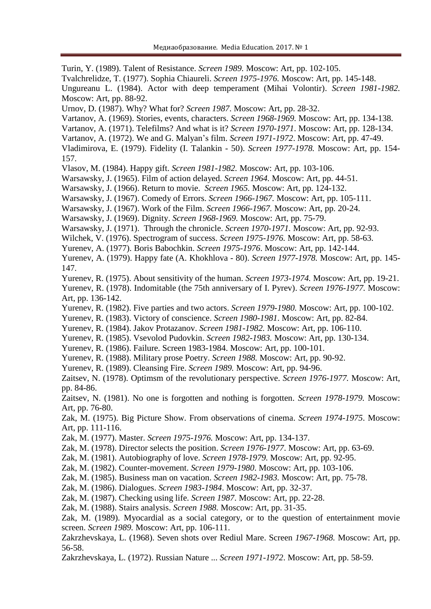Turin, Y. (1989). Talent of Resistance. *Screen 1989.* Moscow: Art, pp. 102-105.

Tvalchrelidze, T. (1977). Sophia Chiaureli. *Screen 1975-1976.* Moscow: Art, pp. 145-148.

Ungureanu L. (1984). Actor with deep temperament (Mihai Volontir). *Screen 1981-1982.* Moscow: Art, pp. 88-92.

Urnov, D. (1987). Why? What for? *Screen 1987*. Moscow: Art, pp. 28-32.

Vartanov, A. (1969). Stories, events, characters. *Screen 1968-1969.* Moscow: Art, pp. 134-138.

Vartanov, A. (1971). Telefilms? And what is it? *Screen 1970-1971*. Moscow: Art, pp. 128-134.

Vartanov, A. (1972). We and G. Malyan's film. *Screen 1971-1972*. Moscow: Art, pp. 47-49.

Vladimirova, E. (1979). Fidelity (I. Talankin - 50). *Screen 1977-1978.* Moscow: Art, pp. 154- 157.

Vlasov, M. (1984). Happy gift. *Screen 1981-1982.* Moscow: Art, pp. 103-106.

Warsawsky, J. (1965). Film of action delayed. *Screen 1964.* Moscow: Art, pp. 44-51.

Warsawsky, J. (1966). Return to movie. *Screen 1965.* Moscow: Art, pp. 124-132.

Warsawsky, J. (1967). Comedy of Errors. *Screen 1966-1967.* Moscow: Art, pp. 105-111.

Warsawsky, J. (1967). Work of the Film. *Screen 1966-1967.* Moscow: Art, pp. 20-24.

Warsawsky, J. (1969). Dignity. *Screen 1968-1969.* Moscow: Art, pp. 75-79.

Warsawsky, J. (1971). Through the chronicle. *Screen 1970-1971.* Moscow: Art, pp. 92-93.

Wilchek, V. (1976). Spectrogram of success. *Screen 1975-1976.* Moscow: Art, pp. 58-63.

Yurenev, A. (1977). Boris Babochkin. *Screen 1975-1976*. Moscow: Art, pp. 142-144.

Yurenev, A. (1979). Happy fate (A. Khokhlova - 80). *Screen 1977-1978.* Moscow: Art, pp. 145- 147.

Yurenev, R. (1975). About sensitivity of the human. *Screen 1973-1974.* Moscow: Art, pp. 19-21.

Yurenev, R. (1978). Indomitable (the 75th anniversary of I. Pyrev). *Screen 1976-1977.* Moscow: Art, pp. 136-142.

Yurenev, R. (1982). Five parties and two actors. *Screen 1979-1980.* Moscow: Art, pp. 100-102.

Yurenev, R. (1983). Victory of conscience. *Screen 1980-1981*. Moscow: Art, pp. 82-84.

Yurenev, R. (1984). Jakov Protazanov. *Screen 1981-1982.* Moscow: Art, pp. 106-110.

Yurenev, R. (1985). Vsevolod Pudovkin. *Screen 1982-1983.* Moscow: Art, pp. 130-134.

Yurenev, R. (1986). Failure. Screen 1983-1984. Moscow: Art, pp. 100-101.

Yurenev, R. (1988). Military prose Poetry. *Screen 1988.* Moscow: Art, pp. 90-92.

Yurenev, R. (1989). Cleansing Fire. *Screen 1989.* Moscow: Art, pp. 94-96.

Zaitsev, N. (1978). Optimsm of the revolutionary perspective. *Screen 1976-1977.* Moscow: Art, pp. 84-86.

Zaitsev, N. (1981). No one is forgotten and nothing is forgotten. *Screen 1978-1979.* Moscow: Art, pp. 76-80.

Zak, M. (1975). Big Picture Show. From observations of cinema. *Screen 1974-1975*. Moscow: Art, pp. 111-116.

Zak, M. (1977). Master. *Screen 1975-1976.* Moscow: Art, pp. 134-137.

Zak, M. (1978). Director selects the position. *Screen 1976-1977*. Moscow: Art, pp. 63-69.

Zak, M. (1981). Autobiography of love. *Screen 1978-1979.* Moscow: Art, pp. 92-95.

Zak, M. (1982). Counter-movement. *Screen 1979-1980*. Moscow: Art, pp. 103-106.

Zak, M. (1985). Business man on vacation. *Screen 1982-1983.* Moscow: Art, pp. 75-78.

Zak, M. (1986). Dialogues. *Screen 1983-1984*. Moscow: Art, pp. 32-37.

Zak, M. (1987). Checking using life. *Screen 1987*. Moscow: Art, pp. 22-28.

Zak, M. (1988). Stairs analysis. *Screen 1988.* Moscow: Art, pp. 31-35.

Zak, M. (1989). Myocardial as a social category, or to the question of entertainment movie screen. *Screen 1989.* Moscow: Art, pp. 106-111.

Zakrzhevskaya, L. (1968). Seven shots over Rediul Mare. Screen *1967-1968.* Moscow: Art, pp. 56-58.

Zakrzhevskaya, L. (1972). Russian Nature ... *Screen 1971-1972*. Moscow: Art, pp. 58-59.